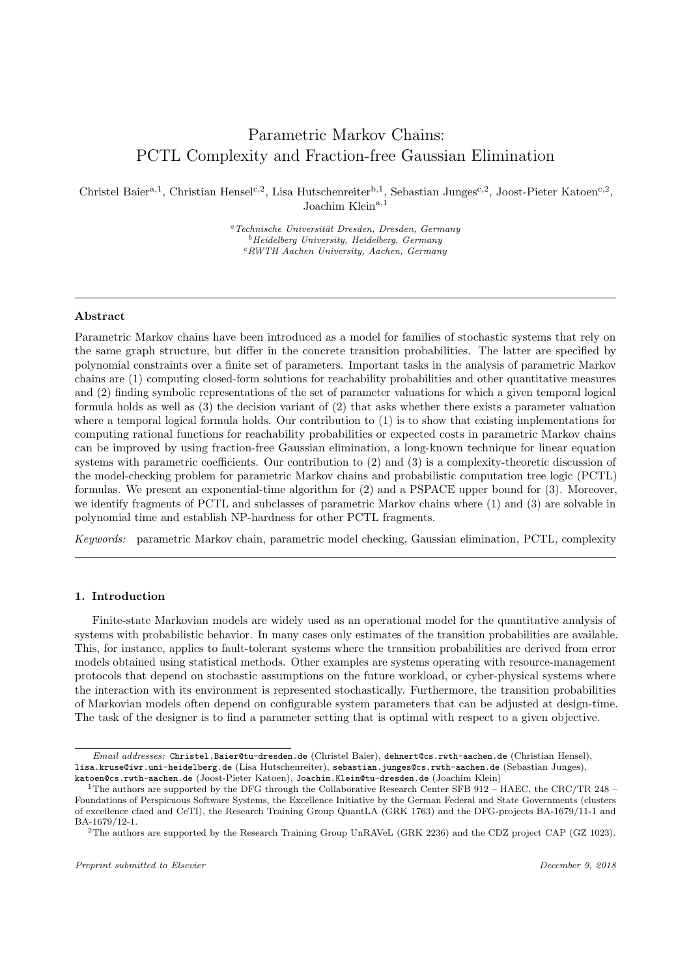# Parametric Markov Chains: PCTL Complexity and Fraction-free Gaussian Elimination

Christel Baier<sup>a, 1</sup>, Christian Hensel<sup>c, 2</sup>, Lisa Hutschenreiter<sup>b, 1</sup>, Sebastian Junges<sup>c, 2</sup>, Joost-Pieter Katoen<sup>c, 2</sup>, Joachim Klein<sup>a,1</sup>

> $a<sup>a</sup> Technische Universität Dresden, Dresden, Germany$  $^{b}$ Heidelberg University, Heidelberg, Germany <sup>c</sup>RWTH Aachen University, Aachen, Germany

## Abstract

Parametric Markov chains have been introduced as a model for families of stochastic systems that rely on the same graph structure, but differ in the concrete transition probabilities. The latter are specified by polynomial constraints over a finite set of parameters. Important tasks in the analysis of parametric Markov chains are (1) computing closed-form solutions for reachability probabilities and other quantitative measures and (2) finding symbolic representations of the set of parameter valuations for which a given temporal logical formula holds as well as (3) the decision variant of (2) that asks whether there exists a parameter valuation where a temporal logical formula holds. Our contribution to (1) is to show that existing implementations for computing rational functions for reachability probabilities or expected costs in parametric Markov chains can be improved by using fraction-free Gaussian elimination, a long-known technique for linear equation systems with parametric coefficients. Our contribution to (2) and (3) is a complexity-theoretic discussion of the model-checking problem for parametric Markov chains and probabilistic computation tree logic (PCTL) formulas. We present an exponential-time algorithm for (2) and a PSPACE upper bound for (3). Moreover, we identify fragments of PCTL and subclasses of parametric Markov chains where (1) and (3) are solvable in polynomial time and establish NP-hardness for other PCTL fragments.

Keywords: parametric Markov chain, parametric model checking, Gaussian elimination, PCTL, complexity

#### 1. Introduction

Finite-state Markovian models are widely used as an operational model for the quantitative analysis of systems with probabilistic behavior. In many cases only estimates of the transition probabilities are available. This, for instance, applies to fault-tolerant systems where the transition probabilities are derived from error models obtained using statistical methods. Other examples are systems operating with resource-management protocols that depend on stochastic assumptions on the future workload, or cyber-physical systems where the interaction with its environment is represented stochastically. Furthermore, the transition probabilities of Markovian models often depend on configurable system parameters that can be adjusted at design-time. The task of the designer is to find a parameter setting that is optimal with respect to a given objective.

Email addresses: Christel.Baier@tu-dresden.de (Christel Baier), dehnert@cs.rwth-aachen.de (Christian Hensel), lisa.kruse@iwr.uni-heidelberg.de (Lisa Hutschenreiter), sebastian.junges@cs.rwth-aachen.de (Sebastian Junges),

katoen@cs.rwth-aachen.de (Joost-Pieter Katoen), Joachim.Klein@tu-dresden.de (Joachim Klein)

<sup>1</sup>The authors are supported by the DFG through the Collaborative Research Center SFB 912 – HAEC, the CRC/TR 248 – Foundations of Perspicuous Software Systems, the Excellence Initiative by the German Federal and State Governments (clusters of excellence cfaed and CeTI), the Research Training Group QuantLA (GRK 1763) and the DFG-projects BA-1679/11-1 and BA-1679/12-1.

<sup>&</sup>lt;sup>2</sup>The authors are supported by the Research Training Group UnRAVeL (GRK 2236) and the CDZ project CAP (GZ 1023).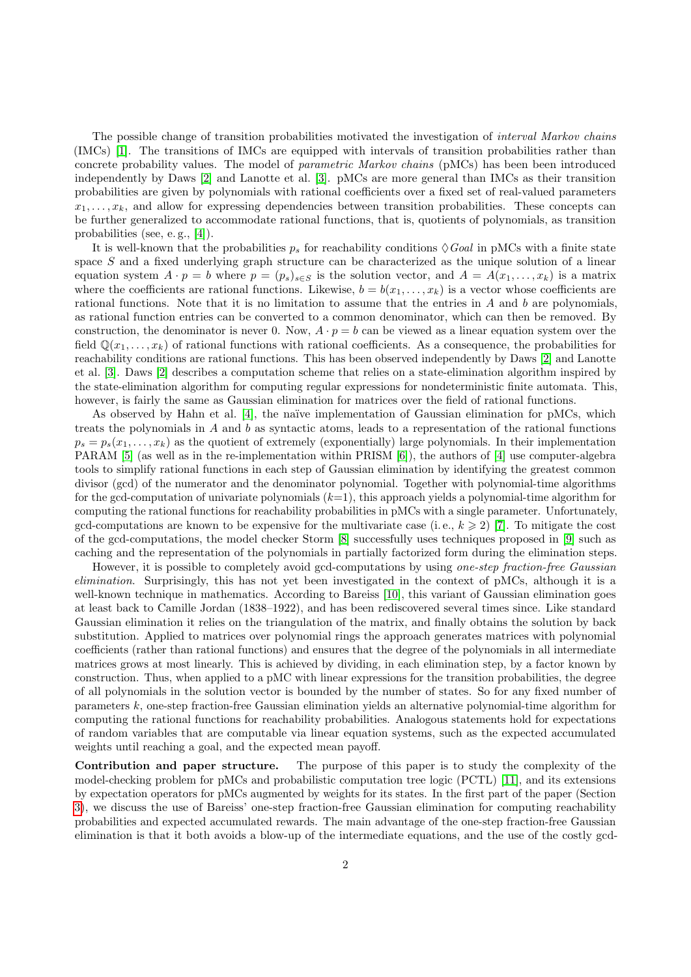The possible change of transition probabilities motivated the investigation of *interval Markov chains* (IMCs) [\[1\]](#page-31-0). The transitions of IMCs are equipped with intervals of transition probabilities rather than concrete probability values. The model of parametric Markov chains (pMCs) has been been introduced independently by Daws [\[2\]](#page-31-1) and Lanotte et al. [\[3\]](#page-31-2). pMCs are more general than IMCs as their transition probabilities are given by polynomials with rational coefficients over a fixed set of real-valued parameters  $x_1, \ldots, x_k$ , and allow for expressing dependencies between transition probabilities. These concepts can be further generalized to accommodate rational functions, that is, quotients of polynomials, as transition probabilities (see, e. g., [\[4\]](#page-31-3)).

It is well-known that the probabilities  $p_s$  for reachability conditions  $\Diamond Goal$  in pMCs with a finite state space  $S$  and a fixed underlying graph structure can be characterized as the unique solution of a linear equation system  $A \cdot p = b$  where  $p = (p_s)_{s \in S}$  is the solution vector, and  $A = A(x_1, \ldots, x_k)$  is a matrix where the coefficients are rational functions. Likewise,  $b = b(x_1, \ldots, x_k)$  is a vector whose coefficients are rational functions. Note that it is no limitation to assume that the entries in  $A$  and  $b$  are polynomials, as rational function entries can be converted to a common denominator, which can then be removed. By construction, the denominator is never 0. Now,  $A \cdot p = b$  can be viewed as a linear equation system over the field  $\mathbb{Q}(x_1, \ldots, x_k)$  of rational functions with rational coefficients. As a consequence, the probabilities for reachability conditions are rational functions. This has been observed independently by Daws [\[2\]](#page-31-1) and Lanotte et al. [\[3\]](#page-31-2). Daws [\[2\]](#page-31-1) describes a computation scheme that relies on a state-elimination algorithm inspired by the state-elimination algorithm for computing regular expressions for nondeterministic finite automata. This, however, is fairly the same as Gaussian elimination for matrices over the field of rational functions.

As observed by Hahn et al.  $[4]$ , the naïve implementation of Gaussian elimination for pMCs, which treats the polynomials in  $A$  and  $b$  as syntactic atoms, leads to a representation of the rational functions  $p_s = p_s(x_1, \ldots, x_k)$  as the quotient of extremely (exponentially) large polynomials. In their implementation PARAM [\[5\]](#page-31-4) (as well as in the re-implementation within PRISM [\[6\]](#page-31-5)), the authors of [\[4\]](#page-31-3) use computer-algebra tools to simplify rational functions in each step of Gaussian elimination by identifying the greatest common divisor (gcd) of the numerator and the denominator polynomial. Together with polynomial-time algorithms for the gcd-computation of univariate polynomials  $(k=1)$ , this approach yields a polynomial-time algorithm for computing the rational functions for reachability probabilities in pMCs with a single parameter. Unfortunately, gcd-computations are known to be expensive for the multivariate case (i.e.,  $k \geqslant 2$ ) [\[7\]](#page-31-6). To mitigate the cost of the gcd-computations, the model checker Storm [\[8\]](#page-31-7) successfully uses techniques proposed in [\[9\]](#page-31-8) such as caching and the representation of the polynomials in partially factorized form during the elimination steps.

However, it is possible to completely avoid gcd-computations by using *one-step fraction-free Gaussian* elimination. Surprisingly, this has not yet been investigated in the context of pMCs, although it is a well-known technique in mathematics. According to Bareiss [\[10\]](#page-31-9), this variant of Gaussian elimination goes at least back to Camille Jordan (1838–1922), and has been rediscovered several times since. Like standard Gaussian elimination it relies on the triangulation of the matrix, and finally obtains the solution by back substitution. Applied to matrices over polynomial rings the approach generates matrices with polynomial coefficients (rather than rational functions) and ensures that the degree of the polynomials in all intermediate matrices grows at most linearly. This is achieved by dividing, in each elimination step, by a factor known by construction. Thus, when applied to a pMC with linear expressions for the transition probabilities, the degree of all polynomials in the solution vector is bounded by the number of states. So for any fixed number of parameters k, one-step fraction-free Gaussian elimination yields an alternative polynomial-time algorithm for computing the rational functions for reachability probabilities. Analogous statements hold for expectations of random variables that are computable via linear equation systems, such as the expected accumulated weights until reaching a goal, and the expected mean payoff.

Contribution and paper structure. The purpose of this paper is to study the complexity of the model-checking problem for pMCs and probabilistic computation tree logic (PCTL) [\[11\]](#page-31-10), and its extensions by expectation operators for pMCs augmented by weights for its states. In the first part of the paper (Section [3\)](#page-6-0), we discuss the use of Bareiss' one-step fraction-free Gaussian elimination for computing reachability probabilities and expected accumulated rewards. The main advantage of the one-step fraction-free Gaussian elimination is that it both avoids a blow-up of the intermediate equations, and the use of the costly gcd-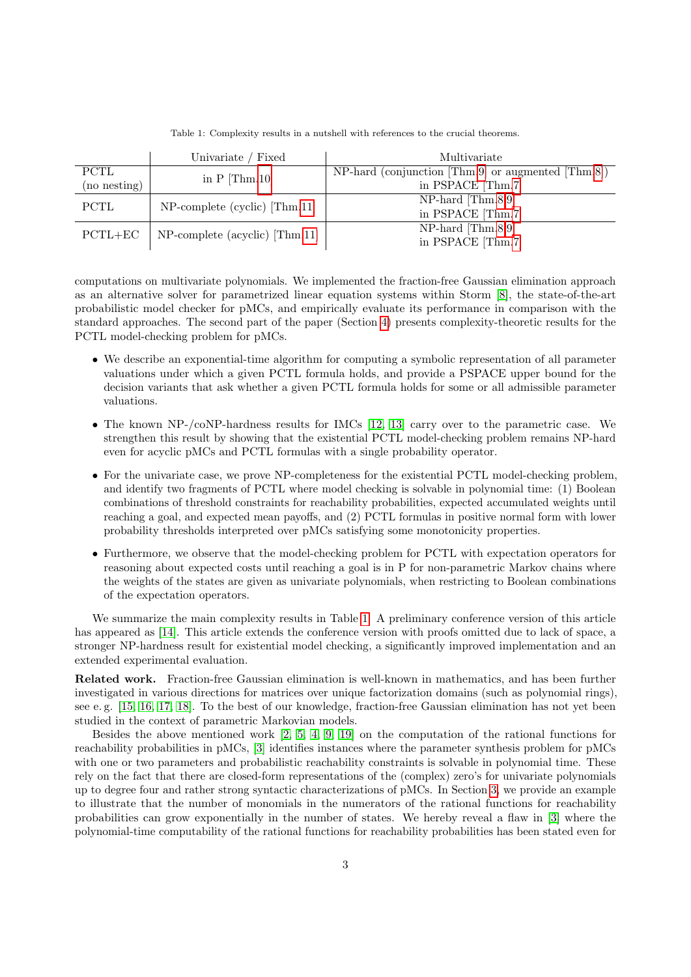<span id="page-2-0"></span>

|              | Univariate / Fixed               | Multivariate                                       |
|--------------|----------------------------------|----------------------------------------------------|
| PCTL         | in $P$ [Thm.10]                  | NP-hard (conjunction [Thm.9] or augmented [Thm.8]) |
| (no nesting) |                                  | in PSPACE [Thm.7]                                  |
| <b>PCTL</b>  | $NP$ -complete (cyclic) [Thm.11] | $NP$ -hard [Thm.8,9]                               |
|              |                                  | in PSPACE [Thm.7]                                  |
| $PCTL+EC$    | NP-complete (acyclic) [Thm.11]   | $NP$ -hard [Thm.8,9]                               |
|              |                                  | in PSPACE [Thm.7]                                  |

Table 1: Complexity results in a nutshell with references to the crucial theorems.

computations on multivariate polynomials. We implemented the fraction-free Gaussian elimination approach as an alternative solver for parametrized linear equation systems within Storm [\[8\]](#page-31-7), the state-of-the-art probabilistic model checker for pMCs, and empirically evaluate its performance in comparison with the standard approaches. The second part of the paper (Section [4\)](#page-18-0) presents complexity-theoretic results for the PCTL model-checking problem for pMCs.

- We describe an exponential-time algorithm for computing a symbolic representation of all parameter valuations under which a given PCTL formula holds, and provide a PSPACE upper bound for the decision variants that ask whether a given PCTL formula holds for some or all admissible parameter valuations.
- The known NP-/coNP-hardness results for IMCs [\[12,](#page-31-11) [13\]](#page-31-12) carry over to the parametric case. We strengthen this result by showing that the existential PCTL model-checking problem remains NP-hard even for acyclic pMCs and PCTL formulas with a single probability operator.
- For the univariate case, we prove NP-completeness for the existential PCTL model-checking problem, and identify two fragments of PCTL where model checking is solvable in polynomial time: (1) Boolean combinations of threshold constraints for reachability probabilities, expected accumulated weights until reaching a goal, and expected mean payoffs, and (2) PCTL formulas in positive normal form with lower probability thresholds interpreted over pMCs satisfying some monotonicity properties.
- Furthermore, we observe that the model-checking problem for PCTL with expectation operators for reasoning about expected costs until reaching a goal is in P for non-parametric Markov chains where the weights of the states are given as univariate polynomials, when restricting to Boolean combinations of the expectation operators.

We summarize the main complexity results in Table [1.](#page-2-0) A preliminary conference version of this article has appeared as [\[14\]](#page-31-13). This article extends the conference version with proofs omitted due to lack of space, a stronger NP-hardness result for existential model checking, a significantly improved implementation and an extended experimental evaluation.

Related work. Fraction-free Gaussian elimination is well-known in mathematics, and has been further investigated in various directions for matrices over unique factorization domains (such as polynomial rings), see e. g. [\[15,](#page-31-14) [16,](#page-31-15) [17,](#page-31-16) [18\]](#page-31-17). To the best of our knowledge, fraction-free Gaussian elimination has not yet been studied in the context of parametric Markovian models.

Besides the above mentioned work [\[2,](#page-31-1) [5,](#page-31-4) [4,](#page-31-3) [9,](#page-31-8) [19\]](#page-31-18) on the computation of the rational functions for reachability probabilities in pMCs, [\[3\]](#page-31-2) identifies instances where the parameter synthesis problem for pMCs with one or two parameters and probabilistic reachability constraints is solvable in polynomial time. These rely on the fact that there are closed-form representations of the (complex) zero's for univariate polynomials up to degree four and rather strong syntactic characterizations of pMCs. In Section [3,](#page-6-0) we provide an example to illustrate that the number of monomials in the numerators of the rational functions for reachability probabilities can grow exponentially in the number of states. We hereby reveal a flaw in [\[3\]](#page-31-2) where the polynomial-time computability of the rational functions for reachability probabilities has been stated even for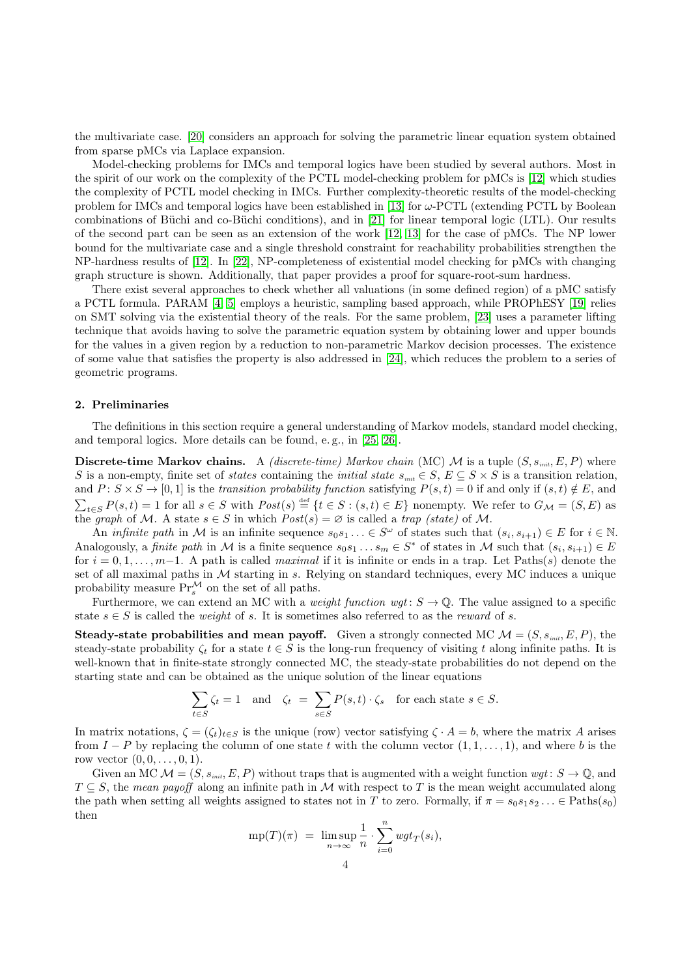the multivariate case. [\[20\]](#page-31-19) considers an approach for solving the parametric linear equation system obtained from sparse pMCs via Laplace expansion.

Model-checking problems for IMCs and temporal logics have been studied by several authors. Most in the spirit of our work on the complexity of the PCTL model-checking problem for pMCs is [\[12\]](#page-31-11) which studies the complexity of PCTL model checking in IMCs. Further complexity-theoretic results of the model-checking problem for IMCs and temporal logics have been established in [\[13\]](#page-31-12) for  $\omega$ -PCTL (extending PCTL by Boolean combinations of Büchi and co-Büchi conditions), and in [\[21\]](#page-31-20) for linear temporal logic (LTL). Our results of the second part can be seen as an extension of the work [\[12,](#page-31-11) [13\]](#page-31-12) for the case of pMCs. The NP lower bound for the multivariate case and a single threshold constraint for reachability probabilities strengthen the NP-hardness results of [\[12\]](#page-31-11). In [\[22\]](#page-31-21), NP-completeness of existential model checking for pMCs with changing graph structure is shown. Additionally, that paper provides a proof for square-root-sum hardness.

There exist several approaches to check whether all valuations (in some defined region) of a pMC satisfy a PCTL formula. PARAM [\[4,](#page-31-3) [5\]](#page-31-4) employs a heuristic, sampling based approach, while PROPhESY [\[19\]](#page-31-18) relies on SMT solving via the existential theory of the reals. For the same problem, [\[23\]](#page-31-22) uses a parameter lifting technique that avoids having to solve the parametric equation system by obtaining lower and upper bounds for the values in a given region by a reduction to non-parametric Markov decision processes. The existence of some value that satisfies the property is also addressed in [\[24\]](#page-32-0), which reduces the problem to a series of geometric programs.

#### <span id="page-3-0"></span>2. Preliminaries

The definitions in this section require a general understanding of Markov models, standard model checking, and temporal logics. More details can be found, e. g., in [\[25,](#page-32-1) [26\]](#page-32-2).

Discrete-time Markov chains. A *(discrete-time)* Markov chain (MC) M is a tuple  $(S, s_{init}, E, P)$  where S is a non-empty, finite set of *states* containing the *initial state*  $s_{\text{init}} \in S$ ,  $E \subseteq S \times S$  is a transition relation, and  $P: S \times S \to [0, 1]$  is the transition probability function satisfying  $P(s, t) = 0$  if and only if  $(s, t) \notin E$ , and  $\sum_{t \in S} P(s,t) = 1$  for all  $s \in S$  with  $Post(s) \triangleq \{t \in S : (s,t) \in E\}$  nonempty. We refer to  $G_{\mathcal{M}} = (S, E)$  as the graph of M. A state  $s \in S$  in which  $Post(s) = \emptyset$  is called a trap (state) of M.

An *infinite path* in M is an infinite sequence  $s_0s_1 \ldots \in S^{\omega}$  of states such that  $(s_i, s_{i+1}) \in E$  for  $i \in \mathbb{N}$ . Analogously, a *finite path* in M is a finite sequence  $s_0s_1 \ldots s_m \in S^*$  of states in M such that  $(s_i, s_{i+1}) \in E$ for  $i = 0, 1, \ldots, m-1$ . A path is called *maximal* if it is infinite or ends in a trap. Let Paths(s) denote the set of all maximal paths in M starting in s. Relying on standard techniques, every MC induces a unique probability measure  $Pr_{s}^{\mathcal{M}}$  on the set of all paths.

Furthermore, we can extend an MC with a *weight function wgt* :  $S \to \mathbb{Q}$ . The value assigned to a specific state  $s \in S$  is called the *weight* of s. It is sometimes also referred to as the *reward* of s.

**Steady-state probabilities and mean payoff.** Given a strongly connected MC  $\mathcal{M} = (S, s_{init}, E, P)$ , the steady-state probability  $\zeta_t$  for a state  $t \in S$  is the long-run frequency of visiting t along infinite paths. It is well-known that in finite-state strongly connected MC, the steady-state probabilities do not depend on the starting state and can be obtained as the unique solution of the linear equations

$$
\sum_{t \in S} \zeta_t = 1 \quad \text{and} \quad \zeta_t = \sum_{s \in S} P(s, t) \cdot \zeta_s \quad \text{for each state } s \in S.
$$

In matrix notations,  $\zeta = (\zeta_t)_{t \in S}$  is the unique (row) vector satisfying  $\zeta \cdot A = b$ , where the matrix A arises from  $I - P$  by replacing the column of one state t with the column vector  $(1, 1, \ldots, 1)$ , and where b is the row vector  $(0, 0, \ldots, 0, 1)$ .

Given an MC  $\mathcal{M} = (S, s_{init}, E, P)$  without traps that is augmented with a weight function  $wgt: S \to \mathbb{Q}$ , and  $T \subseteq S$ , the mean payoff along an infinite path in M with respect to T is the mean weight accumulated along the path when setting all weights assigned to states not in T to zero. Formally, if  $\pi = s_0 s_1 s_2 \dots \in$  Paths $(s_0)$ then

$$
mp(T)(\pi) = \limsup_{n \to \infty} \frac{1}{n} \cdot \sum_{i=0}^{n} wgt_T(s_i),
$$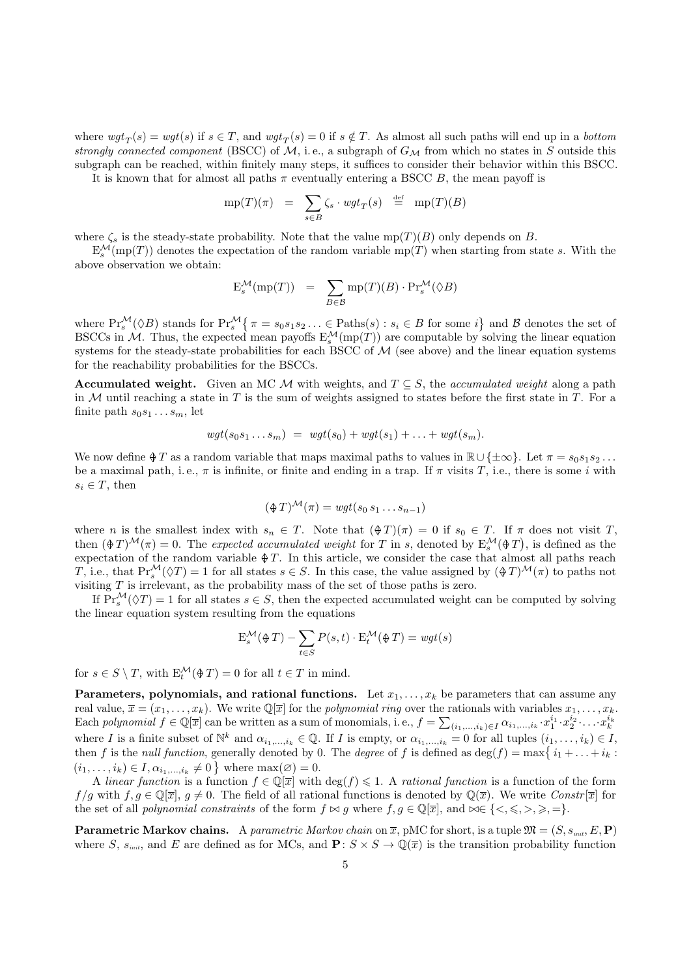where  $wgt_T(s) = wgt(s)$  if  $s \in T$ , and  $wgt_T(s) = 0$  if  $s \notin T$ . As almost all such paths will end up in a bottom strongly connected component (BSCC) of  $M$ , i.e., a subgraph of  $G_M$  from which no states in S outside this subgraph can be reached, within finitely many steps, it suffices to consider their behavior within this BSCC.

It is known that for almost all paths  $\pi$  eventually entering a BSCC B, the mean payoff is

$$
mp(T)(\pi) = \sum_{s \in B} \zeta_s \cdot wgt_T(s) \stackrel{\text{def}}{=} mp(T)(B)
$$

where  $\zeta_s$  is the steady-state probability. Note that the value mp(T)(B) only depends on B.

 $E_s^{\mathcal{M}}(\text{mp}(T))$  denotes the expectation of the random variable mp(T) when starting from state s. With the above observation we obtain:

$$
E_s^{\mathcal{M}}(\text{mp}(T)) = \sum_{B \in \mathcal{B}} \text{mp}(T)(B) \cdot \text{Pr}_s^{\mathcal{M}}(\Diamond B)
$$

where  $\Pr_s^{\mathcal{M}}(\Diamond B)$  stands for  $\Pr_s^{\mathcal{M}}\left\{\pi = s_0s_1s_2\ldots \in \text{Paths}(s) : s_i \in B \text{ for some } i\right\}$  and  $\mathcal B$  denotes the set of BSCCs in M. Thus, the expected mean payoffs  $E_s^{\mathcal{M}}(mp(T))$  are computable by solving the linear equation systems for the steady-state probabilities for each BSCC of  $\mathcal M$  (see above) and the linear equation systems for the reachability probabilities for the BSCCs.

**Accumulated weight.** Given an MC M with weights, and  $T \subseteq S$ , the accumulated weight along a path in M until reaching a state in T is the sum of weights assigned to states before the first state in T. For a finite path  $s_0s_1 \ldots s_m$ , let

$$
wgt(s_0s_1\ldots s_m) = wgt(s_0) + wgt(s_1) + \ldots + wgt(s_m).
$$

We now define  $\oint T$  as a random variable that maps maximal paths to values in  $\mathbb{R} \cup {\pm \infty}$ . Let  $\pi = s_0 s_1 s_2 \dots$ be a maximal path, i.e.,  $\pi$  is infinite, or finite and ending in a trap. If  $\pi$  visits T, i.e., there is some i with  $s_i \in T$ , then

$$
(\mathcal{F})^{\mathcal{M}}(\pi) = wgt(s_0 s_1 \dots s_{n-1})
$$

where n is the smallest index with  $s_n \in T$ . Note that  $(\frac{\phi T}{\pi}) = 0$  if  $s_0 \in T$ . If  $\pi$  does not visit T, then  $(\oint T)^{\mathcal{M}}(\pi) = 0$ . The expected accumulated weight for T in s, denoted by  $E_s^{\mathcal{M}}(\oint T)$ , is defined as the expectation of the random variable  $\oint T$ . In this article, we consider the case that almost all paths reach T, i.e., that  $\Pr_s^{\mathcal{M}}(\Diamond T) = 1$  for all states  $s \in S$ . In this case, the value assigned by  $(\frac{\Diamond T}{\Diamond T})^{\mathcal{M}}(\pi)$  to paths not visiting  $T$  is irrelevant, as the probability mass of the set of those paths is zero.

If  $Pr_s^{\mathcal{M}}(\Diamond T) = 1$  for all states  $s \in S$ , then the expected accumulated weight can be computed by solving the linear equation system resulting from the equations

$$
E_s^{\mathcal{M}}(\mathcal{\mathcal{F}}T) - \sum_{t \in S} P(s, t) \cdot E_t^{\mathcal{M}}(\mathcal{\mathcal{F}}T) = wgt(s)
$$

for  $s \in S \setminus T$ , with  $E_t^{\mathcal{M}}(\mathcal{F}) = 0$  for all  $t \in T$  in mind.

Parameters, polynomials, and rational functions. Let  $x_1, \ldots, x_k$  be parameters that can assume any real value,  $\overline{x} = (x_1, \ldots, x_k)$ . We write  $\mathbb{Q}[\overline{x}]$  for the *polynomial ring* over the rationals with variables  $x_1, \ldots, x_k$ . Each polynomial  $f \in \mathbb{Q}[\overline{x}]$  can be written as a sum of monomials, i.e.,  $f = \sum_{(i_1,...,i_k) \in I} \alpha_{i_1,...,i_k} \cdot x_1^{i_1} \cdot x_2^{i_2} \cdot ... \cdot x_k^{i_k}$ where I is a finite subset of  $\mathbb{N}^k$  and  $\alpha_{i_1,\dots,i_k} \in \mathbb{Q}$ . If I is empty, or  $\alpha_{i_1,\dots,i_k} = 0$  for all tuples  $(i_1,\dots,i_k) \in I$ , then f is the *null function*, generally denoted by 0. The *degree* of f is defined as  $\deg(f) = \max\{i_1 + \ldots + i_k :$  $(i_1, \ldots, i_k) \in I, \alpha_{i_1, \ldots, i_k} \neq 0$  where  $\max(\emptyset) = 0$ .

A linear function is a function  $f \in \mathbb{Q}[\overline{x}]$  with  $\deg(f) \leq 1$ . A rational function is a function of the form  $f/g$  with  $f, g \in \mathbb{Q}[\overline{x}]$ ,  $g \neq 0$ . The field of all rational functions is denoted by  $\mathbb{Q}(\overline{x})$ . We write Constr  $[\overline{x}]$  for the set of all *polynomial constraints* of the form  $f \bowtie g$  where  $f, g \in \mathbb{Q}[\overline{x}]$ , and  $\bowtie \in \{<,\leqslant,>,\geqslant,\equiv\}.$ 

**Parametric Markov chains.** A parametric Markov chain on  $\overline{x}$ , pMC for short, is a tuple  $\mathfrak{M} = (S, s_{init}, E, \mathbf{P})$ where S,  $s_{\text{init}}$ , and E are defined as for MCs, and  $\mathbf{P}: S \times S \to \mathbb{Q}(\overline{x})$  is the transition probability function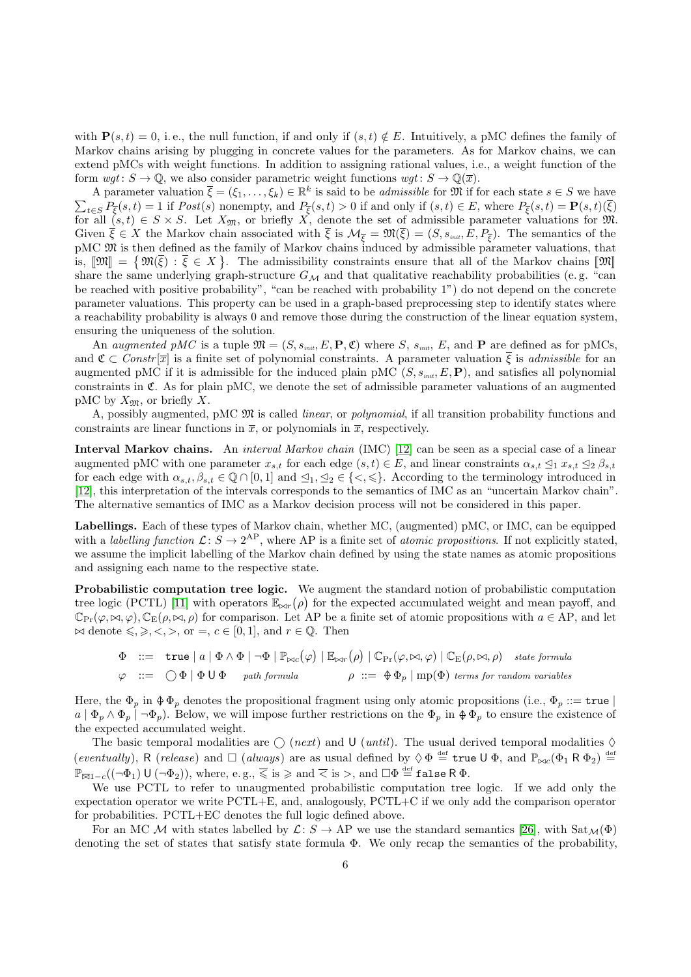with  $P(s,t) = 0$ , i.e., the null function, if and only if  $(s,t) \notin E$ . Intuitively, a pMC defines the family of Markov chains arising by plugging in concrete values for the parameters. As for Markov chains, we can extend pMCs with weight functions. In addition to assigning rational values, i.e., a weight function of the form  $wqt: S \to \mathbb{Q}$ , we also consider parametric weight functions  $wqt: S \to \mathbb{Q}(\overline{x})$ .

A parameter valuation  $\bar{\xi} = (\xi_1, \ldots, \xi_k) \in \mathbb{R}^k$  is said to be *admissible* for  $\mathfrak{M}$  if for each state  $s \in S$  we have  $\sum_{t \in S} P_{\overline{\xi}}(s,t) = 1$  if  $Post(s)$  nonempty, and  $P_{\overline{\xi}}(s,t) > 0$  if and only if  $(s,t) \in E$ , where  $P_{\overline{\xi}}(s,t) = P(s,t)(\xi)$ for all  $(s,t) \in S \times S$ . Let  $X_{\mathfrak{M}}$ , or briefly X, denote the set of admissible parameter valuations for  $\mathfrak{M}$ . Given  $\xi \in X$  the Markov chain associated with  $\xi$  is  $\mathcal{M}_{\overline{\xi}} = \mathfrak{M}(\xi) = (S, s_{\text{init}}, E, P_{\overline{\xi}})$ . The semantics of the pMC M is then defined as the family of Markov chains induced by admissible parameter valuations, that is,  $[\mathfrak{M}] = \{ \mathfrak{M}(\bar{\xi}) : \bar{\xi} \in X \}$ . The admissibility constraints ensure that all of the Markov chains  $[\mathfrak{M}]$ <br>share the same underlying graph structure  $G_{\xi}$ , and that qualitative reachability probabilities (e.g share the same underlying graph-structure  $G_M$  and that qualitative reachability probabilities (e.g. "can be reached with positive probability", "can be reached with probability 1") do not depend on the concrete parameter valuations. This property can be used in a graph-based preprocessing step to identify states where a reachability probability is always 0 and remove those during the construction of the linear equation system, ensuring the uniqueness of the solution.

An augmented pMC is a tuple  $\mathfrak{M} = (S, s_{\text{init}}, E, \mathbf{P}, \mathfrak{C})$  where S,  $s_{\text{init}}$ , E, and P are defined as for pMCs, and  $\mathfrak{C} \subset \text{Constr}[\overline{x}]$  is a finite set of polynomial constraints. A parameter valuation  $\overline{\xi}$  is admissible for an augmented pMC if it is admissible for the induced plain pMC  $(S, s_{\text{init}}, E, \mathbf{P})$ , and satisfies all polynomial constraints in  $\mathfrak{C}$ . As for plain pMC, we denote the set of admissible parameter valuations of an augmented pMC by  $X_{\mathfrak{M}}$ , or briefly X.

A, possibly augmented, pMC  $\mathfrak{M}$  is called *linear*, or *polynomial*, if all transition probability functions and constraints are linear functions in  $\bar{x}$ , or polynomials in  $\bar{x}$ , respectively.

Interval Markov chains. An interval Markov chain (IMC) [\[12\]](#page-31-11) can be seen as a special case of a linear augmented pMC with one parameter  $x_{s,t}$  for each edge  $(s,t) \in E$ , and linear constraints  $\alpha_{s,t} \leq_1 x_{s,t} \leq_2 \beta_{s,t}$ for each edge with  $\alpha_{s,t}, \beta_{s,t} \in \mathbb{Q} \cap [0,1]$  and  $\leq_1, \leq_2 \in \{<,\leqslant\}$ . According to the terminology introduced in [\[12\]](#page-31-11), this interpretation of the intervals corresponds to the semantics of IMC as an "uncertain Markov chain". The alternative semantics of IMC as a Markov decision process will not be considered in this paper.

Labellings. Each of these types of Markov chain, whether MC, (augmented) pMC, or IMC, can be equipped with a labelling function  $\mathcal{L}: S \to 2^{\text{AP}}$ , where AP is a finite set of atomic propositions. If not explicitly stated, we assume the implicit labelling of the Markov chain defined by using the state names as atomic propositions and assigning each name to the respective state.

Probabilistic computation tree logic. We augment the standard notion of probabilistic computation tree logic (PCTL) [\[11\]](#page-31-10) with operators  $\mathbb{E}_{\bowtie r}(\rho)$  for the expected accumulated weight and mean payoff, and  $\mathbb{C}_{\Pr}(\varphi,\bowtie,\varphi), \mathbb{C}_{E}(\rho,\bowtie,\rho)$  for comparison. Let AP be a finite set of atomic propositions with  $a \in \mathcal{AP}$ , and let  $\bowtie$  denote  $\leq, \geq, \leq, \geq,$  or  $=, c \in [0, 1]$ , and  $r \in \mathbb{Q}$ . Then

$$
\Phi ::= \text{true} |a| \Phi \wedge \Phi | \neg \Phi | \mathbb{P}_{\bowtie c}(\varphi) | \mathbb{E}_{\bowtie r}(\rho) | \mathbb{C}_{\text{Pr}}(\varphi, \bowtie, \varphi) | \mathbb{C}_{\text{E}}(\rho, \bowtie, \rho) \text{ state formula}
$$
\n
$$
\varphi ::= \bigcirc \Phi | \Phi \cup \Phi \text{ path formula} \qquad \rho ::= \Phi \Phi_p | \text{mp}(\Phi) \text{ terms for random variables}
$$

Here, the  $\Phi_p$  in  $\Phi \Phi_p$  denotes the propositional fragment using only atomic propositions (i.e.,  $\Phi_p ::=$  true  $a \mid \Phi_p \wedge \Phi_p \mid \neg \Phi_p$ . Below, we will impose further restrictions on the  $\Phi_p$  in  $\Phi \Phi_p$  to ensure the existence of the expected accumulated weight.

The basic temporal modalities are  $\bigcirc$  (*next*) and U (*until*). The usual derived temporal modalities  $\Diamond$ (eventually), R (release) and  $\Box$  (always) are as usual defined by  $\Diamond \Phi \stackrel{\text{def}}{=} \text{true} \cup \Phi$ , and  $\mathbb{P}_{\bowtie c}(\Phi_1 \mathsf{R} \Phi_2) \stackrel{\text{def}}{=}$  $\mathbb{P}_{\overline{\bowtie} 1-c}((\neg\Phi_1)\mathsf{U\,}(\neg\Phi_2)),$  where, e.g.,  $\overline{\leqslant}$  is  $\geqslant$  and  $\overline{<}$  is  $>$ , and  $\Box\Phi\stackrel{\scriptscriptstyle\rm def}{=}$  false R  $\Phi.$ 

We use PCTL to refer to unaugmented probabilistic computation tree logic. If we add only the expectation operator we write PCTL+E, and, analogously, PCTL+C if we only add the comparison operator for probabilities. PCTL+EC denotes the full logic defined above.

For an MC M with states labelled by  $\mathcal{L}: S \to AP$  we use the standard semantics [\[26\]](#page-32-2), with  $Sat_{\mathcal{M}}(\Phi)$ denoting the set of states that satisfy state formula Φ. We only recap the semantics of the probability,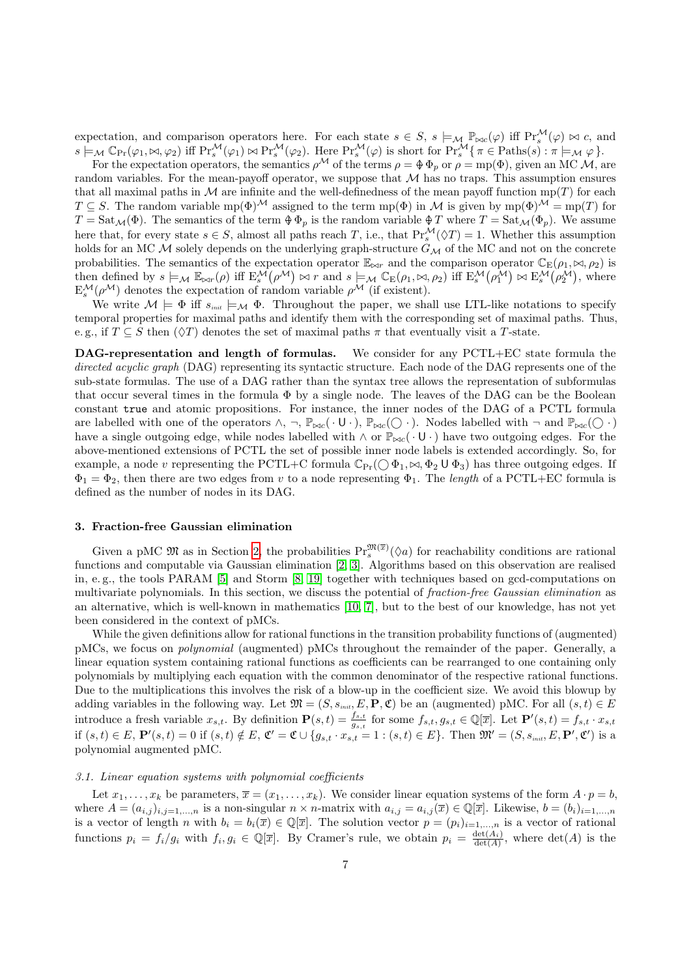expectation, and comparison operators here. For each state  $s \in S$ ,  $s \models_{\mathcal{M}} \mathbb{P}_{\bowtie c}(\varphi)$  iff  $\Pr_s^{\mathcal{M}}(\varphi) \bowtie c$ , and  $s \models_{\mathcal{M}} \mathbb{C}_{\Pr}(\varphi_1, \bowtie, \varphi_2)$  iff  $\Pr_s^{\mathcal{M}}(\varphi_1) \bowtie \Pr_s^{\mathcal{M}}(\varphi_2)$ . Here  $\Pr_s^{\mathcal{M}}(\varphi)$  is short for  $\Pr_s^{\mathcal{M}}\{\pi \in \text{Paths}(s) : \pi \models_{\mathcal{M}} \varphi\}.$ 

For the expectation operators, the semantics  $\rho^{\mathcal{M}}$  of the terms  $\rho = \Phi \Phi_p$  or  $\rho = \text{mp}(\Phi)$ , given an MC  $\mathcal{M}$ , are random variables. For the mean-payoff operator, we suppose that  $M$  has no traps. This assumption ensures that all maximal paths in M are infinite and the well-definedness of the mean payoff function  $mp(T)$  for each  $T \subseteq S$ . The random variable mp( $\Phi$ )<sup>M</sup> assigned to the term mp( $\Phi$ ) in M is given by mp( $\Phi$ )<sup>M</sup> = mp(T) for  $T = \text{Sat}_{\mathcal{M}}(\Phi)$ . The semantics of the term  $\Phi \Phi_p$  is the random variable  $\Phi T$  where  $T = \text{Sat}_{\mathcal{M}}(\Phi_p)$ . We assume here that, for every state  $s \in S$ , almost all paths reach T, i.e., that  $\Pr_s^{\mathcal{M}}(\Diamond T) = 1$ . Whether this assumption holds for an MC  $\dot{M}$  solely depends on the underlying graph-structure  $G_M$  of the MC and not on the concrete probabilities. The semantics of the expectation operator  $\mathbb{E}_{\bowtie r}$  and the comparison operator  $\mathbb{C}_{\mathbb{E}}(\rho_1, \bowtie, \rho_2)$  is then defined by  $s \models_M \mathbb{E}_{\bowtie r}(\rho)$  iff  $E_s^{\mathcal{M}}(\rho^{\mathcal{M}}) \bowtie r$  and  $s \models_M \mathbb{C}_{\text{E}}(\rho_1, \bowtie, \rho_2)$  iff  $E_s^{\mathcal{M}}(\rho_1^{\mathcal{M}}) \bowtie E_s^{\mathcal{M}}(\rho_2^{\mathcal{M}})$ , where  $E_s^{\mathcal{M}}(\rho^{\mathcal{M}})$  denotes the expectation of random variable  $\rho^{\mathcal{M}}$  (if existent).

We write  $M \models \Phi$  iff  $s_{\text{init}} \models_M \Phi$ . Throughout the paper, we shall use LTL-like notations to specify temporal properties for maximal paths and identify them with the corresponding set of maximal paths. Thus, e. g., if  $T \subseteq S$  then  $(\Diamond T)$  denotes the set of maximal paths  $\pi$  that eventually visit a T-state.

DAG-representation and length of formulas. We consider for any PCTL+EC state formula the directed acyclic graph (DAG) representing its syntactic structure. Each node of the DAG represents one of the sub-state formulas. The use of a DAG rather than the syntax tree allows the representation of subformulas that occur several times in the formula Φ by a single node. The leaves of the DAG can be the Boolean constant true and atomic propositions. For instance, the inner nodes of the DAG of a PCTL formula are labelled with one of the operators  $\wedge$ ,  $\neg$ ,  $\mathbb{P}_{\bowtie c}(\cdot \cup \cdot)$ ,  $\mathbb{P}_{\bowtie c}(\bigcirc \cdot)$ . Nodes labelled with  $\neg$  and  $\mathbb{P}_{\bowtie c}(\bigcirc \cdot)$ have a single outgoing edge, while nodes labelled with  $\wedge$  or  $\mathbb{P}_{\bowtie c}(\cdot \cup \cdot)$  have two outgoing edges. For the above-mentioned extensions of PCTL the set of possible inner node labels is extended accordingly. So, for example, a node v representing the PCTL+C formula  $\mathbb{C}_{Pr}(\bigcirc \Phi_1, \bowtie, \Phi_2 \cup \Phi_3)$  has three outgoing edges. If  $\Phi_1 = \Phi_2$ , then there are two edges from v to a node representing  $\Phi_1$ . The length of a PCTL+EC formula is defined as the number of nodes in its DAG.

#### <span id="page-6-0"></span>3. Fraction-free Gaussian elimination

Given a pMC  $\mathfrak{M}$  as in Section [2,](#page-3-0) the probabilities  $\Pr_s^{\mathfrak{M}(\bar{x})}(\Diamond a)$  for reachability conditions are rational functions and computable via Gaussian elimination [\[2,](#page-31-1) [3\]](#page-31-2). Algorithms based on this observation are realised in, e.g., the tools PARAM [\[5\]](#page-31-4) and Storm [\[8,](#page-31-7) [19\]](#page-31-18) together with techniques based on gcd-computations on multivariate polynomials. In this section, we discuss the potential of fraction-free Gaussian elimination as an alternative, which is well-known in mathematics [\[10,](#page-31-9) [7\]](#page-31-6), but to the best of our knowledge, has not yet been considered in the context of pMCs.

While the given definitions allow for rational functions in the transition probability functions of (augmented) pMCs, we focus on polynomial (augmented) pMCs throughout the remainder of the paper. Generally, a linear equation system containing rational functions as coefficients can be rearranged to one containing only polynomials by multiplying each equation with the common denominator of the respective rational functions. Due to the multiplications this involves the risk of a blow-up in the coefficient size. We avoid this blowup by adding variables in the following way. Let  $\mathfrak{M} = (S, s_{\text{init}}, E, \mathbf{P}, \mathfrak{C})$  be an (augmented) pMC. For all  $(s, t) \in E$ introduce a fresh variable  $x_{s,t}$ . By definition  $\mathbf{P}(s,t) = \frac{f_{s,t}}{g_{s,t}}$  for some  $f_{s,t}, g_{s,t} \in \mathbb{Q}[\overline{x}]$ . Let  $\mathbf{P}'(s,t) = f_{s,t} \cdot x_{s,t}$ if  $(s,t) \in E$ ,  $\mathbf{P}'(s,t) = 0$  if  $(s,t) \notin E$ ,  $\mathfrak{C}' = \mathfrak{C} \cup \{g_{s,t} \cdot x_{s,t} = 1 : (s,t) \in E\}$ . Then  $\mathfrak{M}' = (S, s_{\text{init}}, E, \mathbf{P}', \mathfrak{C}')$  is a polynomial augmented pMC.

## 3.1. Linear equation systems with polynomial coefficients

Let  $x_1, \ldots, x_k$  be parameters,  $\overline{x} = (x_1, \ldots, x_k)$ . We consider linear equation systems of the form  $A \cdot p = b$ . where  $A = (a_{i,j})_{i,j=1,\ldots,n}$  is a non-singular  $n \times n$ -matrix with  $a_{i,j} = a_{i,j}(\overline{x}) \in \mathbb{Q}[\overline{x}]$ . Likewise,  $b = (b_i)_{i=1,\ldots,n}$ is a vector of length n with  $b_i = b_i(\overline{x}) \in \mathbb{Q}[\overline{x}]$ . The solution vector  $p = (p_i)_{i=1,\dots,n}$  is a vector of rational functions  $p_i = f_i/g_i$  with  $f_i, g_i \in \mathbb{Q}[\overline{x}]$ . By Cramer's rule, we obtain  $p_i = \frac{\det(A_i)}{\det(A)}$ , where  $\det(A)$  is the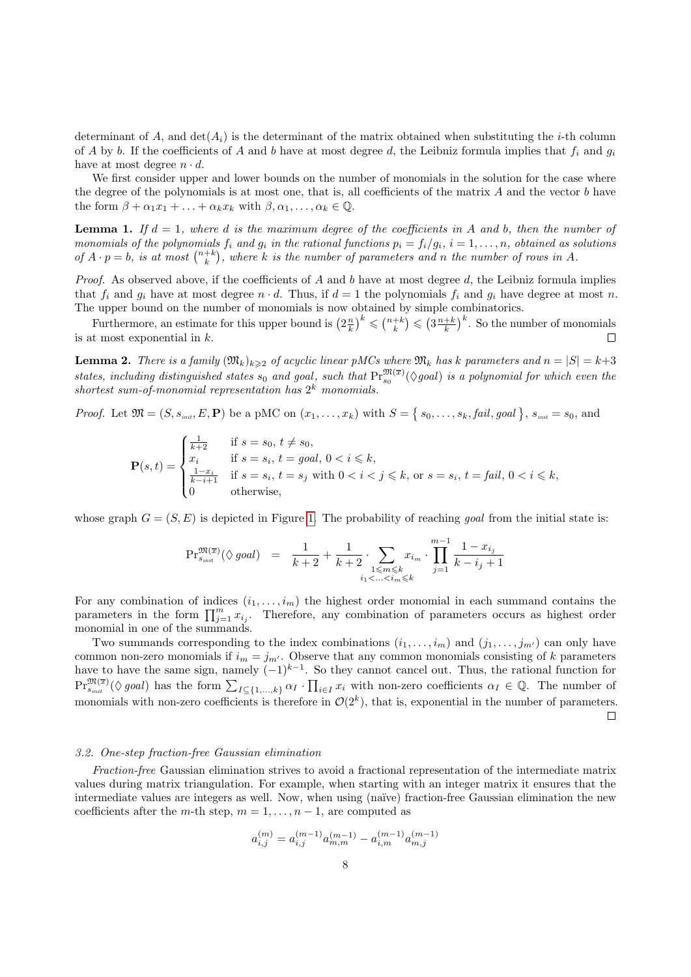determinant of A, and  $\det(A_i)$  is the determinant of the matrix obtained when substituting the *i*-th column of A by b. If the coefficients of A and b have at most degree d, the Leibniz formula implies that  $f_i$  and  $g_i$ have at most degree  $n \cdot d$ .

We first consider upper and lower bounds on the number of monomials in the solution for the case where the degree of the polynomials is at most one, that is, all coefficients of the matrix  $A$  and the vector  $b$  have the form  $\beta + \alpha_1 x_1 + \ldots + \alpha_k x_k$  with  $\beta, \alpha_1, \ldots, \alpha_k \in \mathbb{Q}$ .

**Lemma 1.** If  $d = 1$ , where d is the maximum degree of the coefficients in A and b, then the number of monomials of the polynomials  $f_i$  and  $g_i$  in the rational functions  $p_i = f_i/g_i$ ,  $i = 1, ..., n$ , obtained as solutions of  $A \cdot p = b$ , is at most  $\binom{n+k}{k}$ , where k is the number of parameters and n the number of rows in A.

*Proof.* As observed above, if the coefficients of A and b have at most degree  $d$ , the Leibniz formula implies that  $f_i$  and  $g_i$  have at most degree  $n \cdot d$ . Thus, if  $d = 1$  the polynomials  $f_i$  and  $g_i$  have degree at most n. The upper bound on the number of monomials is now obtained by simple combinatorics.

Furthermore, an estimate for this upper bound is  $\left(2\frac{n}{k}\right)^k \leqslant \left(\frac{n+k}{k}\right) \leqslant \left(3\frac{n+k}{k}\right)^k$ . So the number of monomials is at most exponential in k.  $\Box$ 

<span id="page-7-0"></span>**Lemma 2.** There is a family  $(\mathfrak{M}_k)_{k\geqslant2}$  of acyclic linear pMCs where  $\mathfrak{M}_k$  has k parameters and  $n = |S| = k+3$ states, including distinguished states  $s_0$  and goal, such that  $\Pr_{s_0}^{\mathfrak{M}(\overline{x})}(\Diamond goal)$  is a polynomial for which even the shortest sum-of-monomial representation has  $2^k$  monomials.

*Proof.* Let  $\mathfrak{M} = (S, s_{\text{init}}, E, \mathbf{P})$  be a pMC on  $(x_1, \ldots, x_k)$  with  $S = \{s_0, \ldots, s_k, \text{fail}, \text{goal}\}, s_{\text{init}} = s_0, \text{ and}$ 

$$
\mathbf{P}(s,t) = \begin{cases} \frac{1}{k+2} & \text{if } s = s_0, \, t \neq s_0, \\ x_i & \text{if } s = s_i, \, t = \text{goal}, \, 0 < i \leq k, \\ \frac{1-x_i}{k-i+1} & \text{if } s = s_i, \, t = s_j \text{ with } 0 < i < j \leq k, \text{ or } s = s_i, \, t = \text{fail}, \, 0 < i \leq k, \\ 0 & \text{otherwise}, \end{cases}
$$

whose graph  $G = (S, E)$  is depicted in Figure [1.](#page-8-0) The probability of reaching goal from the initial state is:

$$
\mathrm{Pr}^{\mathfrak{M}(\overline{x})}_{s_{\text{init}}}(\lozenge \text{goal}) \quad = \quad \frac{1}{k+2} + \frac{1}{k+2} \cdot \sum_{\substack{1 \le m \le k \\ i_1 < \ldots < i_m \le k}} x_{i_m} \cdot \prod_{j=1}^{m-1} \frac{1 - x_{i_j}}{k - i_j + 1}
$$

For any combination of indices  $(i_1, \ldots, i_m)$  the highest order monomial in each summand contains the parameters in the form  $\prod_{j=1}^m x_{i_j}$ . Therefore, any combination of parameters occurs as highest order monomial in one of the summands.

Two summands corresponding to the index combinations  $(i_1, \ldots, i_m)$  and  $(j_1, \ldots, j_{m'})$  can only have common non-zero monomials if  $i_m = j_{m'}$ . Observe that any common monomials consisting of k parameters have to have the same sign, namely  $(-1)^{k-1}$ . So they cannot cancel out. Thus, the rational function for  $\Pr_{s_{init}}^{\mathfrak{M}(\bar{x})}(\Diamond \text{ goal})$  has the form  $\sum_{I \subseteq \{1,...,k\}} \alpha_I \cdot \prod_{i \in I} x_i$  with non-zero coefficients  $\alpha_I \in \mathbb{Q}$ . The number of monomials with non-zero coefficients is therefore in  $\mathcal{O}(2^k)$ , that is, exponential in the number of parameters.  $\Box$ 

## 3.2. One-step fraction-free Gaussian elimination

Fraction-free Gaussian elimination strives to avoid a fractional representation of the intermediate matrix values during matrix triangulation. For example, when starting with an integer matrix it ensures that the intermediate values are integers as well. Now, when using (naïve) fraction-free Gaussian elimination the new coefficients after the m-th step,  $m = 1, \ldots, n - 1$ , are computed as

$$
a_{i,j}^{(m)} = a_{i,j}^{(m-1)} a_{m,m}^{(m-1)} - a_{i,m}^{(m-1)} a_{m,j}^{(m-1)}
$$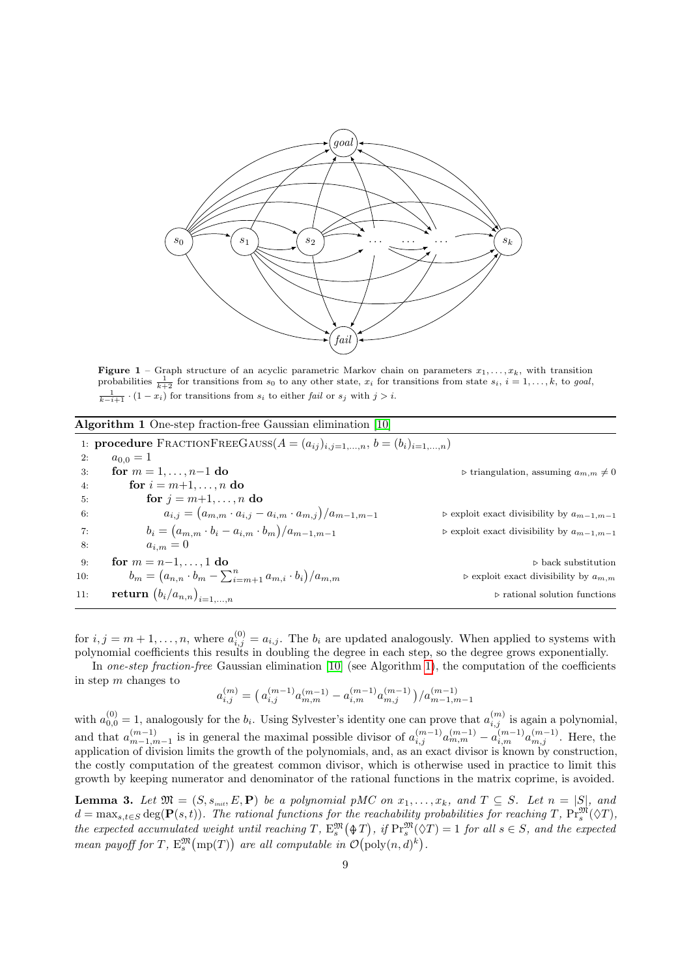<span id="page-8-0"></span>

**Figure 1** – Graph structure of an acyclic parametric Markov chain on parameters  $x_1, \ldots, x_k$ , with transition probabilities  $\frac{1}{k+2}$  for transitions from s<sub>0</sub> to any other state,  $x_i$  for transitions from state  $s_i$ ,  $\frac{1}{k-i+1} \cdot (1-x_i)$  for transitions from  $s_i$  to either fail or  $s_j$  with  $j>i$ .

<span id="page-8-1"></span>

|  |  |  | Algorithm 1 One-step fraction-free Gaussian elimination [10] |  |  |  |  |
|--|--|--|--------------------------------------------------------------|--|--|--|--|
|--|--|--|--------------------------------------------------------------|--|--|--|--|

|     | 1: <b>procedure</b> FRACTIONFREEGAUSS( $A = (a_{ij})_{i,j=1,,n}$ , $b = (b_i)_{i=1,,n}$ ) |                                                              |
|-----|-------------------------------------------------------------------------------------------|--------------------------------------------------------------|
| 2:  | $a_{0,0} = 1$                                                                             |                                                              |
| 3:  | for $m = 1, , n-1$ do                                                                     | $\triangleright$ triangulation, assuming $a_{m,m}\neq 0$     |
| 4:  | for $i = m+1, \ldots, n$ do                                                               |                                                              |
| 5.  | for $j = m+1, \ldots, n$ do                                                               |                                                              |
| 6:  | $a_{i,j} = (a_{m,m} \cdot a_{i,j} - a_{i,m} \cdot a_{m,j})/a_{m-1,m-1}$                   | $\triangleright$ exploit exact divisibility by $a_{m-1,m-1}$ |
| 7:  | $b_i = (a_{m,m} \cdot b_i - a_{i,m} \cdot b_m)/a_{m-1,m-1}$                               | $\triangleright$ exploit exact divisibility by $a_{m-1,m-1}$ |
| 8:  | $a_{i,m}=0$                                                                               |                                                              |
| 9:  | for $m = n-1, , 1$ do                                                                     | $\triangleright$ back substitution                           |
| 10: | $b_m = (a_{n,n} \cdot b_m - \sum_{i=m+1}^n a_{m,i} \cdot b_i)/a_{m,m}$                    | $\triangleright$ exploit exact divisibility by $a_{m,m}$     |
| 11: | return $(b_i/a_{n,n})_{i=1,,n}$                                                           | $\triangleright$ rational solution functions                 |
|     |                                                                                           |                                                              |

for  $i, j = m+1, \ldots, n$ , where  $a_{i,j}^{(0)} = a_{i,j}$ . The  $b_i$  are updated analogously. When applied to systems with polynomial coefficients this results in doubling the degree in each step, so the degree grows exponentially.

In one-step fraction-free Gaussian elimination [\[10\]](#page-31-9) (see Algorithm [1\)](#page-8-1), the computation of the coefficients in step m changes to

$$
a_{i,j}^{(m)} = \left(\, a_{i,j}^{(m-1)}a_{m,m}^{(m-1)} - a_{i,m}^{(m-1)}a_{m,j}^{(m-1)}\,\right)/a_{m-1,m-1}^{(m-1)}
$$

with  $a_{0,0}^{(0)} = 1$ , analogously for the  $b_i$ . Using Sylvester's identity one can prove that  $a_{i,j}^{(m)}$  is again a polynomial, and that  $a_{m-1,m-1}^{(m-1)}$  is in general the maximal possible divisor of  $a_{i,j}^{(m-1)}a_{m,m}^{(m-1)}-a_{i,m}^{(m-1)}a_{m,j}^{(m-1)}$ . Here, the application of division limits the growth of the polynomials, and, as an exact divisor is known by construction, the costly computation of the greatest common divisor, which is otherwise used in practice to limit this growth by keeping numerator and denominator of the rational functions in the matrix coprime, is avoided.

**Lemma 3.** Let  $\mathfrak{M} = (S, s_{\scriptscriptstyle init}, E, \mathbf{P})$  be a polynomial pMC on  $x_1, \ldots, x_k$ , and  $T \subseteq S$ . Let  $n = |S|$ , and  $d = \max_{s,t \in S} \deg(\mathbf{P}(s,t))$ . The rational functions for the reachability probabilities for reaching T,  $\Pr_s^{\mathfrak{M}}(\Diamond T)$ , the expected accumulated weight until reaching T,  $E_s^{\mathfrak{M}}(\mathcal{F})$ , if  $\Pr_s^{\mathfrak{M}}(\mathcal{F}) = 1$  for all  $s \in S$ , and the expected mean payoff for T,  $E_s^{\mathfrak{M}}(\text{mp}(T))$  are all computable in  $\mathcal{O}(\text{poly}(n,d)^k)$ .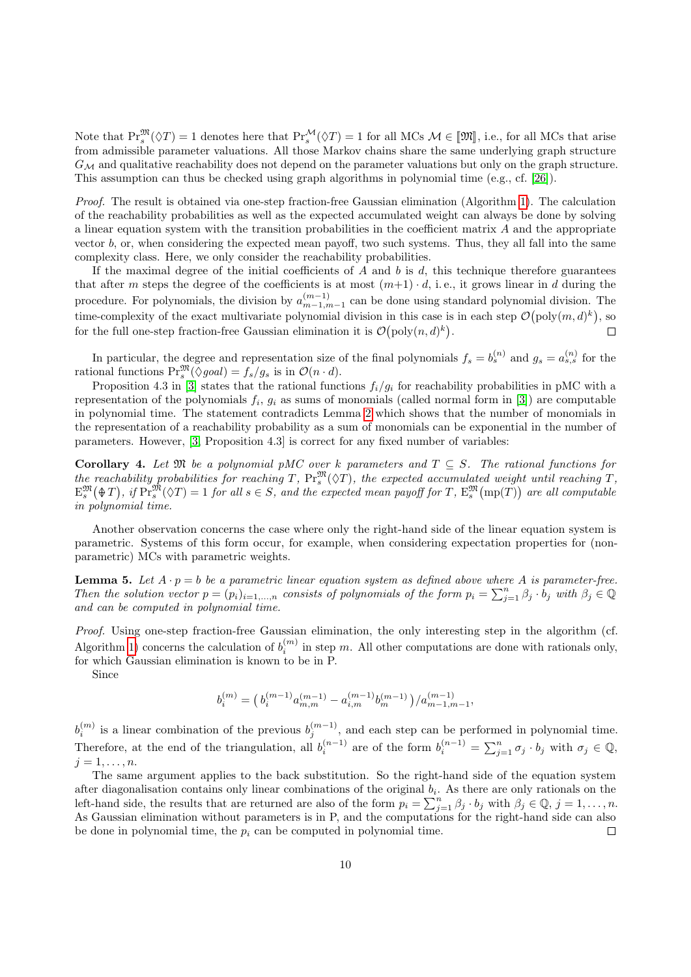Note that  $\Pr_{s}^{\mathfrak{M}}(\Diamond T) = 1$  denotes here that  $\Pr_{s}^{\mathcal{M}}(\Diamond T) = 1$  for all MCs  $\mathcal{M} \in [\mathfrak{M}]$ , i.e., for all MCs that arise from admissible parameter valuations. All those Markov chains share the same underlying graph structure  $G_M$  and qualitative reachability does not depend on the parameter valuations but only on the graph structure. This assumption can thus be checked using graph algorithms in polynomial time (e.g., cf. [\[26\]](#page-32-2)).

Proof. The result is obtained via one-step fraction-free Gaussian elimination (Algorithm [1\)](#page-8-1). The calculation of the reachability probabilities as well as the expected accumulated weight can always be done by solving a linear equation system with the transition probabilities in the coefficient matrix  $A$  and the appropriate vector  $b$ , or, when considering the expected mean payoff, two such systems. Thus, they all fall into the same complexity class. Here, we only consider the reachability probabilities.

If the maximal degree of the initial coefficients of  $A$  and  $b$  is  $d$ , this technique therefore guarantees that after m steps the degree of the coefficients is at most  $(m+1) \cdot d$ , i.e., it grows linear in d during the procedure. For polynomials, the division by  $a_{m-1,m-1}^{(m-1)}$  can be done using standard polynomial division. The time-complexity of the exact multivariate polynomial division in this case is in each step  $\mathcal{O}(\text{poly}(m, d)^k)$ , so for the full one-step fraction-free Gaussian elimination it is  $\mathcal{O}(\text{poly}(n,d)^k)$ .  $\Box$ 

In particular, the degree and representation size of the final polynomials  $f_s = b_s^{(n)}$  and  $g_s = a_{s,s}^{(n)}$  for the rational functions  $\Pr_s^{\mathfrak{M}}(\Diamond goal) = f_s/g_s$  is in  $\mathcal{O}(n \cdot d)$ .

Proposition 4.3 in [\[3\]](#page-31-2) states that the rational functions  $f_i/g_i$  for reachability probabilities in pMC with a representation of the polynomials  $f_i$ ,  $g_i$  as sums of monomials (called normal form in [\[3\]](#page-31-2)) are computable in polynomial time. The statement contradicts Lemma [2](#page-7-0) which shows that the number of monomials in the representation of a reachability probability as a sum of monomials can be exponential in the number of parameters. However, [\[3,](#page-31-2) Proposition 4.3] is correct for any fixed number of variables:

Corollary 4. Let  $\mathfrak{M}$  be a polynomial pMC over k parameters and  $T \subseteq S$ . The rational functions for the reachability probabilities for reaching T,  $\Pr_s^{\mathfrak{M}}(\Diamond T)$ , the expected accumulated weight until reaching T,  $\mathbb{E}^{\mathfrak{M}}_{s}(\mathcal{\Theta}\,T)$ , if  $\mathbb{Pr}^{\mathfrak{M}}_{s}(\Diamond T) = 1$  for all  $s \in S$ , and the expected mean payoff for T,  $\mathbb{E}^{\mathfrak{M}}_{s}(\text{mp}(T))$  are all computable in polynomial time.

Another observation concerns the case where only the right-hand side of the linear equation system is parametric. Systems of this form occur, for example, when considering expectation properties for (nonparametric) MCs with parametric weights.

<span id="page-9-0"></span>**Lemma 5.** Let  $A \cdot p = b$  be a parametric linear equation system as defined above where A is parameter-free. Then the solution vector  $p = (p_i)_{i=1,...,n}$  consists of polynomials of the form  $p_i = \sum_{j=1}^n \beta_j \cdot b_j$  with  $\beta_j \in \mathbb{Q}$ and can be computed in polynomial time.

Proof. Using one-step fraction-free Gaussian elimination, the only interesting step in the algorithm (cf. Algorithm [1\)](#page-8-1) concerns the calculation of  $b_i^{(m)}$  in step m. All other computations are done with rationals only, for which Gaussian elimination is known to be in P.

Since

$$
b_i^{(m)} = \left(\, b_i^{(m-1)} a_{m,m}^{(m-1)} - a_{i,m}^{(m-1)} b_m^{(m-1)}\, \right) / a_{m-1,m-1}^{(m-1)},
$$

 $b_i^{(m)}$  is a linear combination of the previous  $b_j^{(m-1)}$ , and each step can be performed in polynomial time. Therefore, at the end of the triangulation, all  $b_i^{(n-1)}$  are of the form  $b_i^{(n-1)} = \sum_{j=1}^n \sigma_j \cdot b_j$  with  $\sigma_j \in \mathbb{Q}$ ,  $j=1,\ldots,n$ .

The same argument applies to the back substitution. So the right-hand side of the equation system after diagonalisation contains only linear combinations of the original  $b_i$ . As there are only rationals on the left-hand side, the results that are returned are also of the form  $p_i = \sum_{j=1}^n \beta_j \cdot b_j$  with  $\beta_j \in \mathbb{Q}, j = 1, \ldots, n$ . As Gaussian elimination without parameters is in P, and the computations for the right-hand side can also be done in polynomial time, the  $p_i$  can be computed in polynomial time.  $\Box$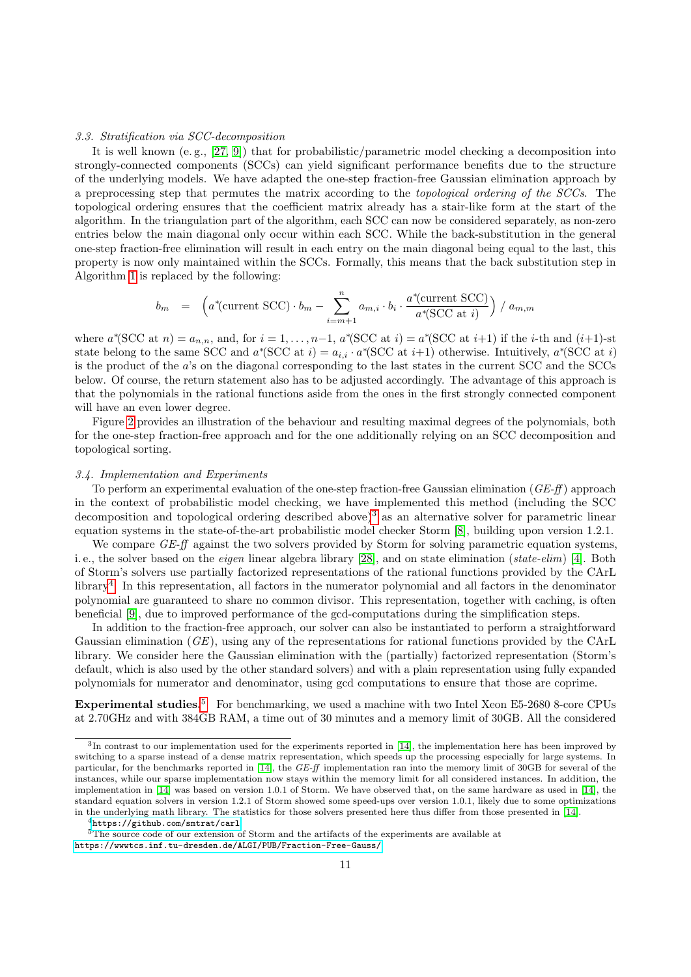#### <span id="page-10-3"></span>3.3. Stratification via SCC-decomposition

It is well known (e.g.,  $[27, 9]$  $[27, 9]$  $[27, 9]$ ) that for probabilistic/parametric model checking a decomposition into strongly-connected components (SCCs) can yield significant performance benefits due to the structure of the underlying models. We have adapted the one-step fraction-free Gaussian elimination approach by a preprocessing step that permutes the matrix according to the topological ordering of the SCCs. The topological ordering ensures that the coefficient matrix already has a stair-like form at the start of the algorithm. In the triangulation part of the algorithm, each SCC can now be considered separately, as non-zero entries below the main diagonal only occur within each SCC. While the back-substitution in the general one-step fraction-free elimination will result in each entry on the main diagonal being equal to the last, this property is now only maintained within the SCCs. Formally, this means that the back substitution step in Algorithm [1](#page-8-1) is replaced by the following:

$$
b_m = \left( a^*(\text{current SCC}) \cdot b_m - \sum_{i=m+1}^n a_{m,i} \cdot b_i \cdot \frac{a^*(\text{current SCC})}{a^*(\text{SCC at } i)} \right) / a_{m,m}
$$

where  $a^*(\text{SCC at } n) = a_{n,n}$ , and, for  $i = 1, \ldots, n-1$ ,  $a^*(\text{SCC at } i) = a^*(\text{SCC at } i+1)$  if the *i*-th and  $(i+1)$ -st state belong to the same SCC and  $a^*(\text{SCC at } i) = a_{i,i} \cdot a^*(\text{SCC at } i+1)$  otherwise. Intuitively,  $a^*(\text{SCC at } i)$ is the product of the a's on the diagonal corresponding to the last states in the current SCC and the SCCs below. Of course, the return statement also has to be adjusted accordingly. The advantage of this approach is that the polynomials in the rational functions aside from the ones in the first strongly connected component will have an even lower degree.

Figure [2](#page-11-0) provides an illustration of the behaviour and resulting maximal degrees of the polynomials, both for the one-step fraction-free approach and for the one additionally relying on an SCC decomposition and topological sorting.

#### 3.4. Implementation and Experiments

To perform an experimental evaluation of the one-step fraction-free Gaussian elimination ( $GE-ff$ ) approach in the context of probabilistic model checking, we have implemented this method (including the SCC decomposition and topological ordering described above)<sup>[3](#page-10-0)</sup> as an alternative solver for parametric linear equation systems in the state-of-the-art probabilistic model checker Storm [\[8\]](#page-31-7), building upon version 1.2.1.

We compare  $GE$ -ff against the two solvers provided by Storm for solving parametric equation systems, i.e., the solver based on the *eigen* linear algebra library [\[28\]](#page-32-4), and on state elimination (state-elim) [\[4\]](#page-31-3). Both of Storm's solvers use partially factorized representations of the rational functions provided by the CArL library[4](#page-10-1) . In this representation, all factors in the numerator polynomial and all factors in the denominator polynomial are guaranteed to share no common divisor. This representation, together with caching, is often beneficial [\[9\]](#page-31-8), due to improved performance of the gcd-computations during the simplification steps.

In addition to the fraction-free approach, our solver can also be instantiated to perform a straightforward Gaussian elimination (GE), using any of the representations for rational functions provided by the CArL library. We consider here the Gaussian elimination with the (partially) factorized representation (Storm's default, which is also used by the other standard solvers) and with a plain representation using fully expanded polynomials for numerator and denominator, using gcd computations to ensure that those are coprime.

Experimental studies.<sup>[5](#page-10-2)</sup> For benchmarking, we used a machine with two Intel Xeon E5-2680 8-core CPUs at 2.70GHz and with 384GB RAM, a time out of 30 minutes and a memory limit of 30GB. All the considered

<span id="page-10-0"></span> ${}^{3}$ In contrast to our implementation used for the experiments reported in [\[14\]](#page-31-13), the implementation here has been improved by switching to a sparse instead of a dense matrix representation, which speeds up the processing especially for large systems. In particular, for the benchmarks reported in [\[14\]](#page-31-13), the GE-ff implementation ran into the memory limit of 30GB for several of the instances, while our sparse implementation now stays within the memory limit for all considered instances. In addition, the implementation in [\[14\]](#page-31-13) was based on version 1.0.1 of Storm. We have observed that, on the same hardware as used in [\[14\]](#page-31-13), the standard equation solvers in version 1.2.1 of Storm showed some speed-ups over version 1.0.1, likely due to some optimizations in the underlying math library. The statistics for those solvers presented here thus differ from those presented in [\[14\]](#page-31-13).

<span id="page-10-2"></span><span id="page-10-1"></span><sup>4</sup><https://github.com/smtrat/carl>

<sup>&</sup>lt;sup>5</sup>The source code of our extension of Storm and the artifacts of the experiments are available at <https://wwwtcs.inf.tu-dresden.de/ALGI/PUB/Fraction-Free-Gauss/>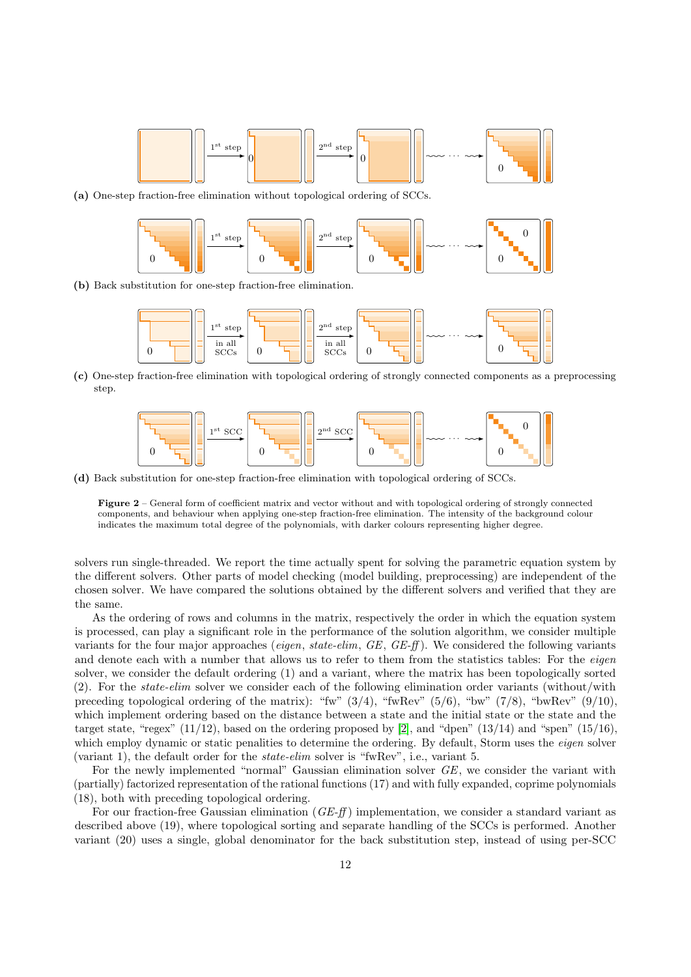<span id="page-11-0"></span>

(a) One-step fraction-free elimination without topological ordering of SCCs.



(b) Back substitution for one-step fraction-free elimination.



(c) One-step fraction-free elimination with topological ordering of strongly connected components as a preprocessing step.



(d) Back substitution for one-step fraction-free elimination with topological ordering of SCCs.

Figure 2 – General form of coefficient matrix and vector without and with topological ordering of strongly connected components, and behaviour when applying one-step fraction-free elimination. The intensity of the background colour indicates the maximum total degree of the polynomials, with darker colours representing higher degree.

solvers run single-threaded. We report the time actually spent for solving the parametric equation system by the different solvers. Other parts of model checking (model building, preprocessing) are independent of the chosen solver. We have compared the solutions obtained by the different solvers and verified that they are the same.

As the ordering of rows and columns in the matrix, respectively the order in which the equation system is processed, can play a significant role in the performance of the solution algorithm, we consider multiple variants for the four major approaches (eigen, state-elim,  $GE$ ,  $GE$ -ff). We considered the following variants and denote each with a number that allows us to refer to them from the statistics tables: For the *eigen* solver, we consider the default ordering (1) and a variant, where the matrix has been topologically sorted  $(2)$ . For the *state-elim* solver we consider each of the following elimination order variants (without/with preceding topological ordering of the matrix): "fw"  $(3/4)$ , "fwRev"  $(5/6)$ , "bw"  $(7/8)$ , "bwRev"  $(9/10)$ , which implement ordering based on the distance between a state and the initial state or the state and the target state, "regex"  $(11/12)$ , based on the ordering proposed by [\[2\]](#page-31-1), and "dpen"  $(13/14)$  and "spen"  $(15/16)$ , which employ dynamic or static penalities to determine the ordering. By default, Storm uses the *eigen* solver (variant 1), the default order for the state-elim solver is "fwRev", i.e., variant 5.

For the newly implemented "normal" Gaussian elimination solver GE, we consider the variant with (partially) factorized representation of the rational functions (17) and with fully expanded, coprime polynomials (18), both with preceding topological ordering.

For our fraction-free Gaussian elimination ( $GE-f\!f$ ) implementation, we consider a standard variant as described above (19), where topological sorting and separate handling of the SCCs is performed. Another variant (20) uses a single, global denominator for the back substitution step, instead of using per-SCC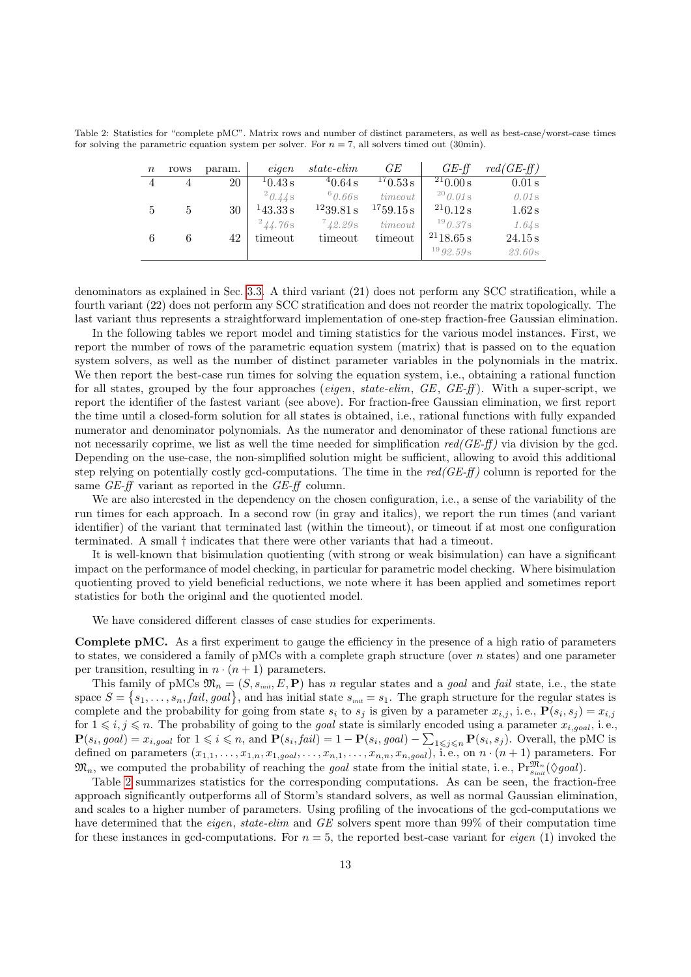<span id="page-12-0"></span>Table 2: Statistics for "complete pMC". Matrix rows and number of distinct parameters, as well as best-case/worst-case times for solving the parametric equation system per solver. For  $n = 7$ , all solvers timed out (30min).

| $\boldsymbol{n}$ | rows           | param. | eigen        | <i>state-elim</i> | GЕ        | $GE$ -ff       | $red(GE-ff)$ |
|------------------|----------------|--------|--------------|-------------------|-----------|----------------|--------------|
| 4                | $\overline{4}$ | 20     | 10.43 s      | 40.64 s           | 170.53 s  | $^{21}$ 0.00 s | 0.01 s       |
|                  |                |        | $^{2}0.44s$  | 60.66s            | time out  | $^{20}$ 0.01 s | $0.01$ s     |
| 5                |                | 30     | 143.33 s     | 1239.81 s         | 1759.15 s | $^{21}0.12$ s  | 1.62 s       |
|                  |                |        | $^{2}44.76s$ | 742.29s           | time out  | $^{19}$ 0.37s  | 1.64s        |
| 6                | 6              | 42     | timeout      | timeout           | timeout   | 2118.65 s      | 24.15 s      |
|                  |                |        |              |                   |           | $^{19}92.59s$  | 23.60s       |

denominators as explained in Sec. [3.3.](#page-10-3) A third variant (21) does not perform any SCC stratification, while a fourth variant (22) does not perform any SCC stratification and does not reorder the matrix topologically. The last variant thus represents a straightforward implementation of one-step fraction-free Gaussian elimination.

In the following tables we report model and timing statistics for the various model instances. First, we report the number of rows of the parametric equation system (matrix) that is passed on to the equation system solvers, as well as the number of distinct parameter variables in the polynomials in the matrix. We then report the best-case run times for solving the equation system, i.e., obtaining a rational function for all states, grouped by the four approaches (*eigen, state-elim, GE, GE-ff*). With a super-script, we report the identifier of the fastest variant (see above). For fraction-free Gaussian elimination, we first report the time until a closed-form solution for all states is obtained, i.e., rational functions with fully expanded numerator and denominator polynomials. As the numerator and denominator of these rational functions are not necessarily coprime, we list as well the time needed for simplification  $red(GE\text{-}ff)$  via division by the gcd. Depending on the use-case, the non-simplified solution might be sufficient, allowing to avoid this additional step relying on potentially costly gcd-computations. The time in the  $red(GE-ff)$  column is reported for the same GE-ff variant as reported in the GE-ff column.

We are also interested in the dependency on the chosen configuration, i.e., a sense of the variability of the run times for each approach. In a second row (in gray and italics), we report the run times (and variant identifier) of the variant that terminated last (within the timeout), or timeout if at most one configuration terminated. A small † indicates that there were other variants that had a timeout.

It is well-known that bisimulation quotienting (with strong or weak bisimulation) can have a significant impact on the performance of model checking, in particular for parametric model checking. Where bisimulation quotienting proved to yield beneficial reductions, we note where it has been applied and sometimes report statistics for both the original and the quotiented model.

We have considered different classes of case studies for experiments.

Complete pMC. As a first experiment to gauge the efficiency in the presence of a high ratio of parameters to states, we considered a family of pMCs with a complete graph structure (over  $n$  states) and one parameter per transition, resulting in  $n \cdot (n+1)$  parameters.

This family of pMCs  $\mathfrak{M}_n = (S, s_{\text{init}}, E, \mathbf{P})$  has n regular states and a *goal* and *fail* state, i.e., the state space  $S = \{s_1, \ldots, s_n, \text{fail}, \text{goal}\},$  and has initial state  $s_{\text{init}} = s_1$ . The graph structure for the regular states is complete and the probability for going from state  $s_i$  to  $s_j$  is given by a parameter  $x_{i,j}$ , i.e.,  $\mathbf{P}(s_i, s_j) = x_{i,j}$ for  $1 \leq i, j \leq n$ . The probability of going to the *goal* state is similarly encoded using a parameter  $x_{i, goal}$ , i.e.,  $\mathbf{P}(s_i, goal) = x_{i, goal}$  for  $1 \leq i \leq n$ , and  $\mathbf{P}(s_i, fail) = 1 - \mathbf{P}(s_i, goal) - \sum_{1 \leq j \leq n} \mathbf{P}(s_i, s_j)$ . Overall, the pMC is defined on parameters  $(x_{1,1},...,x_{1,n},x_{1,goal},...,x_{n,1},...,x_{n,n},x_{n,goal})$ , i.e., on  $n \cdot (n+1)$  parameters. For  $\mathfrak{M}_n$ , we computed the probability of reaching the *goal* state from the initial state, i.e.,  $\Pr_{s_{init}}^{\mathfrak{M}_n}(\Diamond goal)$ .

Table [2](#page-12-0) summarizes statistics for the corresponding computations. As can be seen, the fraction-free approach significantly outperforms all of Storm's standard solvers, as well as normal Gaussian elimination, and scales to a higher number of parameters. Using profiling of the invocations of the gcd-computations we have determined that the *eigen*, state-elim and GE solvers spent more than 99% of their computation time for these instances in gcd-computations. For  $n = 5$ , the reported best-case variant for *eigen* (1) invoked the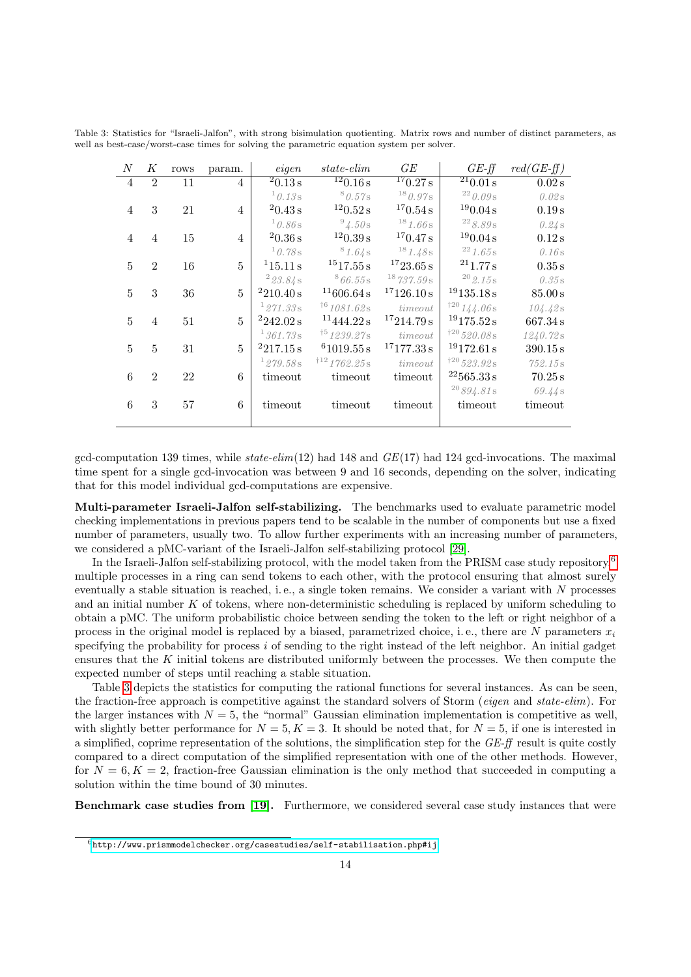| N                | Κ              | rows | param.         | eigen     | $state\text{-}elim$      | GE                       | $GE-f\!f$                 | $red(GE-ff)$        |
|------------------|----------------|------|----------------|-----------|--------------------------|--------------------------|---------------------------|---------------------|
| $\overline{4}$   | $\overline{2}$ | 11   | $\overline{4}$ | 20.13 s   | $\frac{12}{120.16}$ s    | $\frac{17}{0.27}$ s      | $\frac{21}{0.01}$ s       | 0.02 s              |
|                  |                |      |                | 10.13s    | 80.57s                   | $^{18}0.97s$             | 220.09s                   | 0.02s               |
| $\overline{4}$   | 3              | 21   | $\overline{4}$ | 20.43 s   | $^{12}$ 0.52 s           | 170.54 s                 | $^{19}$ 0.04 s            | 0.19 s              |
|                  |                |      |                | 10.86s    | $^{9}4.50$ s             | 181.66s                  | $^{22}\,8.89\,\mathrm{s}$ | 0.24s               |
| 4                | $\overline{4}$ | 15   | $\overline{4}$ | 20.36 s   | 120.39 s                 | 170.47 s                 | 190.04 s                  | $0.12$ s            |
|                  |                |      |                | 10.78s    | 81.64s                   | 181.48s                  | 221.65s                   | 0.16s               |
| 5                | $\overline{2}$ | 16   | 5              | 115.11 s  | $^{15}17.55\,\mathrm{s}$ | $^{17}23.65\,\mathrm{s}$ | $^{21}1.77 s$             | 0.35 s              |
|                  |                |      |                | 223.84s   | 866.55s                  | 18737.59s                | $^{20}$ $\rm 2.15\,s$     | 0.35s               |
| 5                | 3              | 36   | 5              | 2210.40 s | 11606.64 s               | 17126.10 s               | 19135.18 s                | $85.00\,\mathrm{s}$ |
|                  |                |      |                | 1271.33s  | 161081.62s               | time out                 | 120144.06s                | 104.42s             |
| 5                | $\overline{4}$ | 51   | 5              | 2242.02 s | 11444.22 s               | 17214.79 s               | 19175.52 s                | 667.34 s            |
|                  |                |      |                | 1361.73s  | 151239.27s               | time out                 | $*^{20}520.08s$           | 1240.72s            |
| 5                | $\overline{5}$ | 31   | 5              | 2217.15 s | 61019.55 s               | 17177.33 s               | 19172.61 s                | 390.15 s            |
|                  |                |      |                | 1279.58s  | 1121762.25s              | time out                 | $120 523.92$ s            | 752.15s             |
| $\boldsymbol{6}$ | $\overline{2}$ | 22   | 6              | timeout   | timeout                  | timeout                  | $^{22}565.33\,\mathrm{s}$ | 70.25 s             |
|                  |                |      |                |           |                          |                          | $^{20}894.81$ s           | 69.44 s             |
| 6                | 3              | 57   | 6              | timeout   | timeout                  | timeout                  | timeout                   | timeout             |
|                  |                |      |                |           |                          |                          |                           |                     |

<span id="page-13-1"></span>Table 3: Statistics for "Israeli-Jalfon", with strong bisimulation quotienting. Matrix rows and number of distinct parameters, as well as best-case/worst-case times for solving the parametric equation system per solver.

gcd-computation 139 times, while  $state\text{-}elim(12)$  had 148 and  $GE(17)$  had 124 gcd-invocations. The maximal time spent for a single gcd-invocation was between 9 and 16 seconds, depending on the solver, indicating that for this model individual gcd-computations are expensive.

Multi-parameter Israeli-Jalfon self-stabilizing. The benchmarks used to evaluate parametric model checking implementations in previous papers tend to be scalable in the number of components but use a fixed number of parameters, usually two. To allow further experiments with an increasing number of parameters, we considered a pMC-variant of the Israeli-Jalfon self-stabilizing protocol [\[29\]](#page-32-5).

In the Israeli-Jalfon self-stabilizing protocol, with the model taken from the PRISM case study repository, $6$ multiple processes in a ring can send tokens to each other, with the protocol ensuring that almost surely eventually a stable situation is reached, i.e., a single token remains. We consider a variant with  $N$  processes and an initial number K of tokens, where non-deterministic scheduling is replaced by uniform scheduling to obtain a pMC. The uniform probabilistic choice between sending the token to the left or right neighbor of a process in the original model is replaced by a biased, parametrized choice, i.e., there are N parameters  $x_i$ specifying the probability for process i of sending to the right instead of the left neighbor. An initial gadget ensures that the  $K$  initial tokens are distributed uniformly between the processes. We then compute the expected number of steps until reaching a stable situation.

Table [3](#page-13-1) depicts the statistics for computing the rational functions for several instances. As can be seen, the fraction-free approach is competitive against the standard solvers of Storm (eigen and state-elim). For the larger instances with  $N = 5$ , the "normal" Gaussian elimination implementation is competitive as well, with slightly better performance for  $N = 5, K = 3$ . It should be noted that, for  $N = 5$ , if one is interested in a simplified, coprime representation of the solutions, the simplification step for the  $GE-f\bar{f}$  result is quite costly compared to a direct computation of the simplified representation with one of the other methods. However, for  $N = 6, K = 2$ , fraction-free Gaussian elimination is the only method that succeeded in computing a solution within the time bound of 30 minutes.

Benchmark case studies from [\[19\]](#page-31-18). Furthermore, we considered several case study instances that were

<span id="page-13-0"></span> $^6$ <http://www.prismmodelchecker.org/casestudies/self-stabilisation.php#ij>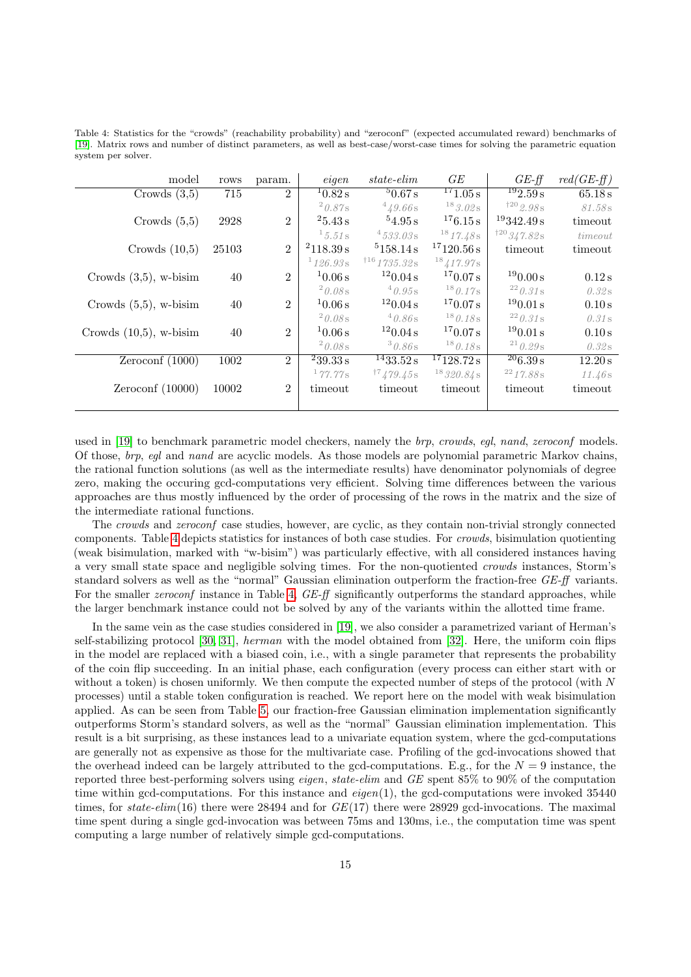<span id="page-14-0"></span>Table 4: Statistics for the "crowds" (reachability probability) and "zeroconf" (expected accumulated reward) benchmarks of [\[19\]](#page-31-18). Matrix rows and number of distinct parameters, as well as best-case/worst-case times for solving the parametric equation system per solver.

| model                     | rows  | param.         | eigen       | state-elim           | GE                        | $GE-f\!f$                                 | $red(GE-f\!f)$ |
|---------------------------|-------|----------------|-------------|----------------------|---------------------------|-------------------------------------------|----------------|
| Crowds $(3,5)$            | 715   | $\overline{2}$ | 10.82 s     | 50.67 s              | $^{17}1.05\,\mathrm{s}$   | $\frac{192.59 \text{ s}}{2.59 \text{ s}}$ | 65.18 s        |
|                           |       |                | $^{2}0.87s$ | 449.66s              | $^{18}3.02s$              | $*^{20}2.98s$                             | 81.58s         |
| Crowds $(5,5)$            | 2928  | $\overline{2}$ | 25.43 s     | 54.95 s              | 176.15 s                  | 19342.49 s                                | timeout        |
|                           |       |                | 15.51s      | 4533.03s             | 1817.48s                  | 120347.82s                                | timeout        |
| Crowds $(10,5)$           | 25103 | $\overline{2}$ | 2118.39 s   | 5158.14 s            | 17120.56 s                | timeout                                   | timeout        |
|                           |       |                | 1126.93s    | $116$ 1735.32s       | $^{18}$ 417.97s           |                                           |                |
| Crowds $(3,5)$ , w-bisim  | 40    | $\overline{2}$ | 10.06 s     | 120.04 s             | 170.07 s                  | 190.00 s                                  | 0.12 s         |
|                           |       |                | $20.08$ s   | $^{4}0.95s$          | $^{18}0.17s$              | $^{22}$ 0.31 s                            | 0.32s          |
| Crowds $(5,5)$ , w-bisim  | 40    | $\overline{2}$ | 10.06 s     | 120.04 s             | 170.07 s                  | 190.01 s                                  | 0.10 s         |
|                           |       |                | 20.08s      | 40.86s               | $^{18}$ 0.18 s            | $^{22}$ 0.31 s                            | 0.31s          |
| Crowds $(10,5)$ , w-bisim | 40    | $\overline{2}$ | 10.06 s     | 120.04 s             | 170.07 s                  | 190.01 s                                  | 0.10 s         |
|                           |       |                | $20.08$ s   | 30.86s               | $^{18}$ 0.18 s            | $^{21}$ 0.29s                             | 0.32s          |
| Zeroconf $(1000)$         | 1002  | $\overline{2}$ | 239.33 s    | $\frac{14}{33.52}$ s | 17128.72 s                | $^{20}$ 6.39 s                            | 12.20 s        |
|                           |       |                | 177.77s     | $^{17}$ 479.45s      | $^{18}320.84\,\mathrm{s}$ | $^{22}$ 17.88s                            | 11.46s         |
| Zeroconf $(10000)$        | 10002 | $\overline{2}$ | timeout     | timeout              | timeout                   | timeout                                   | timeout        |
|                           |       |                |             |                      |                           |                                           |                |

used in [\[19\]](#page-31-18) to benchmark parametric model checkers, namely the *brp, crowds, egl, nand, zeroconf* models. Of those, brp, egl and nand are acyclic models. As those models are polynomial parametric Markov chains, the rational function solutions (as well as the intermediate results) have denominator polynomials of degree zero, making the occuring gcd-computations very efficient. Solving time differences between the various approaches are thus mostly influenced by the order of processing of the rows in the matrix and the size of the intermediate rational functions.

The crowds and zeroconf case studies, however, are cyclic, as they contain non-trivial strongly connected components. Table [4](#page-14-0) depicts statistics for instances of both case studies. For crowds, bisimulation quotienting (weak bisimulation, marked with "w-bisim") was particularly effective, with all considered instances having a very small state space and negligible solving times. For the non-quotiented crowds instances, Storm's standard solvers as well as the "normal" Gaussian elimination outperform the fraction-free GE-ff variants. For the smaller *zeroconf* instance in Table [4,](#page-14-0) GE-ff significantly outperforms the standard approaches, while the larger benchmark instance could not be solved by any of the variants within the allotted time frame.

In the same vein as the case studies considered in [\[19\]](#page-31-18), we also consider a parametrized variant of Herman's self-stabilizing protocol [\[30,](#page-32-6) [31\]](#page-32-7), herman with the model obtained from [\[32\]](#page-32-8). Here, the uniform coin flips in the model are replaced with a biased coin, i.e., with a single parameter that represents the probability of the coin flip succeeding. In an initial phase, each configuration (every process can either start with or without a token) is chosen uniformly. We then compute the expected number of steps of the protocol (with N processes) until a stable token configuration is reached. We report here on the model with weak bisimulation applied. As can be seen from Table [5,](#page-15-0) our fraction-free Gaussian elimination implementation significantly outperforms Storm's standard solvers, as well as the "normal" Gaussian elimination implementation. This result is a bit surprising, as these instances lead to a univariate equation system, where the gcd-computations are generally not as expensive as those for the multivariate case. Profiling of the gcd-invocations showed that the overhead indeed can be largely attributed to the gcd-computations. E.g., for the  $N = 9$  instance, the reported three best-performing solvers using eigen, state-elim and GE spent 85% to 90% of the computation time within gcd-computations. For this instance and  $eigen(1)$ , the gcd-computations were invoked 35440 times, for state-elim(16) there were 28494 and for  $GE(17)$  there were 28929 gcd-invocations. The maximal time spent during a single gcd-invocation was between 75ms and 130ms, i.e., the computation time was spent computing a large number of relatively simple gcd-computations.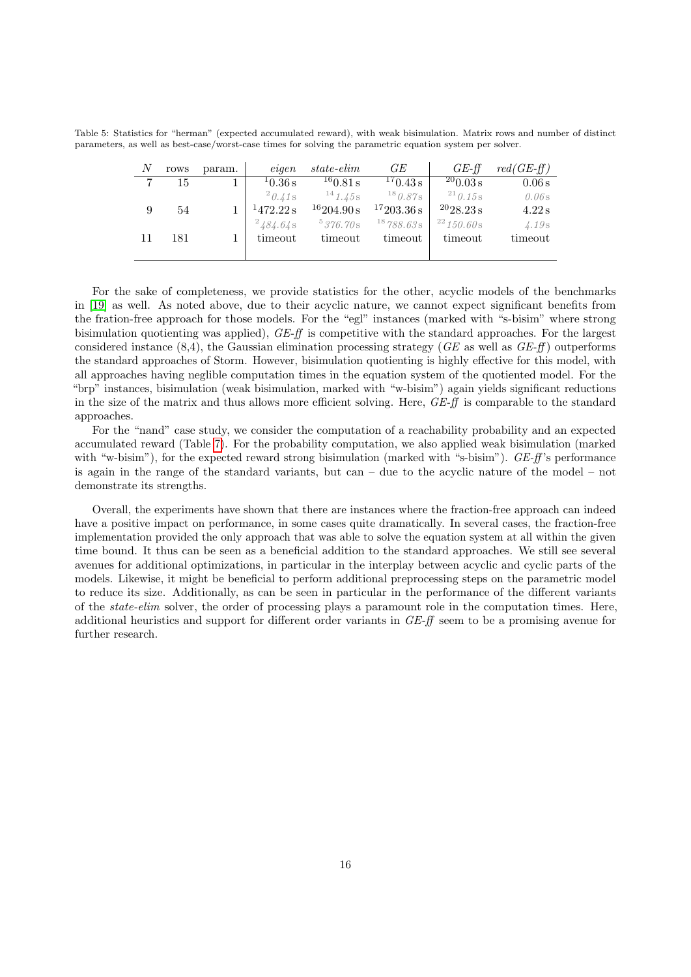<span id="page-15-0"></span>Table 5: Statistics for "herman" (expected accumulated reward), with weak bisimulation. Matrix rows and number of distinct parameters, as well as best-case/worst-case times for solving the parametric equation system per solver.

| N  | rows | param. | eigen        | state-elim   | GE           | $GE$ -ff        | $red(GE\text{-}ff)$ |
|----|------|--------|--------------|--------------|--------------|-----------------|---------------------|
| 7  | 15   |        | 10.36 s      | 160.81 s     | 170.43 s     | $^{20}$ 0.03 s  | 0.06 s              |
|    |      |        | $^{2}0.41$ s | $^{14}1.45s$ | $^{18}0.87s$ | $^{21}$ 0.15 s  | 0.06s               |
|    | 54   |        | 1472.22 s    | 16204.90 s   | 17203.36 s   | $^{20}$ 28.23 s | 4.22 s              |
|    |      |        | 2484.64s     | 5376.70s     | 18788.63 s   | $^{22}$ 150.60s | 4.19s               |
| 11 | 181  |        | timeout      | timeout      | timeout      | timeout         | timeout             |
|    |      |        |              |              |              |                 |                     |

For the sake of completeness, we provide statistics for the other, acyclic models of the benchmarks in [\[19\]](#page-31-18) as well. As noted above, due to their acyclic nature, we cannot expect significant benefits from the fration-free approach for those models. For the "egl" instances (marked with "s-bisim" where strong bisimulation quotienting was applied), GE-ff is competitive with the standard approaches. For the largest considered instance  $(8,4)$ , the Gaussian elimination processing strategy (GE as well as  $GE-ff$ ) outperforms the standard approaches of Storm. However, bisimulation quotienting is highly effective for this model, with all approaches having neglible computation times in the equation system of the quotiented model. For the "brp" instances, bisimulation (weak bisimulation, marked with "w-bisim") again yields significant reductions in the size of the matrix and thus allows more efficient solving. Here, GE-ff is comparable to the standard approaches.

For the "nand" case study, we consider the computation of a reachability probability and an expected accumulated reward (Table [7\)](#page-17-0). For the probability computation, we also applied weak bisimulation (marked with "w-bisim"), for the expected reward strong bisimulation (marked with "s-bisim").  $GE\text{-}ff\text{'s}$  performance is again in the range of the standard variants, but can – due to the acyclic nature of the model – not demonstrate its strengths.

Overall, the experiments have shown that there are instances where the fraction-free approach can indeed have a positive impact on performance, in some cases quite dramatically. In several cases, the fraction-free implementation provided the only approach that was able to solve the equation system at all within the given time bound. It thus can be seen as a beneficial addition to the standard approaches. We still see several avenues for additional optimizations, in particular in the interplay between acyclic and cyclic parts of the models. Likewise, it might be beneficial to perform additional preprocessing steps on the parametric model to reduce its size. Additionally, as can be seen in particular in the performance of the different variants of the state-elim solver, the order of processing plays a paramount role in the computation times. Here, additional heuristics and support for different order variants in GE-ff seem to be a promising avenue for further research.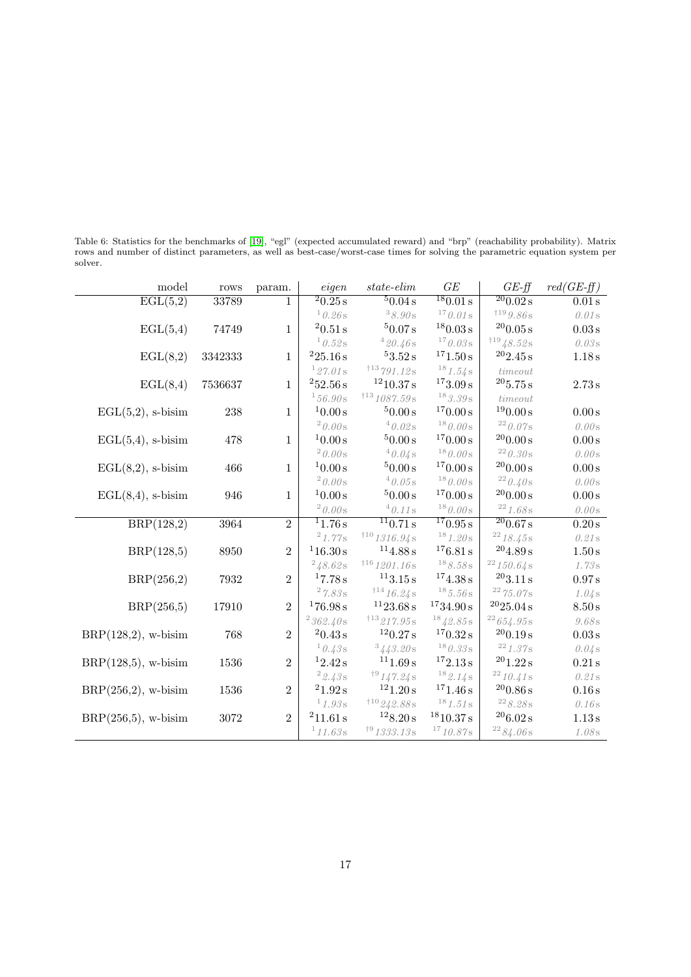Table 6: Statistics for the benchmarks of [\[19\]](#page-31-18), "egl" (expected accumulated reward) and "brp" (reachability probability). Matrix rows and number of distinct parameters, as well as best-case/worst-case times for solving the parametric equation system per solver.

| model                          | rows    | param.         | eigen                 | $state\text{-}elim$             | GE                                          | $GE-ff$                         | $red(GE-ff)$       |
|--------------------------------|---------|----------------|-----------------------|---------------------------------|---------------------------------------------|---------------------------------|--------------------|
| $\overline{\mathrm{EGL}(5,2)}$ | 33789   | 1              | 20.25s                | 50.04 s                         | 180.01 s                                    | $\overline{^{20}0.02}$ s        | 0.01 s             |
|                                |         |                | 10.26s                | 38.90s                          | $^{17} 0.01\,\mathrm{s}$                    | $*^{19}9.86s$                   | 0.01s              |
| $\text{EGL}(5,4)$              | 74749   | $\mathbf{1}$   | $^2 0.51\,\mathrm{s}$ | 50.07 s                         | $^{18}0.03\,\mathrm{s}$                     | 200.05 s                        | $0.03\,\mathrm{s}$ |
|                                |         |                | $10.52$ s             | $^4$ $20.46\,\mathrm{s}$        | $^{17}$ $0.03\,\mathrm{s}$                  | 11948.52s                       | 0.03s              |
| $\text{EGL}(8,2)$              | 3342333 | $\mathbf{1}$   | 225.16 s              | $^53.52\,\mathrm{s}$            | 171.50 s                                    | 202.45 s                        | 1.18 s             |
|                                |         |                | 127.01s               | 113791.12s                      | 181.54s                                     | time out                        |                    |
| $\text{EGL}(8,4)$              | 7536637 | $\mathbf{1}$   | $^252.56\,\mathrm{s}$ | 1210.37 s                       | $^{17}3.09\,\mathrm{s}$                     | $^{20}5.75\,\mathrm{s}$         | $2.73\,\mathrm{s}$ |
|                                |         |                | $^156.90\rm s$        | $^{\dagger13}$ 1087.59 s        | $^{18} \mathbf{\textit{3.39s}}$             | time out                        |                    |
| $\text{EGL}(5,2)$ , s-bisim    | 238     | $\mathbf 1$    | 10.00 s               | 50.00 s                         | 170.00 s                                    | 190.00 s                        | $0.00\,\mathrm{s}$ |
|                                |         |                | $20.00$ s             | $^4\,0.02\,\mathrm{s}$          | $^{18}$ $0.00\,\mathrm{s}$                  | $^{22}$ 0.07s                   | 0.00s              |
| $\text{EGL}(5,4)$ , s-bisim    | 478     | $\mathbf{1}$   | $10.00\,\mathrm{s}$   | $^50.00\,\mathrm{s}$            | $^{17}0.00\,\mathrm{s}$                     | 200.00 s                        | $0.00\,\mathrm{s}$ |
|                                |         |                | $20.00$ s             | 40.04s                          | $^{18}$ $0.00\,\mathrm{s}$                  | $^{22} 0.30 \, \mathrm{s}$      | 0.00s              |
| $\text{EGL}(8,2)$ , s-bisim    | 466     | $\mathbf{1}$   | 10.00 s               | 50.00 s                         | 170.00 s                                    | 200.00 s                        | $0.00\,\mathrm{s}$ |
|                                |         |                | $20.00$ s             | $^4\,0.05\,\mathrm{s}$          | $^{18}$ $0.00\,\mathrm{s}$                  | $^{22}$ $0.40\,\mathrm{s}$      | 0.00s              |
| $\text{EGL}(8,4)$ , s-bisim    | 946     | $\mathbf{1}$   | $10.00\,\mathrm{s}$   | $^50.00\,\mathrm{s}$            | $^{17}0.00\,\mathrm{s}$                     | $^{20}0.00\,\mathrm{s}$         | $0.00\,\mathrm{s}$ |
|                                |         |                | 20.00s                | $^4\,0.11\,\mathrm{s}$          | $^{18}$ $0.00\,\mathrm{s}$                  | $^{22}$ $1.68\,\mathrm{s}$      | 0.00s              |
| BRP(128,2)                     | 3964    | $\overline{2}$ | $\frac{11.76s}{ }$    | $\frac{11}{0.71}$ s             | $\frac{170.95 \text{ s}}{150.95 \text{ s}}$ | 200.67 s                        | 0.20 s             |
|                                |         |                | $^{2}$ 1.77s          | $*^{10}$ 1316.94 s              | $^{18}$ $1.20\,\mathrm{s}$                  | $^{22}$ 18.45s                  | 0.21s              |
| BRP(128,5)                     | 8950    | $\,2$          | 116.30 s              | $^{11}4.88\,\mathrm{s}$         | $^{17}6.81\,\mathrm{s}$                     | $^{20}4.89\,\mathrm{s}$         | 1.50 s             |
|                                |         |                | $^{2}$ 48.62s         | $^{\dagger16}$ 1201.16 s        | $^{18}$ $8.58\,\mathrm{s}$                  | 22150.64s                       | 1.73s              |
| BRP(256,2)                     | 7932    | $\overline{2}$ | 17.78 s               | $^{11}3.15\,\mathrm{s}$         | $^{17}4.38\,\mathrm{s}$                     | 203.11 s                        | 0.97 s             |
|                                |         |                | 27.83s                | 11416.24s                       | $18,5.56$ s                                 | 2275.07s                        | 1.04s              |
| BRP(256,5)                     | 17910   | $\overline{2}$ | 176.98 s              | $^{11}23.68\,\mathrm{s}$        | $^{17}34.90\,\mathrm{s}$                    | $^{20}25.04\,\mathrm{s}$        | 8.50 s             |
|                                |         |                | 362.40s               | 113217.95s                      | 1842.85s                                    | 22654.95s                       | 9.68s              |
| $BRP(128,2)$ , w-bisim         | 768     | $\overline{2}$ | 20.43 s               | 120.27 s                        | 170.32 s                                    | 200.19 s                        | $0.03\,\mathrm{s}$ |
|                                |         |                | 10.43s                | $^3\,443.20\,\mathrm{s}$        | $^{18}$ $0.33\,\mathrm{s}$                  | $^{22}1.37\mathrm{s}$           | 0.04s              |
| $BRP(128,5)$ , w-bisim         | 1536    | $\,2$          | 12.42 s               | 111.69 s                        | $^{17}2.13\,\mathrm{s}$                     | $^{20}1.22\,\mathrm{s}$         | $0.21\,\mathrm{s}$ |
|                                |         |                | 22.43s                | 19147.24s                       | 182.14s                                     | $^{22}$ 10.41 s                 | 0.21s              |
| $BRP(256,2)$ , w-bisim         | 1536    | $\overline{2}$ | 21.92 s               | 121.20 s                        | 171.46 s                                    | $^{20}0.86\,\mathrm{s}$         | 0.16 s             |
|                                |         |                | 11.93s                | $^{+10}$ $\!242.88\,\mathrm{s}$ | $^{18}1.51\,\mathrm{s}$                     | $^{22}\mathcal{8}.28\mathrm{s}$ | 0.16s              |
| $BRP(256,5)$ , w-bisim         | 3072    | $\overline{2}$ | 211.61 s              | 128.20 s                        | $^{18}10.37\,\mathrm{s}$                    | $^{20}6.02\,\mathrm{s}$         | 1.13 s             |
|                                |         |                | 11.63s                | $*^{9}1333.13s$                 | $^{17}$ 10.87 s                             | $^{22}$ $84.06\,\mathrm{s}$     | 1.08s              |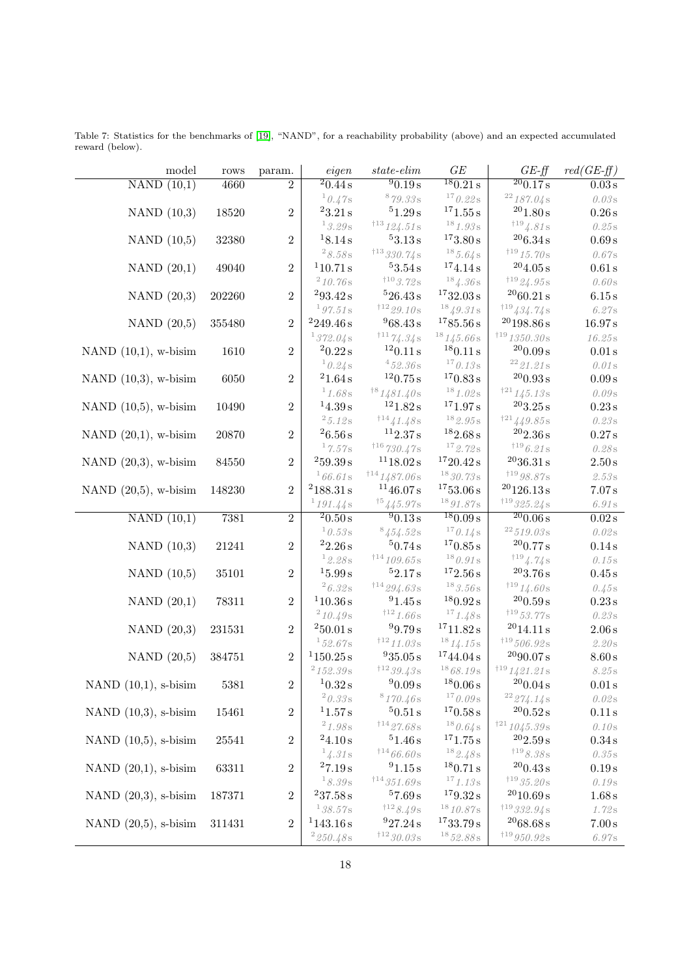| model                   | rows      | param.           | eigen                                          | $state\text{-}elim$                                | GE                                                     | $GE-ff$                                                          | $red(GE-f\!f)$               |
|-------------------------|-----------|------------------|------------------------------------------------|----------------------------------------------------|--------------------------------------------------------|------------------------------------------------------------------|------------------------------|
| NAND(10,1)              | 4660      | $\overline{2}$   | $\frac{20.44 \text{ s}}{20.44 \text{ s}}$      | $^{9}0.19 s$                                       | 180.21 s                                               | $\frac{200.17 \text{ s}}{200.17 \text{ s}}$                      | $0.03\,\mathrm{s}$           |
|                         |           |                  | 10.47s                                         | $^8\,79.33\,\mathrm{s}$                            | 170.22s                                                | 22187.04s                                                        | $0.03\,\mathrm{s}$           |
| NAND $(10,3)$           | 18520     | $\overline{2}$   | $^23.21\,\mathrm{s}$                           | 51.29 s                                            | $^{17}1.55\,\mathrm{s}$                                | $^{20}1.80\,\mathrm{s}$                                          | $0.26\,\mathrm{s}$           |
|                         |           |                  | 13.29s                                         | $^{\dagger13}$ 124.51 s                            | $^{18} \, \rm 1.93 \, \rm s$                           | 1194.81s                                                         | $0.25\,\mathrm{s}$           |
| NAND $(10,5)$           | 32380     | $\overline{2}$   | $^18.14\,\mathrm{s}$                           | 53.13 s                                            | 173.80 s                                               | $^{20}6.34\,\mathrm{s}$                                          | $0.69\,\mathrm{s}$           |
|                         |           |                  | $^2\,8.58\,\mathrm{s}$                         | $*^{13}330.74s$                                    | $18, 5, 64$ s                                          | $*^{19}15.70s$                                                   | $0.67\mathrm{s}$             |
| NAND $(20,1)$           | 49040     | $\overline{2}$   | $^110.71\,\mathrm{s}$                          | $^53.54\,\mathrm{s}$                               | 174.14 s                                               | $^{20}4.05\,\mathrm{s}$                                          | $0.61\,\mathrm{s}$           |
|                         |           |                  | $^{2}$ 10.76s                                  | $*^{10}3.72s$                                      | $^{18}$ 4.36s                                          | $^{\dagger19}$ $\!24.95\,\mathrm{s}$                             | $0.60\,\mathrm{s}$           |
| NAND $(20,3)$           | 202260    | $\overline{2}$   | 293.42 s                                       | 526.43 s                                           | $^{17}32.03\,\mathrm{s}$                               | 2060.21 s                                                        | $6.15\,\mathrm{s}$           |
|                         |           |                  | 197.51 s                                       | $^{\dagger 12}$ 29.10 s                            | $^{18} \mathcal{\mathcal{\mathcal{Q}}}.31\,\mathrm{s}$ | $^{\dagger19}$ 434.74 s                                          | $6.27\mathrm{s}$             |
| NAND $(20,5)$           | 355480    | $\overline{2}$   | $^2249.46\,\mathrm{s}$                         | 968.43 s                                           | 1785.56 s                                              | $\rm ^{20}198.86\,s$                                             | $16.97\,\mathrm{s}$          |
|                         |           |                  | 1372.04 s                                      | $111\frac{74.34s}{5}$                              | $^{18}$ $145.66\,\mathrm{s}$                           | 1191350.30s                                                      | $16.25\,\mathrm{s}$          |
| NAND $(10,1)$ , w-bisim | 1610      | $\overline{2}$   | $20.22$ s                                      | 120.11 s                                           | $^{18}0.11\,\mathrm{s}$                                | $^{20}0.09\,\mathrm{s}$                                          | $0.01\,\mathrm{s}$           |
|                         |           |                  | 10.24s                                         | 452.36s                                            | $^{17}0.13\rm s$                                       | $^{22} \, 21.21 \, \mathrm{s}$                                   | $0.01\,\mathrm{s}$           |
| NAND $(10,3)$ , w-bisim | $6050\,$  | $\overline{2}$   | $^21.64\,\mathrm{s}$                           | $^{12}0.75\,\mathrm{s}$                            | 170.83 s                                               | $^{20} 0.93\,\mathrm{s}$                                         | $0.09\,\mathrm{s}$           |
|                         |           |                  | $^1$ $1.68\,\mathrm{s}$                        | $^{\dagger8}1481.40\rm{s}$                         | 181.02s                                                | $^{\dagger21}$ 145.13 s                                          | $0.09\,\mathrm{s}$           |
| NAND $(10,5)$ , w-bisim | 10490     | $\overline{2}$   | $14.39\,\mathrm{s}$                            | $^{12}1.82\,\mathrm{s}$                            | 171.97 s<br>$^{18}$ $\boldsymbol{2.95\,\mathrm{s}}$    | $^{20}3.25\,\mathrm{s}$                                          | $0.23\,\mathrm{s}$           |
|                         |           |                  | $^2\,5.12\,\mathrm{s}$<br>$^26.56\,\mathrm{s}$ | $^{\dagger14}$ $\!41.48\!\:\mathrm{s}$<br>112.37 s | $^{18}2.68\,\mathrm{s}$                                | $^{\dagger21}$ $\!449.85\,\mathrm{s}$<br>$^{20}2.36\,\mathrm{s}$ | $0.23\,\mathrm{s}$           |
| NAND $(20,1)$ , w-bisim | 20870     | $\overline{2}$   | 17.57s                                         | 116730.47s                                         | $^{17}$ 2.72s                                          | $^{\dagger19}$ $\!6.21\,\mathrm{s}$                              | $0.27\,\mathrm{s}$           |
|                         |           | $\overline{2}$   | $^259.39\,\mathrm{s}$                          | $^{11}18.02\,\mathrm{s}$                           | $^{17}20.42\,\mathrm{s}$                               | $^{20}36.31\,\mathrm{s}$                                         | $0.28\,\mathrm{s}$<br>2.50 s |
| NAND $(20,3)$ , w-bisim | 84550     |                  | 166.61s                                        | $^{\dagger14}$ 1487.06 s                           | $^{18}30.73\,\mathrm{s}$                               | $^{\dagger19}$ 98.87s                                            |                              |
| NAND $(20,5)$ , w-bisim | 148230    | $\overline{2}$   | $^2188.31\,\mathrm{s}$                         | 1146.07 s                                          | 1753.06 s                                              | $^{20}126.13\,\mathrm{s}$                                        | $2.53\,\mathrm{s}$<br>7.07 s |
|                         |           |                  | 1191.44s                                       | $^{\dagger 5}445.97\mathrm{s}$                     | $^{18}91.87s$                                          | $119$ 325.24 s                                                   | $6.91\,\mathrm{s}$           |
| NAND(10,1)              | 7381      | $\overline{2}$   | 20.50 s                                        | 90.13 s                                            | 180.09 s                                               | 200.06 s                                                         | 0.02 s                       |
|                         |           |                  | 10.53s                                         | $8454.52$ s                                        | 170.14s                                                | $22\,519.03\,\mathrm{s}$                                         | $0.02\,\mathrm{s}$           |
| NAND $(10,3)$           | 21241     | $\overline{2}$   | $^22.26\,\mathrm{s}$                           | 50.74 s                                            | 170.85 s                                               | $^{20}0.77\,\mathrm{s}$                                          | $0.14\,\mathrm{s}$           |
|                         |           |                  | 12.28s                                         | $*$ <sup>14</sup> 109.65s                          | $^{18} 0.91\,\mathrm{s}$                               | $^{119}$ 4.74s                                                   | $0.15\,\mathrm{s}$           |
| NAND $(10,5)$           | 35101     | $\overline{2}$   | 15.99 s                                        | 52.17 s                                            | $^{17}2.56\,\mathrm{s}$                                | $^{20}3.76\,\mathrm{s}$                                          | $0.45\,\mathrm{s}$           |
|                         |           |                  | 26.32s                                         | $^{\dagger14}$ 294.63 s                            | 183.56s                                                | $^{\dagger19}$ $14.60\,\mathrm{s}$                               | 0.45s                        |
| NAND $(20,1)$           | 78311     | $\overline{2}$   | $^110.36\,\mathrm{s}$                          | $^{9}1.45s$                                        | $^{18}0.92\,\mathrm{s}$                                | $^{20} 0.59\,\mathrm{s}$                                         | $0.23\,\mathrm{s}$           |
|                         |           |                  | $^{2}10.49s$                                   | 1121.66s                                           | 171.48s                                                | $^{\dagger19}53.77\mathrm{s}$                                    | $0.23\,\mathrm{s}$           |
| NAND $(20,3)$           | 231531    | $\overline{2}$   | $^250.01\,\mathrm{s}$                          | 99.79 s                                            | $^{17}11.82\,\mathrm{s}$                               | $^{20}14.11\,\mathrm{s}$                                         | $2.06\,\mathrm{s}$           |
|                         |           |                  | $^1$ 52.67 s                                   | $^{\dagger 12}$ 11.03s                             | 1814.15s                                               | $^{\dagger19}$ 506.92 s                                          | $2.20\,\mathrm{s}$           |
| NAND $(20,5)$           | 384751    | $\overline{2}$   | 1150.25 s                                      | $^935.05\,\mathrm{s}$                              | 1744.04 s                                              | $^{20}90.07\,\mathrm{s}$                                         | $8.60\,\mathrm{s}$           |
|                         |           |                  | $^2$ 152.39 s                                  | $^{\dagger12}$ $39.43\,\mathrm{s}$                 | $^{18}68.19\,\mathrm{s}$                               | 1191421.21s                                                      | $8.25\,\mathrm{s}$           |
| NAND $(10,1)$ , s-bisim | $5381\,$  | $\overline{2}$   | 10.32 s                                        | $^90.09\,\mathrm{s}$                               | $^{18}0.06\,\mathrm{s}$                                | $^{20} 0.04\,\mathrm{s}$                                         | $0.01\,\mathrm{s}$           |
|                         |           |                  | $^2\,0.33\,\mathrm{s}$                         | 8170.46s                                           | 170.09s                                                | 22274.14s                                                        | 0.02s                        |
| NAND $(10,3)$ , s-bisim | 15461     | $\overline{2}$   | $^11.57\,\mathrm{s}$                           | 50.51 s                                            | 170.58 s                                               | $^{20} 0.52\,\mathrm{s}$                                         | 0.11 s                       |
|                         |           |                  | $^2$ 1.98 s                                    | $^{\dagger14}$ 27.68 s                             | 180.64s                                                | $^{\dagger21}$ $1045.39\,\mathrm{s}$                             | 0.10s                        |
| NAND $(10,5)$ , s-bisim | $25541\,$ | $\overline{2}$   | 24.10 s                                        | 51.46 s                                            | 171.75 s                                               | $^{20}2.59\,\mathrm{s}$                                          | 0.34 s                       |
|                         |           |                  | 14.31s                                         | $^{\dagger14}$ $66.60\,\mathrm{s}$                 | 182.48s                                                | $*^{19}8.38s$                                                    | $0.35\,\mathrm{s}$           |
| NAND $(20,1)$ , s-bisim | 63311     | $\overline{2}$   | 27.19 s                                        | 91.15 s                                            | 180.71 s                                               | $^{20} 0.43\,\mathrm{s}$                                         | 0.19 s                       |
|                         |           |                  | 18.39s                                         | $*14351.69s$                                       | $^{17}1.13s$                                           | $^{\dagger19}$ $35.20\,\mathrm{s}$                               | $0.19\,\mathrm{s}$           |
| NAND $(20,3)$ , s-bisim | 187371    | $\overline{2}$   | 237.58 s                                       | 57.69 s                                            | 179.32 s                                               | $^{20}10.69\,\mathrm{s}$                                         | $1.68\,\mathrm{s}$           |
|                         |           |                  | 138.57s                                        | $*^{12}8.49s$                                      | $^{18}10.87s$                                          | $119$ 332.94 s                                                   | $1.72\,\mathrm{s}$           |
| NAND $(20,5)$ , s-bisim | 311431    | $\boldsymbol{2}$ | 1143.16 s                                      | 927.24 s                                           | 1733.79 s                                              | $^{20}68.68\,\mathrm{s}$                                         | $7.00\,\mathrm{s}$           |
|                         |           |                  | 2250.48s                                       | $*^{12}30.03s$                                     | $^{18}52.88s$                                          | $^{\dagger19}$ 950.92 s                                          | $6.97\mathrm{s}$             |

<span id="page-17-0"></span>Table 7: Statistics for the benchmarks of [\[19\]](#page-31-18), "NAND", for a reachability probability (above) and an expected accumulated reward (below).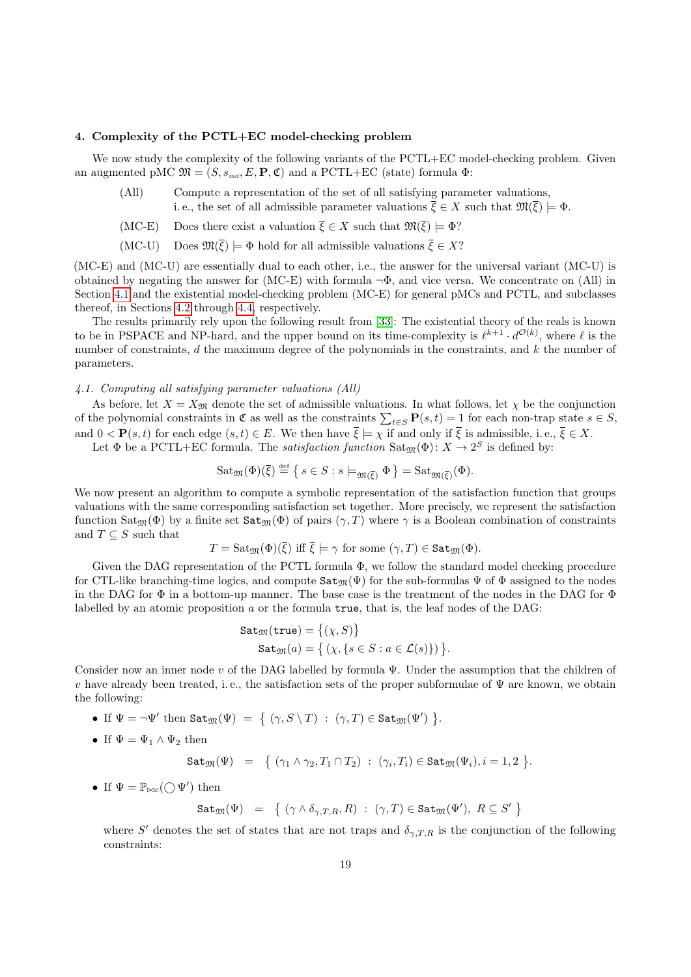### <span id="page-18-0"></span>4. Complexity of the PCTL+EC model-checking problem

We now study the complexity of the following variants of the PCTL+EC model-checking problem. Given an augmented pMC  $\mathfrak{M} = (S, s_{\text{init}}, E, \mathbf{P}, \mathfrak{C})$  and a PCTL+EC (state) formula  $\Phi$ :

- (All) Compute a representation of the set of all satisfying parameter valuations, i.e., the set of all admissible parameter valuations  $\overline{\xi} \in X$  such that  $\mathfrak{M}(\overline{\xi}) \models \Phi$ .
- (MC-E) Does there exist a valuation  $\overline{\xi} \in X$  such that  $\mathfrak{M}(\overline{\xi}) \models \Phi$ ?
- (MC-U) Does  $\mathfrak{M}(\overline{\xi}) \models \Phi$  hold for all admissible valuations  $\overline{\xi} \in X$ ?

(MC-E) and (MC-U) are essentially dual to each other, i.e., the answer for the universal variant (MC-U) is obtained by negating the answer for (MC-E) with formula  $\neg \Phi$ , and vice versa. We concentrate on (All) in Section [4.1](#page-18-1) and the existential model-checking problem (MC-E) for general pMCs and PCTL, and subclasses thereof, in Sections [4.2](#page-20-1) through [4.4,](#page-28-0) respectively.

The results primarily rely upon the following result from [\[33\]](#page-32-9): The existential theory of the reals is known to be in PSPACE and NP-hard, and the upper bound on its time-complexity is  $\ell^{k+1} \cdot d^{\mathcal{O}(k)}$ , where  $\ell$  is the number of constraints, d the maximum degree of the polynomials in the constraints, and k the number of parameters.

# <span id="page-18-1"></span>4.1. Computing all satisfying parameter valuations (All)

As before, let  $X = X_{\mathfrak{M}}$  denote the set of admissible valuations. In what follows, let  $\chi$  be the conjunction of the polynomial constraints in  $\mathfrak{C}$  as well as the constraints  $\sum_{t\in S} \mathbf{P}(s,t) = 1$  for each non-trap state  $s \in S$ , and  $0 < \mathbf{P}(s,t)$  for each edge  $(s,t) \in E$ . We then have  $\overline{\xi} \models \chi$  if and only if  $\overline{\xi}$  is admissible, i.e.,  $\overline{\xi} \in X$ .

Let  $\Phi$  be a PCTL+EC formula. The *satisfaction function*  $\text{Sat}_{\mathfrak{M}}(\Phi)$ :  $X \to 2^S$  is defined by:

$$
Sat_{\mathfrak{M}}(\Phi)(\overline{\xi}) \stackrel{\text{def}}{=} \{ s \in S : s \models_{\mathfrak{M}(\overline{\xi})} \Phi \} = Sat_{\mathfrak{M}(\overline{\xi})}(\Phi).
$$

We now present an algorithm to compute a symbolic representation of the satisfaction function that groups valuations with the same corresponding satisfaction set together. More precisely, we represent the satisfaction function  $\text{Sat}_{\mathfrak{M}}(\Phi)$  by a finite set  $\text{Sat}_{\mathfrak{M}}(\Phi)$  of pairs  $(\gamma, T)$  where  $\gamma$  is a Boolean combination of constraints and  $T \subseteq S$  such that

$$
T = \mathrm{Sat}_{\mathfrak{M}}(\Phi)(\overline{\xi}) \text{ iff } \overline{\xi} \models \gamma \text{ for some } (\gamma, T) \in \mathtt{Sat}_{\mathfrak{M}}(\Phi).
$$

Given the DAG representation of the PCTL formula  $\Phi$ , we follow the standard model checking procedure for CTL-like branching-time logics, and compute  $\texttt{Sat}_{\mathfrak{M}}(\Psi)$  for the sub-formulas  $\Psi$  of  $\Phi$  assigned to the nodes in the DAG for  $\Phi$  in a bottom-up manner. The base case is the treatment of the nodes in the DAG for  $\Phi$ labelled by an atomic proposition  $a$  or the formula  $true$ , that is, the leaf nodes of the DAG:

$$
Sat_{\mathfrak{M}}(\mathsf{true}) = \{(\chi, S)\}
$$
  

$$
Sat_{\mathfrak{M}}(a) = \{(\chi, \{s \in S : a \in \mathcal{L}(s)\})\}.
$$

Consider now an inner node v of the DAG labelled by formula  $\Psi$ . Under the assumption that the children of v have already been treated, i.e., the satisfaction sets of the proper subformulae of  $\Psi$  are known, we obtain the following:

• If  $\Psi = \neg \Psi'$  then  $\texttt{Sat}_{\mathfrak{M}}(\Psi) = \{ (\gamma, S \setminus T) : (\gamma, T) \in \texttt{Sat}_{\mathfrak{M}}(\Psi') \}$ .

• If 
$$
\Psi = \Psi_1 \wedge \Psi_2
$$
 then

$$
\mathtt{Sat}_\mathfrak{M}(\Psi) \ \ = \ \ \big\{\ (\gamma_1 \wedge \gamma_2, T_1 \cap T_2)\ :\ (\gamma_i, T_i) \in \mathtt{Sat}_\mathfrak{M}(\Psi_i), i=1,2\ \big\}.
$$

• If  $\Psi = \mathbb{P}_{\bowtie c}(\bigcirc \Psi')$  then

 $\texttt{Sat}_{\mathfrak{M}}(\Psi) = \{ (\gamma \wedge \delta_{\gamma,T,R}, R) : (\gamma, T) \in \texttt{Sat}_{\mathfrak{M}}(\Psi'), R \subseteq S' \}$ 

where S' denotes the set of states that are not traps and  $\delta_{\gamma,T,R}$  is the conjunction of the following constraints: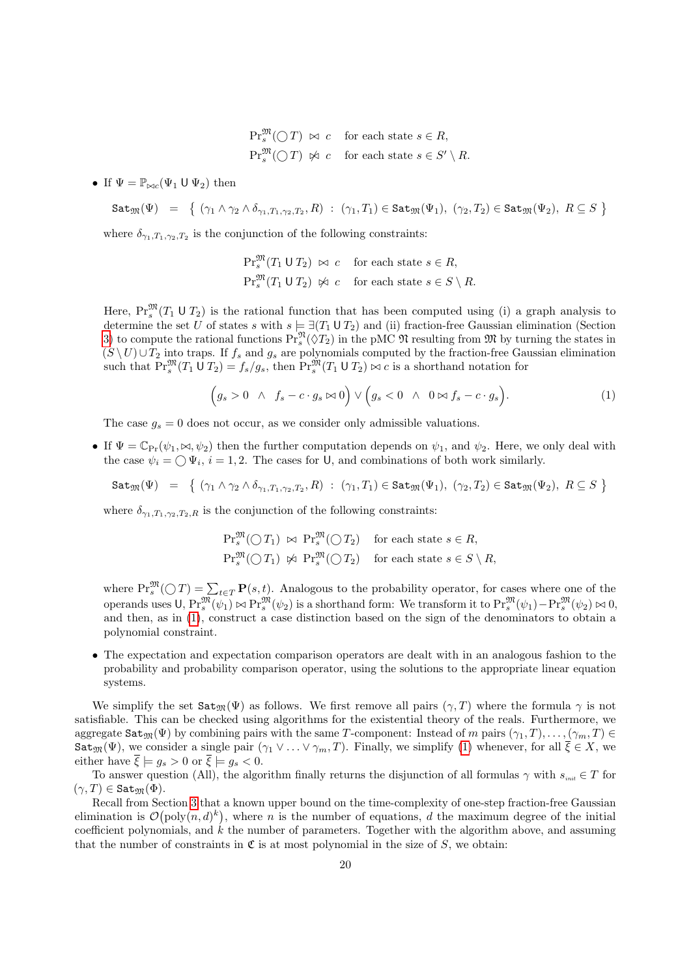- $\Pr_s^{\mathfrak{M}}(\bigcirc T) \bowtie c$  for each state  $s \in R$ ,  $\Pr^{\mathfrak{M}}_s(\bigcirc T) \not\Join c \quad \text{for each state } s \in S' \setminus R.$
- If  $\Psi = \mathbb{P}_{\bowtie c}(\Psi_1 \cup \Psi_2)$  then

$$
\mathtt{Sat}_{\mathfrak{M}}(\Psi) = \{ (\gamma_1 \wedge \gamma_2 \wedge \delta_{\gamma_1, T_1, \gamma_2, T_2}, R) : (\gamma_1, T_1) \in \mathtt{Sat}_{\mathfrak{M}}(\Psi_1), (\gamma_2, T_2) \in \mathtt{Sat}_{\mathfrak{M}}(\Psi_2), R \subseteq S \}
$$

where  $\delta_{\gamma_1, T_1, \gamma_2, T_2}$  is the conjunction of the following constraints:

<span id="page-19-0"></span>
$$
\Pr_s^{\mathfrak{M}}(T_1 \cup T_2) \bowtie c \quad \text{for each state } s \in R,
$$
  

$$
\Pr_s^{\mathfrak{M}}(T_1 \cup T_2) \bowtie c \quad \text{for each state } s \in S \setminus R.
$$

Here,  $Pr_s^{\mathfrak{M}}(T_1 \cup T_2)$  is the rational function that has been computed using (i) a graph analysis to determine the set U of states s with  $s \models \exists (T_1 \cup T_2)$  and (ii) fraction-free Gaussian elimination (Section [3\)](#page-6-0) to compute the rational functions  $\Pr_s^{\mathfrak{N}}(\hat{\vee} T_2)$  in the pMC  $\mathfrak{N}$  resulting from  $\mathfrak{M}$  by turning the states in  $(S \setminus U) \cup T_2$  into traps. If  $f_s$  and  $g_s$  are polynomials computed by the fraction-free Gaussian elimination such that  $\Pr_s^{\mathfrak{M}}(T_1 \cup T_2) = f_s/g_s$ , then  $\Pr_s^{\mathfrak{M}}(T_1 \cup T_2) \bowtie c$  is a shorthand notation for

$$
(g_s > 0 \ \land \ f_s - c \cdot g_s \bowtie 0) \lor (g_s < 0 \ \land \ 0 \bowtie f_s - c \cdot g_s).
$$
 (1)

The case  $g_s = 0$  does not occur, as we consider only admissible valuations.

• If  $\Psi = \mathbb{C}_{\text{Pr}}(\psi_1, \bowtie, \psi_2)$  then the further computation depends on  $\psi_1$ , and  $\psi_2$ . Here, we only deal with the case  $\psi_i = \bigcirc \Psi_i$ ,  $i = 1, 2$ . The cases for U, and combinations of both work similarly.

$$
\mathtt{Sat}_\mathfrak{M}(\Psi) \ \ = \ \ \big\{\ (\gamma_1 \wedge \gamma_2 \wedge \delta_{\gamma_1, T_1, \gamma_2, T_2}, R) \ : \ (\gamma_1, T_1) \in \mathtt{Sat}_\mathfrak{M}(\Psi_1), \ (\gamma_2, T_2) \in \mathtt{Sat}_\mathfrak{M}(\Psi_2), \ R \subseteq S \ \big\}
$$

where  $\delta_{\gamma_1,T_1,\gamma_2,T_2,R}$  is the conjunction of the following constraints:

$$
\begin{aligned} \Pr_{s}^{\mathfrak{M}}(\bigcirc T_{1}) &\approx \Pr_{s}^{\mathfrak{M}}(\bigcirc T_{2}) \quad \text{for each state } s \in R, \\ \Pr_{s}^{\mathfrak{M}}(\bigcirc T_{1}) &\approx \Pr_{s}^{\mathfrak{M}}(\bigcirc T_{2}) \quad \text{for each state } s \in S \setminus R, \end{aligned}
$$

where  $\Pr_s^{\mathfrak{M}}(\bigcirc T) = \sum_{t \in T} \mathbf{P}(s,t)$ . Analogous to the probability operator, for cases where one of the operands uses  $\mathsf{U}, \Pr_s^{\mathfrak{M}}(\psi_1) \bowtie \Pr_s^{\mathfrak{M}}(\psi_2)$  is a shorthand form: We transform it to  $\Pr_s^{\mathfrak{M}}(\psi_1) - \Pr_s^{\mathfrak{M}}(\psi_2) \bowtie 0$ , and then, as in [\(1\)](#page-19-0), construct a case distinction based on the sign of the denominators to obtain a polynomial constraint.

• The expectation and expectation comparison operators are dealt with in an analogous fashion to the probability and probability comparison operator, using the solutions to the appropriate linear equation systems.

We simplify the set  $\text{Sat}_{\mathfrak{M}}(\Psi)$  as follows. We first remove all pairs  $(\gamma, T)$  where the formula  $\gamma$  is not satisfiable. This can be checked using algorithms for the existential theory of the reals. Furthermore, we aggregate  $\texttt{Sat}_{\mathfrak{M}}(\Psi)$  by combining pairs with the same T-component: Instead of m pairs  $(\gamma_1, T), \ldots, (\gamma_m, T) \in$  $\texttt{Sat}_{\mathfrak{M}}(\Psi)$ , we consider a single pair  $(\gamma_1 \vee \ldots \vee \gamma_m, T)$ . Finally, we simplify [\(1\)](#page-19-0) whenever, for all  $\overline{\xi} \in X$ , we either have  $\overline{\xi} \models q_s > 0$  or  $\overline{\xi} \models q_s < 0$ .

To answer question (All), the algorithm finally returns the disjunction of all formulas  $\gamma$  with  $s_{\text{init}} \in T$  for  $(\gamma, T) \in$  Sat<sub>M</sub>( $\Phi$ ).

Recall from Section [3](#page-6-0) that a known upper bound on the time-complexity of one-step fraction-free Gaussian elimination is  $\mathcal{O}(\text{poly}(n,d)^k)$ , where *n* is the number of equations, *d* the maximum degree of the initial coefficient polynomials, and  $k$  the number of parameters. Together with the algorithm above, and assuming that the number of constraints in  $\mathfrak C$  is at most polynomial in the size of S, we obtain: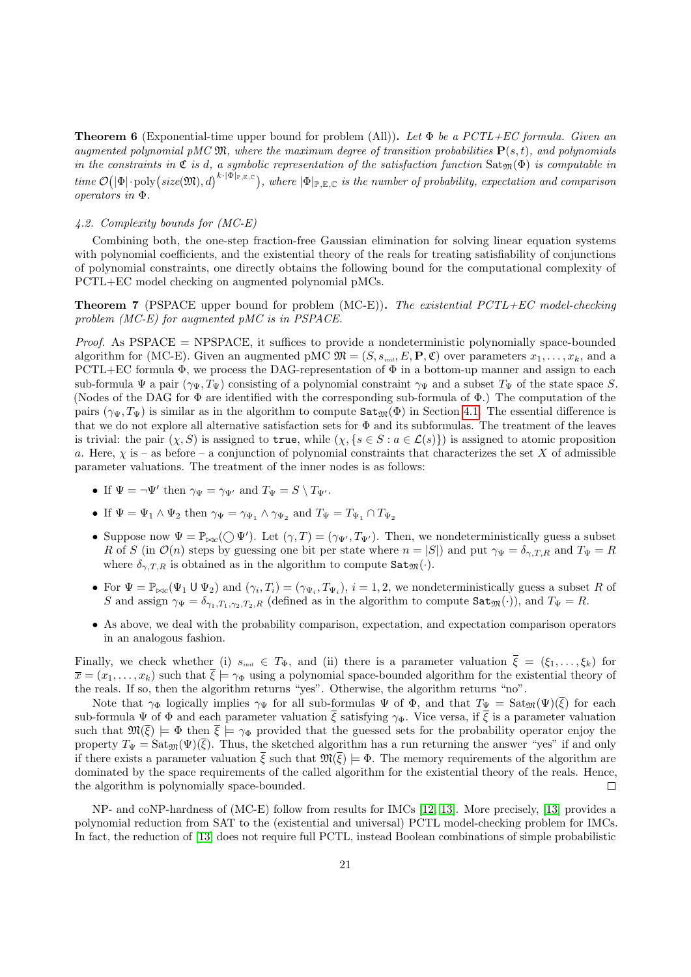**Theorem 6** (Exponential-time upper bound for problem (All)). Let  $\Phi$  be a PCTL+EC formula. Given an augmented polynomial pMC  $\mathfrak{M}$ , where the maximum degree of transition probabilities  $\mathbf{P}(s,t)$ , and polynomials in the constraints in  $\mathfrak C$  is d, a symbolic representation of the satisfaction function  $\text{Sat}_{\mathfrak{M}}(\Phi)$  is computable in time  $\mathcal{O}(|\Phi| \cdot \text{poly}(size(\mathfrak{M}), d)^{k \cdot |\Phi|_{\mathbb{P}, \mathbb{E}, \mathbb{C}}})$ , where  $|\Phi|_{\mathbb{P}, \mathbb{E}, \mathbb{C}}$  is the number of probability, expectation and comparison operators in Φ.

## <span id="page-20-1"></span>4.2. Complexity bounds for (MC-E)

Combining both, the one-step fraction-free Gaussian elimination for solving linear equation systems with polynomial coefficients, and the existential theory of the reals for treating satisfiability of conjunctions of polynomial constraints, one directly obtains the following bound for the computational complexity of PCTL+EC model checking on augmented polynomial pMCs.

<span id="page-20-0"></span>**Theorem 7** (PSPACE upper bound for problem (MC-E)). The existential PCTL+EC model-checking problem (MC-E) for augmented pMC is in PSPACE.

*Proof.* As  $PSPACE = NPSPACE$ , it suffices to provide a nondeterministic polynomially space-bounded algorithm for (MC-E). Given an augmented pMC  $\mathfrak{M} = (S, s_{\text{init}}, E, \mathbf{P}, \mathfrak{C})$  over parameters  $x_1, \ldots, x_k$ , and a PCTL+EC formula  $\Phi$ , we process the DAG-representation of  $\Phi$  in a bottom-up manner and assign to each sub-formula  $\Psi$  a pair  $(\gamma_{\Psi}, T_{\Psi})$  consisting of a polynomial constraint  $\gamma_{\Psi}$  and a subset  $T_{\Psi}$  of the state space S. (Nodes of the DAG for Φ are identified with the corresponding sub-formula of Φ.) The computation of the pairs  $(\gamma_{\Psi}, T_{\Psi})$  is similar as in the algorithm to compute  $\text{Sat}_{\mathfrak{M}}(\Phi)$  in Section [4.1.](#page-18-1) The essential difference is that we do not explore all alternative satisfaction sets for  $\Phi$  and its subformulas. The treatment of the leaves is trivial: the pair  $(\chi, S)$  is assigned to true, while  $(\chi, \{s \in S : a \in \mathcal{L}(s)\})$  is assigned to atomic proposition a. Here,  $\chi$  is – as before – a conjunction of polynomial constraints that characterizes the set X of admissible parameter valuations. The treatment of the inner nodes is as follows:

- If  $\Psi = \neg \Psi'$  then  $\gamma_{\Psi} = \gamma_{\Psi'}$  and  $T_{\Psi} = S \setminus T_{\Psi'}$ .
- If  $\Psi = \Psi_1 \wedge \Psi_2$  then  $\gamma_{\Psi} = \gamma_{\Psi_1} \wedge \gamma_{\Psi_2}$  and  $T_{\Psi} = T_{\Psi_1} \cap T_{\Psi_2}$
- Suppose now  $\Psi = \mathbb{P}_{\bowtie c}(\bigcirc \Psi')$ . Let  $(\gamma, T) = (\gamma_{\Psi'}, T_{\Psi'})$ . Then, we nondeterministically guess a subset R of S (in  $\mathcal{O}(n)$  steps by guessing one bit per state where  $n = |S|$ ) and put  $\gamma_{\Psi} = \delta_{\gamma, T, R}$  and  $T_{\Psi} = R$ where  $\delta_{\gamma,T,R}$  is obtained as in the algorithm to compute  $\texttt{Sat}_{\mathfrak{M}}(\cdot)$ .
- For  $\Psi = \mathbb{P}_{\bowtie c}(\Psi_1 \cup \Psi_2)$  and  $(\gamma_i, T_i) = (\gamma_{\Psi_i}, T_{\Psi_i}), i = 1, 2$ , we nondeterministically guess a subset R of S and assign  $\gamma_{\Psi} = \delta_{\gamma_1, T_1, \gamma_2, T_2, R}$  (defined as in the algorithm to compute  $\texttt{Sat}_{\mathfrak{M}}(\cdot)$ ), and  $T_{\Psi} = R$ .
- As above, we deal with the probability comparison, expectation, and expectation comparison operators in an analogous fashion.

Finally, we check whether (i)  $s_{\text{init}} \in T_{\Phi}$ , and (ii) there is a parameter valuation  $\overline{\xi} = (\xi_1, \ldots, \xi_k)$  for  $\overline{x} = (x_1, \ldots, x_k)$  such that  $\overline{\xi} \models \gamma_{\Phi}$  using a polynomial space-bounded algorithm for the existential theory of the reals. If so, then the algorithm returns "yes". Otherwise, the algorithm returns "no".

Note that  $\gamma_{\Phi}$  logically implies  $\gamma_{\Psi}$  for all sub-formulas  $\Psi$  of  $\Phi$ , and that  $T_{\Psi} = \text{Sat}_{\mathfrak{M}}(\Psi)(\overline{\xi})$  for each sub-formula  $\Psi$  of  $\Phi$  and each parameter valuation  $\bar{\xi}$  satisfying  $\gamma_{\Phi}$ . Vice versa, if  $\bar{\xi}$  is a parameter valuation such that  $\mathfrak{M}(\overline{\xi}) \models \Phi$  then  $\overline{\xi} \models \gamma_{\Phi}$  provided that the guessed sets for the probability operator enjoy the property  $T_{\Psi} = \text{Sat}_{\mathfrak{M}}(\Psi)(\bar{\xi})$ . Thus, the sketched algorithm has a run returning the answer "yes" if and only if there exists a parameter valuation  $\bar{\xi}$  such that  $\mathfrak{M}(\bar{\xi}) \models \Phi$ . The memory requirements of the algorithm are dominated by the space requirements of the called algorithm for the existential theory of the reals. Hence, the algorithm is polynomially space-bounded.  $\Box$ 

NP- and coNP-hardness of (MC-E) follow from results for IMCs [\[12,](#page-31-11) [13\]](#page-31-12). More precisely, [\[13\]](#page-31-12) provides a polynomial reduction from SAT to the (existential and universal) PCTL model-checking problem for IMCs. In fact, the reduction of [\[13\]](#page-31-12) does not require full PCTL, instead Boolean combinations of simple probabilistic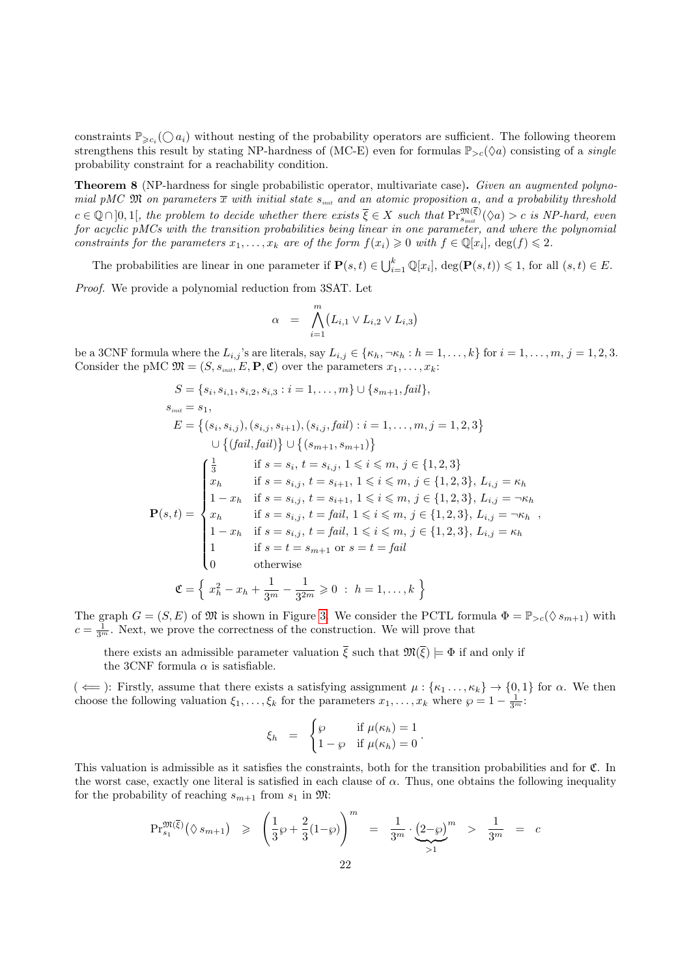constraints  $\mathbb{P}_{\geqslant c_i}(\bigcirc a_i)$  without nesting of the probability operators are sufficient. The following theorem strengthens this result by stating NP-hardness of (MC-E) even for formulas  $\mathbb{P}_{\geq c}(\Diamond a)$  consisting of a *single* probability constraint for a reachability condition.

<span id="page-21-0"></span>**Theorem 8** (NP-hardness for single probabilistic operator, multivariate case). Given an augmented polynomial pMC  $\mathfrak{M}$  on parameters  $\overline{x}$  with initial state  $s_{init}$  and an atomic proposition a, and a probability threshold  $c \in \mathbb{Q} \cap ]0,1[$ , the problem to decide whether there exists  $\overline{\xi} \in X$  such that  $\Pr_{s_{init}}^{\mathfrak{M}(\xi)}(\Diamond a) > c$  is NP-hard, even for acyclic pMCs with the transition probabilities being linear in one parameter, and where the polynomial constraints for the parameters  $x_1, \ldots, x_k$  are of the form  $f(x_i) \geq 0$  with  $f \in \mathbb{Q}[x_i]$ ,  $\deg(f) \leq 2$ .

The probabilities are linear in one parameter if  $P(s,t) \in \bigcup_{i=1}^{k} \mathbb{Q}[x_i]$ ,  $\deg(\mathbf{P}(s,t)) \leq 1$ , for all  $(s,t) \in E$ .

Proof. We provide a polynomial reduction from 3SAT. Let

$$
\alpha = \bigwedge_{i=1}^m (L_{i,1} \vee L_{i,2} \vee L_{i,3})
$$

be a 3CNF formula where the  $L_{i,j}$ 's are literals, say  $L_{i,j} \in \{\kappa_h, \neg \kappa_h : h = 1, \ldots, k\}$  for  $i = 1, \ldots, m, j = 1, 2, 3$ . Consider the pMC  $\mathfrak{M} = (S, s_{\text{init}}, E, \mathbf{P}, \mathfrak{C})$  over the parameters  $x_1, \ldots, x_k$ :

$$
S = \{s_i, s_{i,1}, s_{i,2}, s_{i,3} : i = 1, ..., m\} \cup \{s_{m+1}, fail\},
$$
  
\n
$$
s_{\text{init}} = s_1,
$$
  
\n
$$
E = \{(s_i, s_{i,j}), (s_{i,j}, s_{i+1}), (s_{i,j}, fail) : i = 1, ..., m, j = 1, 2, 3\}
$$
  
\n
$$
\cup \{(fail, fail)\} \cup \{(s_{m+1}, s_{m+1})\}
$$
  
\n
$$
\begin{cases}\n\frac{1}{3} & \text{if } s = s_i, t = s_{i,j}, 1 \leq i \leq m, j \in \{1, 2, 3\} \\
x_h & \text{if } s = s_{i,j}, t = s_{i+1}, 1 \leq i \leq m, j \in \{1, 2, 3\}, L_{i,j} = \kappa_h \\
1 - x_h & \text{if } s = s_{i,j}, t = s_{i+1}, 1 \leq i \leq m, j \in \{1, 2, 3\}, L_{i,j} = \gamma \kappa_h \\
x_h & \text{if } s = s_{i,j}, t = fail, 1 \leq i \leq m, j \in \{1, 2, 3\}, L_{i,j} = \gamma \kappa_h \\
1 - x_h & \text{if } s = s_{i,j}, t = fail, 1 \leq i \leq m, j \in \{1, 2, 3\}, L_{i,j} = \kappa_h \\
1 & \text{if } s = t = s_{m+1} \text{ or } s = t = fail \\
0 & \text{otherwise}\n\end{cases}
$$
  
\n
$$
\mathfrak{C} = \left\{ x_h^2 - x_h + \frac{1}{3^m} - \frac{1}{3^{2m}} \geq 0 : h = 1, ..., k \right\}
$$

The graph  $G = (S, E)$  of  $\mathfrak{M}$  is shown in Figure [3.](#page-22-1) We consider the PCTL formula  $\Phi = \mathbb{P}_{>c}(\Diamond s_{m+1})$  with  $c = \frac{1}{3^m}$ . Next, we prove the correctness of the construction. We will prove that

there exists an admissible parameter valuation  $\bar{\xi}$  such that  $\mathfrak{M}(\bar{\xi}) \models \Phi$  if and only if the 3CNF formula  $\alpha$  is satisfiable.

 $(\Leftarrow)$ : Firstly, assume that there exists a satisfying assignment  $\mu: \{\kappa_1 \dots, \kappa_k\} \to \{0, 1\}$  for  $\alpha$ . We then choose the following valuation  $\xi_1, \ldots, \xi_k$  for the parameters  $x_1, \ldots, x_k$  where  $\wp = 1 - \frac{1}{3^m}$ .

$$
\xi_h = \begin{cases} \wp & \text{if } \mu(\kappa_h) = 1 \\ 1 - \wp & \text{if } \mu(\kappa_h) = 0 \end{cases}.
$$

This valuation is admissible as it satisfies the constraints, both for the transition probabilities and for C. In the worst case, exactly one literal is satisfied in each clause of  $\alpha$ . Thus, one obtains the following inequality for the probability of reaching  $s_{m+1}$  from  $s_1$  in  $\mathfrak{M}$ :

$$
\Pr_{s_1}^{\mathfrak{M}(\bar{\xi})}(\lozenge s_{m+1}) \geq \left(\frac{1}{3}\wp + \frac{2}{3}(1-\wp)\right)^m = \frac{1}{3^m} \cdot \underbrace{(2-\wp)}^m > \frac{1}{3^m} = c
$$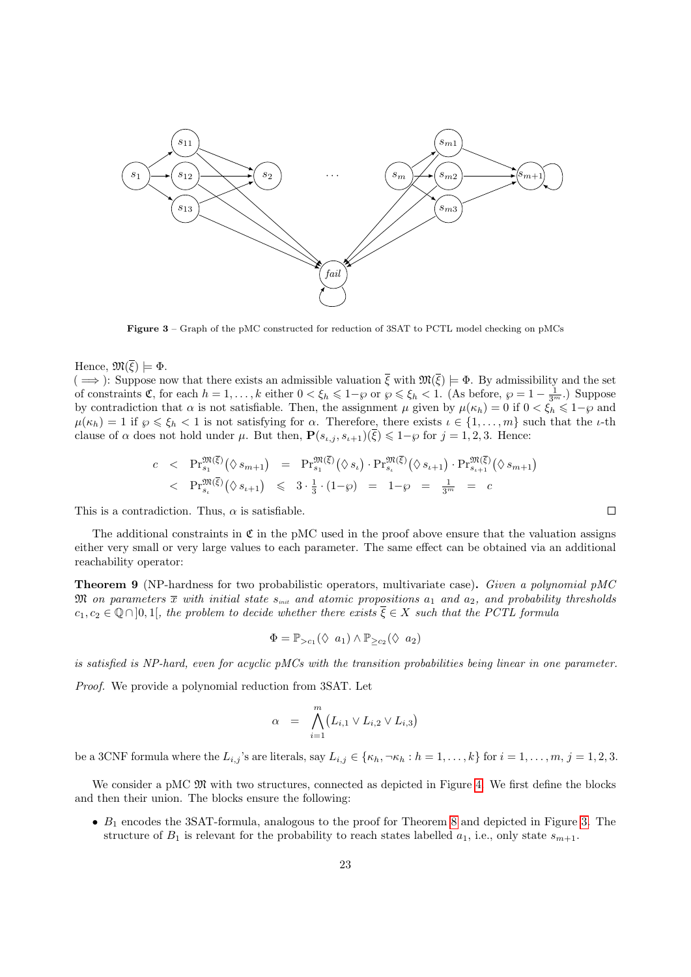<span id="page-22-1"></span>

Figure 3 – Graph of the pMC constructed for reduction of 3SAT to PCTL model checking on pMCs

Hence,  $\mathfrak{M}(\overline{\xi}) \models \Phi$ .

 $(\implies)$ : Suppose now that there exists an admissible valuation  $\overline{\xi}$  with  $\mathfrak{M}(\overline{\xi}) \models \Phi$ . By admissibility and the set of constraints  $\mathfrak{C}$ , for each  $h = 1, \ldots, k$  either  $0 < \xi_h \leq 1-\varphi$  or  $\varphi \leq \xi_h < 1$ . (As before,  $\varphi = 1 - \frac{1}{3^m}$ .) Suppose by contradiction that  $\alpha$  is not satisfiable. Then, the assignment  $\mu$  given by  $\mu(\kappa_h) = 0$  if  $0 < \xi_h \leq 1-\varphi$  and  $\mu(\kappa_h) = 1$  if  $\wp \le \xi_h < 1$  is not satisfying for  $\alpha$ . Therefore, there exists  $\iota \in \{1, \ldots, m\}$  such that the  $\iota$ -th clause of  $\alpha$  does not hold under  $\mu$ . But then,  $\mathbf{P}(s_{\iota,j}, s_{\iota+1})\overline{\xi} \leq 1-\varphi$  for  $j=1,2,3$ . Hence:

$$
c < \Pr_{s_1}^{\mathfrak{M}(\overline{\xi})}(\lozenge s_{m+1}) = \Pr_{s_1}^{\mathfrak{M}(\overline{\xi})}(\lozenge s_{\iota}) \cdot \Pr_{s_{\iota}}^{\mathfrak{M}(\overline{\xi})}(\lozenge s_{\iota+1}) \cdot \Pr_{s_{\iota+1}}^{\mathfrak{M}(\overline{\xi})}(\lozenge s_{m+1}) \le \Pr_{s_{\iota}}^{\mathfrak{M}(\overline{\xi})}(\lozenge s_{\iota+1}) \le 3 \cdot \frac{1}{3} \cdot (1-\wp) = 1-\wp = \frac{1}{3^m} = c
$$

This is a contradiction. Thus,  $\alpha$  is satisfiable.

The additional constraints in  $\mathfrak C$  in the pMC used in the proof above ensure that the valuation assigns either very small or very large values to each parameter. The same effect can be obtained via an additional reachability operator:

<span id="page-22-0"></span>**Theorem 9** (NP-hardness for two probabilistic operators, multivariate case). Given a polynomial pMC  $\mathfrak M$  on parameters  $\overline{x}$  with initial state  $s_{\scriptscriptstyle init}$  and atomic propositions  $a_1$  and  $a_2$ , and probability thresholds  $c_1, c_2 \in \mathbb{Q} \cap ]0,1[$ , the problem to decide whether there exists  $\overline{\xi} \in X$  such that the PCTL formula

$$
\Phi = \mathbb{P}_{>c_1}(\lozenge a_1) \wedge \mathbb{P}_{\geq c_2}(\lozenge a_2)
$$

is satisfied is NP-hard, even for acyclic pMCs with the transition probabilities being linear in one parameter.

Proof. We provide a polynomial reduction from 3SAT. Let

$$
\alpha = \bigwedge_{i=1}^m (L_{i,1} \vee L_{i,2} \vee L_{i,3})
$$

be a 3CNF formula where the  $L_{i,j}$ 's are literals, say  $L_{i,j} \in \{\kappa_h, \neg \kappa_h : h = 1, \ldots, k\}$  for  $i = 1, \ldots, m, j = 1, 2, 3$ .

We consider a pMC  $\mathfrak{M}$  with two structures, connected as depicted in Figure [4.](#page-23-0) We first define the blocks and then their union. The blocks ensure the following:

 $\bullet$   $B_1$  encodes the 3SAT-formula, analogous to the proof for Theorem [8](#page-21-0) and depicted in Figure [3.](#page-22-1) The structure of  $B_1$  is relevant for the probability to reach states labelled  $a_1$ , i.e., only state  $s_{m+1}$ .

 $\Box$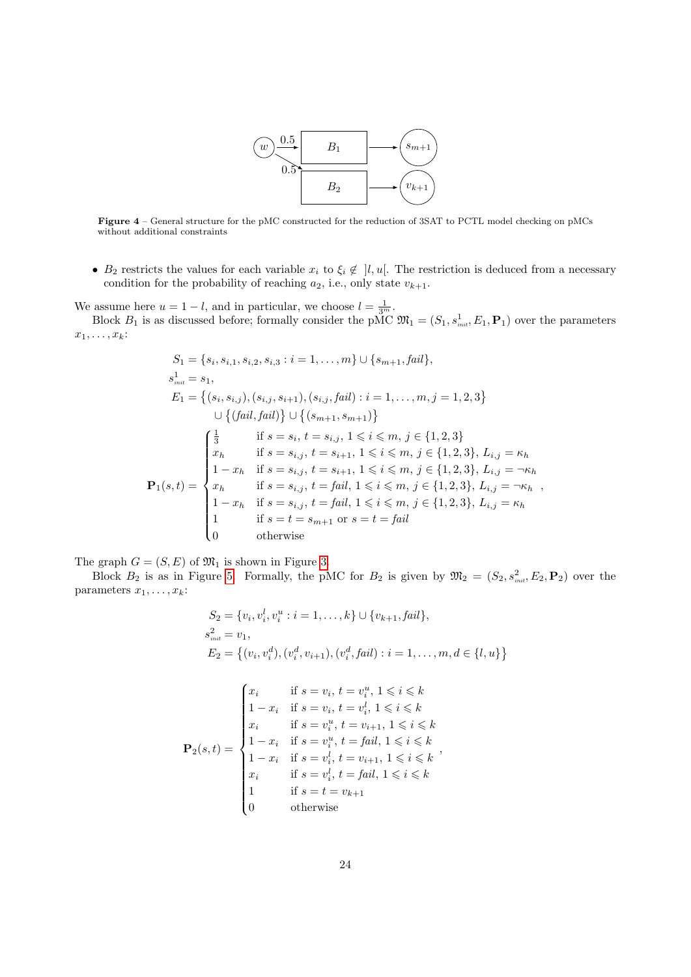

<span id="page-23-0"></span>Figure 4 – General structure for the pMC constructed for the reduction of 3SAT to PCTL model checking on pMCs without additional constraints

•  $B_2$  restricts the values for each variable  $x_i$  to  $\xi_i \notin \mathcal{a}$ . The restriction is deduced from a necessary condition for the probability of reaching  $a_2$ , i.e., only state  $v_{k+1}$ .

We assume here  $u = 1 - l$ , and in particular, we choose  $l = \frac{1}{3^m}$ .

Block  $B_1$  is as discussed before; formally consider the pMC  $\mathfrak{M}_1 = (S_1, s_{init}^1, E_1, \mathbf{P}_1)$  over the parameters  $x_1, \ldots, x_k$ :

$$
S_{1} = \{s_{i}, s_{i,1}, s_{i,2}, s_{i,3} : i = 1, ..., m\} \cup \{s_{m+1}, fail\},
$$
\n
$$
s_{\text{init}}^{1} = s_{1},
$$
\n
$$
E_{1} = \{(s_{i}, s_{i,j}), (s_{i,j}, s_{i+1}), (s_{i,j}, fail) : i = 1, ..., m, j = 1, 2, 3\}
$$
\n
$$
\cup \{(fail, fail)\} \cup \{(s_{m+1}, s_{m+1})\}
$$
\n
$$
\begin{cases}\n\frac{1}{3} & \text{if } s = s_{i}, t = s_{i,j}, 1 \leq i \leq m, j \in \{1, 2, 3\} \\
x_{h} & \text{if } s = s_{i,j}, t = s_{i+1}, 1 \leq i \leq m, j \in \{1, 2, 3\}, L_{i,j} = \kappa_{h} \\
1 - x_{h} & \text{if } s = s_{i,j}, t = s_{i+1}, 1 \leq i \leq m, j \in \{1, 2, 3\}, L_{i,j} = \neg \kappa_{h} \\
x_{h} & \text{if } s = s_{i,j}, t = fail, 1 \leq i \leq m, j \in \{1, 2, 3\}, L_{i,j} = \neg \kappa_{h} \\
1 - x_{h} & \text{if } s = s_{i,j}, t = fail, 1 \leq i \leq m, j \in \{1, 2, 3\}, L_{i,j} = \kappa_{h} \\
1 & \text{if } s = t = s_{m+1} \text{ or } s = t = fail \\
0 & \text{otherwise}\n\end{cases}
$$

The graph  $G = (S, E)$  of  $\mathfrak{M}_1$  is shown in Figure [3.](#page-22-1)

Block  $B_2$  is as in Figure [5.](#page-24-0) Formally, the pMC for  $B_2$  is given by  $\mathfrak{M}_2 = (S_2, s_{\scriptscriptstyle init}^2, E_2, \mathbf{P}_2)$  over the parameters  $x_1, \ldots, x_k$ :

$$
S_2 = \{v_i, v_i^l, v_i^u : i = 1, ..., k\} \cup \{v_{k+1}, fail\},
$$
  
\n
$$
s_{init}^2 = v_1,
$$
  
\n
$$
E_2 = \{(v_i, v_i^d), (v_i^d, v_{i+1}), (v_i^d, fail) : i = 1, ..., m, d \in \{l, u\}\}
$$

$$
\mathbf{P}_2(s,t) = \begin{cases} x_i & \text{if } s = v_i, \ t = v_i^u, \ 1 \leq i \leq k \\ 1 - x_i & \text{if } s = v_i, \ t = v_i^l, \ 1 \leq i \leq k \\ x_i & \text{if } s = v_i^u, \ t = v_{i+1}, \ 1 \leq i \leq k \\ 1 - x_i & \text{if } s = v_i^u, \ t = fail, \ 1 \leq i \leq k \\ 1 - x_i & \text{if } s = v_i^l, \ t = v_{i+1}, \ 1 \leq i \leq k \\ x_i & \text{if } s = v_i^l, \ t = fail, \ 1 \leq i \leq k \\ 1 & \text{if } s = t = v_{k+1} \\ 0 & \text{otherwise} \end{cases},
$$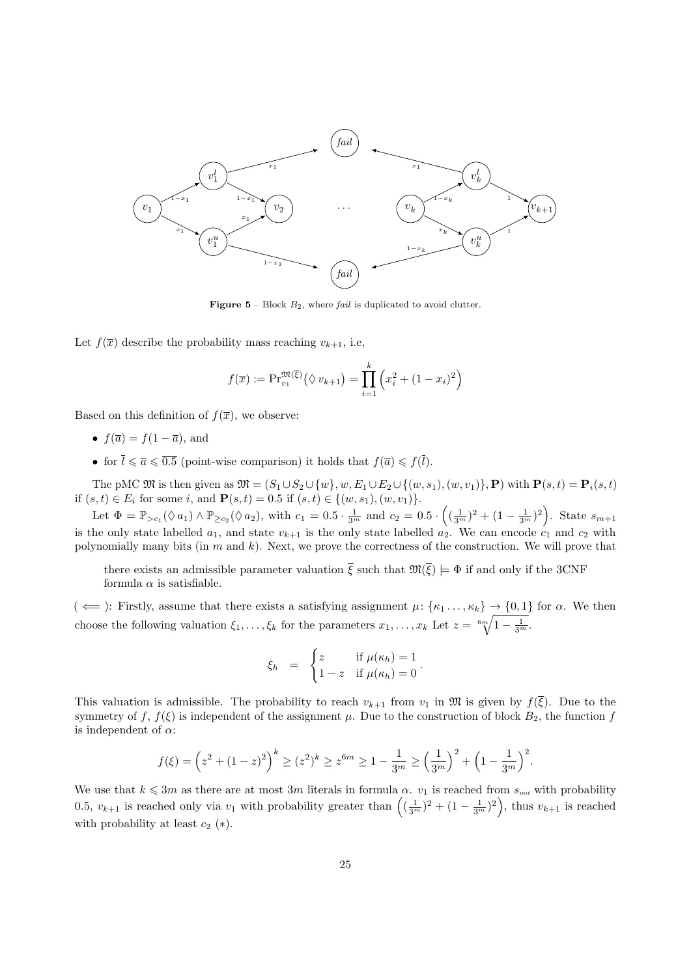<span id="page-24-0"></span>

**Figure 5** – Block  $B_2$ , where *fail* is duplicated to avoid clutter.

Let  $f(\overline{x})$  describe the probability mass reaching  $v_{k+1}$ , i.e,

$$
f(\overline{x}) := \Pr_{v_1}^{\mathfrak{M}(\overline{\xi})} (\Diamond v_{k+1}) = \prod_{i=1}^{k} (x_i^2 + (1 - x_i)^2)
$$

Based on this definition of  $f(\overline{x})$ , we observe:

- $f(\overline{a}) = f(1 \overline{a})$ , and
- for  $\overline{l} \leq \overline{a} \leq \overline{0.5}$  (point-wise comparison) it holds that  $f(\overline{a}) \leq f(\overline{l})$ .

The pMC  $\mathfrak{M}$  is then given as  $\mathfrak{M} = (S_1 \cup S_2 \cup \{w\}, w, E_1 \cup E_2 \cup \{(w, s_1), (w, v_1)\}, \mathbf{P})$  with  $\mathbf{P}(s, t) = \mathbf{P}_i(s, t)$ if  $(s, t) \in E_i$  for some i, and  $\mathbf{P}(s, t) = 0.5$  if  $(s, t) \in \{(w, s_1), (w, v_1)\}.$ 

Let  $\Phi = \mathbb{P}_{> c_1}(\Diamond a_1) \land \mathbb{P}_{\geq c_2}(\Diamond a_2)$ , with  $c_1 = 0.5 \cdot \frac{1}{3^m}$  and  $c_2 = 0.5 \cdot \left( (\frac{1}{3^m})^2 + (1 - \frac{1}{3^m})^2 \right)$ . State  $s_{m+1}$ is the only state labelled  $a_1$ , and state  $v_{k+1}$  is the only state labelled  $a_2$ . We can encode  $c_1$  and  $c_2$  with polynomially many bits (in m and k). Next, we prove the correctness of the construction. We will prove that

there exists an admissible parameter valuation  $\bar{\xi}$  such that  $\mathfrak{M}(\bar{\xi}) \models \Phi$  if and only if the 3CNF formula  $\alpha$  is satisfiable.

 $(\Leftarrow)$ : Firstly, assume that there exists a satisfying assignment  $\mu$ : { $\kappa_1 \dots, \kappa_k$ }  $\rightarrow$  {0,1} for  $\alpha$ . We then choose the following valuation  $\xi_1, \ldots, \xi_k$  for the parameters  $x_1, \ldots, x_k$  Let  $z = \sqrt[6m]{1 - \frac{1}{3^m}}$ .

$$
\xi_h = \begin{cases} z & \text{if } \mu(\kappa_h) = 1 \\ 1 - z & \text{if } \mu(\kappa_h) = 0 \end{cases}.
$$

This valuation is admissible. The probability to reach  $v_{k+1}$  from  $v_1$  in M is given by  $f(\xi)$ . Due to the symmetry of f,  $f(\xi)$  is independent of the assignment  $\mu$ . Due to the construction of block  $B_2$ , the function f is independent of  $\alpha$ :

$$
f(\xi) = \left(z^2 + (1-z)^2\right)^k \ge (z^2)^k \ge z^{6m} \ge 1 - \frac{1}{3^m} \ge \left(\frac{1}{3^m}\right)^2 + \left(1 - \frac{1}{3^m}\right)^2.
$$

We use that  $k \leq 3m$  as there are at most 3m literals in formula  $\alpha$ .  $v_1$  is reached from  $s_{\text{init}}$  with probability 0.5,  $v_{k+1}$  is reached only via  $v_1$  with probability greater than  $\left( (\frac{1}{3^m})^2 + (1 - \frac{1}{3^m})^2 \right)$ , thus  $v_{k+1}$  is reached with probability at least  $c_2$  (\*).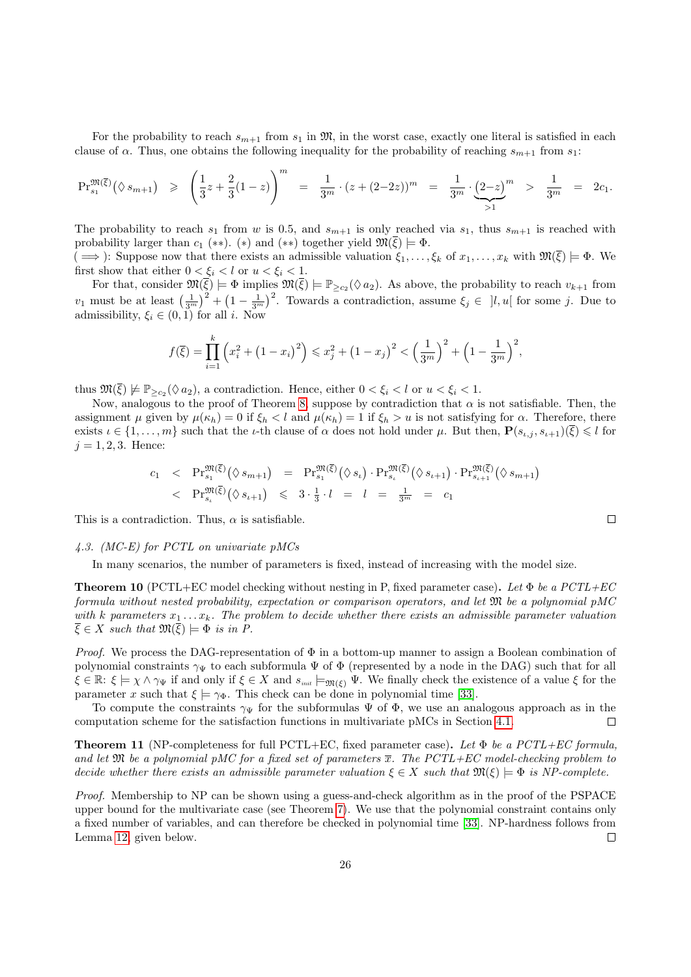For the probability to reach  $s_{m+1}$  from  $s_1$  in  $\mathfrak{M}$ , in the worst case, exactly one literal is satisfied in each clause of  $\alpha$ . Thus, one obtains the following inequality for the probability of reaching  $s_{m+1}$  from  $s_1$ :

$$
\Pr_{s_1}^{\mathfrak{M}(\overline{\xi})}(\Diamond s_{m+1}) \geq \left(\frac{1}{3}z + \frac{2}{3}(1-z)\right)^m = \frac{1}{3^m} \cdot (z + (2-2z))^m = \frac{1}{3^m} \cdot \underbrace{(2-z)}_{>1}^m > \frac{1}{3^m} = 2c_1.
$$

The probability to reach  $s_1$  from w is 0.5, and  $s_{m+1}$  is only reached via  $s_1$ , thus  $s_{m+1}$  is reached with probability larger than  $c_1$  (\*\*). (\*) and (\*\*) together yield  $\mathfrak{M}(\overline{\xi}) \models \Phi$ .

 $(\implies)$ : Suppose now that there exists an admissible valuation  $\xi_1, \ldots, \xi_k$  of  $x_1, \ldots, x_k$  with  $\mathfrak{M}(\overline{\xi}) \models \Phi$ . We first show that either  $0 < \xi_i < l$  or  $u < \xi_i < 1$ .

For that, consider  $\mathfrak{M}(\overline{\xi}) \models \Phi$  implies  $\mathfrak{M}(\overline{\xi}) \models \mathbb{P}_{\geq c_2}(\Diamond a_2)$ . As above, the probability to reach  $v_{k+1}$  from  $v_1$  must be at least  $\left(\frac{1}{3^m}\right)^2 + \left(1 - \frac{1}{3^m}\right)^2$ . Towards a contradiction, assume  $\xi_j \in [l, u]$  for some j. Due to admissibility,  $\xi_i \in (0,1)$  for all *i*. Now

$$
f(\overline{\xi}) = \prod_{i=1}^{k} \left( x_i^2 + \left( 1 - x_i \right)^2 \right) \leq x_j^2 + \left( 1 - x_j \right)^2 < \left( \frac{1}{3^m} \right)^2 + \left( 1 - \frac{1}{3^m} \right)^2,
$$

thus  $\mathfrak{M}(\overline{\xi}) \not\models \mathbb{P}_{\geq c_2}(\Diamond a_2)$ , a contradiction. Hence, either  $0 < \xi_i < l$  or  $u < \xi_i < 1$ .

Now, analogous to the proof of Theorem [8,](#page-21-0) suppose by contradiction that  $\alpha$  is not satisfiable. Then, the assignment  $\mu$  given by  $\mu(\kappa_h) = 0$  if  $\xi_h < l$  and  $\mu(\kappa_h) = 1$  if  $\xi_h > u$  is not satisfying for  $\alpha$ . Therefore, there exists  $\iota \in \{1, \ldots, m\}$  such that the  $\iota$ -th clause of  $\alpha$  does not hold under  $\mu$ . But then,  $\mathbf{P}(s_{\iota,j}, s_{\iota+1})(\overline{\xi}) \leq l$  for  $j = 1, 2, 3$ . Hence:

$$
c_1 < \Pr_{s_1}^{\mathfrak{M}(\overline{\xi})}(\lozenge s_{m+1}) = \Pr_{s_1}^{\mathfrak{M}(\overline{\xi})}(\lozenge s_i) \cdot \Pr_{s_i}^{\mathfrak{M}(\overline{\xi})}(\lozenge s_{\iota+1}) \cdot \Pr_{s_{\iota+1}}^{\mathfrak{M}(\overline{\xi})}(\lozenge s_{m+1}) \Pr_{s_i}^{\mathfrak{M}(\overline{\xi})}(\lozenge s_{\iota+1}) \leq 3 \cdot \frac{1}{3} \cdot l = l = \frac{1}{3^m} = c_1
$$

This is a contradiction. Thus,  $\alpha$  is satisfiable.

#### 4.3. (MC-E) for PCTL on univariate pMCs

In many scenarios, the number of parameters is fixed, instead of increasing with the model size.

<span id="page-25-0"></span>**Theorem 10** (PCTL+EC model checking without nesting in P, fixed parameter case). Let  $\Phi$  be a PCTL+EC formula without nested probability, expectation or comparison operators, and let  $\mathfrak{M}$  be a polynomial pMC with k parameters  $x_1 \ldots x_k$ . The problem to decide whether there exists an admissible parameter valuation  $\overline{\xi} \in X$  such that  $\mathfrak{M}(\overline{\xi}) \models \Phi$  is in P.

*Proof.* We process the DAG-representation of  $\Phi$  in a bottom-up manner to assign a Boolean combination of polynomial constraints  $\gamma_{\Psi}$  to each subformula  $\Psi$  of  $\Phi$  (represented by a node in the DAG) such that for all  $\xi \in \mathbb{R}$ :  $\xi \models \chi \wedge \gamma_{\Psi}$  if and only if  $\xi \in X$  and  $s_{\text{init}} \models_{\mathfrak{M}(\xi)} \Psi$ . We finally check the existence of a value  $\xi$  for the parameter x such that  $\xi \models \gamma_{\Phi}$ . This check can be done in polynomial time [\[33\]](#page-32-9).

To compute the constraints  $\gamma_{\Psi}$  for the subformulas  $\Psi$  of  $\Phi$ , we use an analogous approach as in the computation scheme for the satisfaction functions in multivariate pMCs in Section [4.1.](#page-18-1)  $\Box$ 

<span id="page-25-1"></span>**Theorem 11** (NP-completeness for full PCTL+EC, fixed parameter case). Let  $\Phi$  be a PCTL+EC formula, and let  $\mathfrak M$  be a polynomial pMC for a fixed set of parameters  $\overline{x}$ . The PCTL+EC model-checking problem to decide whether there exists an admissible parameter valuation  $\xi \in X$  such that  $\mathfrak{M}(\xi) \models \Phi$  is NP-complete.

Proof. Membership to NP can be shown using a guess-and-check algorithm as in the proof of the PSPACE upper bound for the multivariate case (see Theorem [7\)](#page-20-0). We use that the polynomial constraint contains only a fixed number of variables, and can therefore be checked in polynomial time [\[33\]](#page-32-9). NP-hardness follows from Lemma [12,](#page-26-0) given below.  $\Box$ 

 $\Box$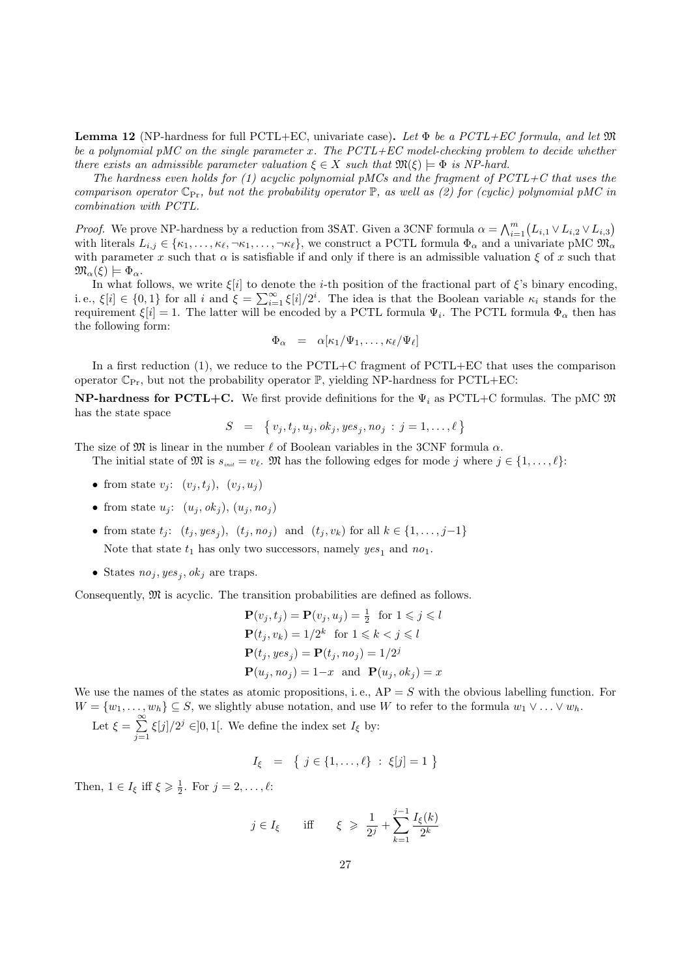<span id="page-26-0"></span>**Lemma 12** (NP-hardness for full PCTL+EC, univariate case). Let  $\Phi$  be a PCTL+EC formula, and let  $\mathfrak{M}$ be a polynomial pMC on the single parameter x. The  $PCTL+EC$  model-checking problem to decide whether there exists an admissible parameter valuation  $\xi \in X$  such that  $\mathfrak{M}(\xi) \models \Phi$  is NP-hard.

The hardness even holds for (1) acyclic polynomial pMCs and the fragment of  $PCTL+C$  that uses the comparison operator  $\mathbb{C}_{\mathrm{Pr}}$ , but not the probability operator  $\mathbb{P}$ , as well as (2) for (cyclic) polynomial pMC in combination with PCTL.

*Proof.* We prove NP-hardness by a reduction from 3SAT. Given a 3CNF formula  $\alpha = \bigwedge_{i=1}^{m} (L_{i,1} \vee L_{i,2} \vee L_{i,3})$ with literals  $L_{i,j} \in \{\kappa_1,\ldots,\kappa_\ell,\neg\kappa_1,\ldots,\neg\kappa_\ell\}$ , we construct a PCTL formula  $\Phi_\alpha$  and a univariate pMC  $\mathfrak{M}_\alpha$ with parameter x such that  $\alpha$  is satisfiable if and only if there is an admissible valuation  $\xi$  of x such that  $\mathfrak{M}_{\alpha}(\xi) \models \Phi_{\alpha}.$ 

In what follows, we write  $\xi[i]$  to denote the *i*-th position of the fractional part of  $\xi$ 's binary encoding, i.e.,  $\xi[i] \in \{0,1\}$  for all i and  $\xi = \sum_{i=1}^{\infty} \xi[i]/2^i$ . The idea is that the Boolean variable  $\kappa_i$  stands for the requirement  $\xi[i] = 1$ . The latter will be encoded by a PCTL formula  $\Psi_i$ . The PCTL formula  $\Phi_\alpha$  then has the following form:

$$
\Phi_{\alpha} = \alpha[\kappa_1/\Psi_1,\ldots,\kappa_\ell/\Psi_\ell]
$$

In a first reduction (1), we reduce to the PCTL+C fragment of PCTL+EC that uses the comparison operator  $\mathbb{C}_{\text{Pr}}$ , but not the probability operator  $\mathbb{P}$ , yielding NP-hardness for PCTL+EC:

**NP-hardness for PCTL+C.** We first provide definitions for the  $\Psi_i$  as PCTL+C formulas. The pMC  $\mathfrak{M}$ has the state space

$$
S = \{ v_j, t_j, u_j, ok_j, yes_j, no_j : j = 1, ..., \ell \}
$$

The size of  $\mathfrak{M}$  is linear in the number  $\ell$  of Boolean variables in the 3CNF formula  $\alpha$ .

The initial state of  $\mathfrak{M}$  is  $s_{\text{init}} = v_{\ell}$ . M has the following edges for mode j where  $j \in \{1, \ldots, \ell\}$ :

- from state  $v_i$ :  $(v_i, t_i)$ ,  $(v_i, u_i)$
- from state  $u_j$ :  $(u_j, ok_j), (u_j, no_j)$
- from state  $t_j$ :  $(t_j, yes_j)$ ,  $(t_j, no_j)$  and  $(t_j, v_k)$  for all  $k \in \{1, \ldots, j-1\}$ Note that state  $t_1$  has only two successors, namely  $yes_1$  and  $no_1$ .
- States  $no_j, yes_j, ok_j$  are traps.

Consequently, M is acyclic. The transition probabilities are defined as follows.

$$
\mathbf{P}(v_j, t_j) = \mathbf{P}(v_j, u_j) = \frac{1}{2} \text{ for } 1 \leq j \leq l
$$
  
\n
$$
\mathbf{P}(t_j, v_k) = 1/2^k \text{ for } 1 \leq k < j \leq l
$$
  
\n
$$
\mathbf{P}(t_j, yes_j) = \mathbf{P}(t_j, no_j) = 1/2^j
$$
  
\n
$$
\mathbf{P}(u_j, no_j) = 1 - x \text{ and } \mathbf{P}(u_j, ok_j) = x
$$

We use the names of the states as atomic propositions, i.e.,  $AP = S$  with the obvious labelling function. For  $W = \{w_1, \ldots, w_h\} \subseteq S$ , we slightly abuse notation, and use W to refer to the formula  $w_1 \vee \ldots \vee w_h$ .

Let  $\xi = \sum^{\infty}$  $j=1$  $\xi[j]/2^j \in ]0,1[$ . We define the index set  $I_{\xi}$  by:

$$
I_{\xi} = \{ j \in \{1, \ldots, \ell\} : \xi[j] = 1 \}
$$

Then,  $1 \in I_{\xi}$  iff  $\xi \geq \frac{1}{2}$ . For  $j = 2, ..., \ell$ :

$$
j \in I_{\xi}
$$
 iff  $\xi \geq \frac{1}{2^j} + \sum_{k=1}^{j-1} \frac{I_{\xi}(k)}{2^k}$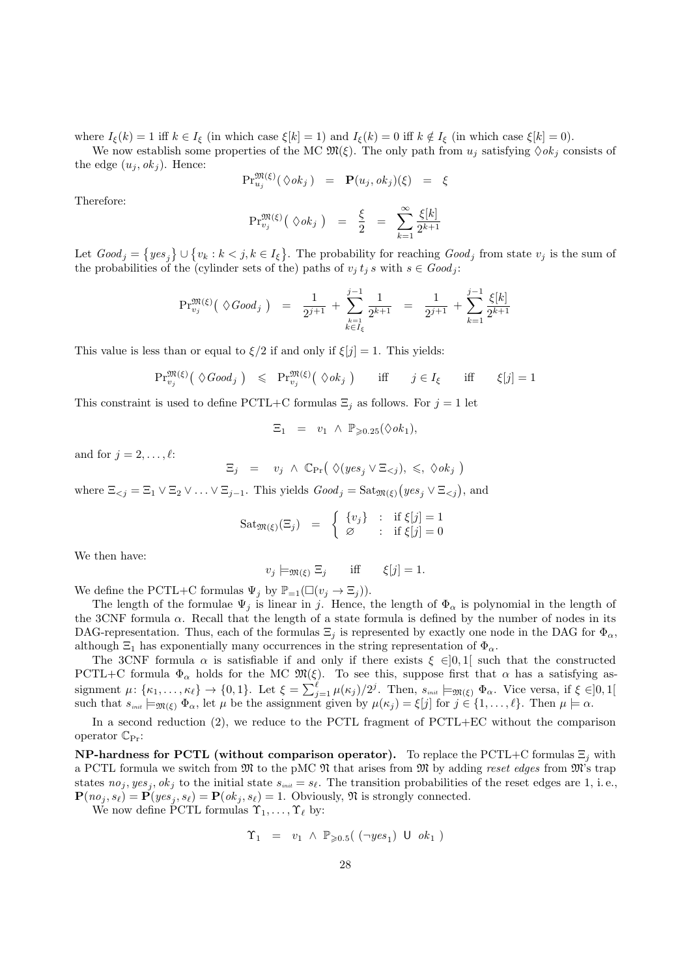where  $I_{\xi}(k) = 1$  iff  $k \in I_{\xi}$  (in which case  $\xi[k] = 1$ ) and  $I_{\xi}(k) = 0$  iff  $k \notin I_{\xi}$  (in which case  $\xi[k] = 0$ ).

We now establish some properties of the MC  $\mathfrak{M}(\xi)$ . The only path from  $u_i$  satisfying  $\Diamond ok_i$  consists of the edge  $(u_i, ok_i)$ . Hence:

$$
\mathrm{Pr}^{\mathfrak{M}(\xi)}_{u_j}(\Diamond ok_j) = \mathbf{P}(u_j, ok_j)(\xi) = \xi
$$

Therefore:

$$
\mathrm{Pr}_{v_j}^{\mathfrak{M}(\xi)}\left(\ \Diamond \mathit{ok}_j\ \right) \quad = \quad \frac{\xi}{2} \quad = \quad \sum_{k=1}^{\infty} \frac{\xi[k]}{2^{k+1}}
$$

Let  $Good_j = \{yes_j\} \cup \{v_k : k < j, k \in I_\xi\}$ . The probability for reaching  $Good_j$  from state  $v_j$  is the sum of the probabilities of the (cylinder sets of the) paths of  $v_j t_j s$  with  $s \in Good_j$ :

$$
\mathrm{Pr}^{\mathfrak{M}(\xi)}_{v_j}\big(\ \Diamond \text{Good}_j\ \big)\ =\ \frac{1}{2^{j+1}}\ +\ \sum_{\substack{k=1\\k\in I_{\xi}}}^{j-1}\frac{1}{2^{k+1}}\ =\ \frac{1}{2^{j+1}}\ +\ \sum_{k=1}^{j-1}\frac{\xi[k]}{2^{k+1}}
$$

This value is less than or equal to  $\xi/2$  if and only if  $\xi[j] = 1$ . This yields:

$$
\Pr_{v_j}^{\mathfrak{M}(\xi)}\left(\ \Diamond \text{Good}_j\ \right) \ \leqslant \ \Pr_{v_j}^{\mathfrak{M}(\xi)}\left(\ \Diamond \text{ok}_j\ \right) \qquad \text{iff} \qquad j \in I_{\xi} \qquad \text{iff} \qquad \xi[j] = 1
$$

This constraint is used to define PCTL+C formulas  $\Xi_j$  as follows. For  $j = 1$  let

$$
\Xi_1 = v_1 \wedge \mathbb{P}_{\geqslant 0.25}(\lozenge ok_1),
$$

and for  $j = 2, \ldots, \ell$ :

$$
\Xi_j = v_j \wedge \mathbb{C}_{\Pr} \big( \Diamond (yes_j \vee \Xi_{
$$

where  $\Xi_{\leq j} = \Xi_1 \vee \Xi_2 \vee \ldots \vee \Xi_{j-1}$ . This yields  $Good_j = \text{Sat}_{\mathfrak{M}(\xi)}(yes_j \vee \Xi_{\leq j}),$  and

$$
Sat_{\mathfrak{M}(\xi)}(\Xi_j) = \begin{cases} \{v_j\} & \colon \text{ if } \xi[j] = 1\\ \varnothing & \colon \text{ if } \xi[j] = 0 \end{cases}
$$

We then have:

$$
v_j \models_{\mathfrak{M}(\xi)} \Xi_j \quad \text{iff} \quad \xi[j] = 1.
$$

We define the PCTL+C formulas  $\Psi_j$  by  $\mathbb{P}_{=1}(\Box(v_i \rightarrow \Xi_j)).$ 

The length of the formulae  $\Psi_i$  is linear in j. Hence, the length of  $\Phi_\alpha$  is polynomial in the length of the 3CNF formula  $\alpha$ . Recall that the length of a state formula is defined by the number of nodes in its DAG-representation. Thus, each of the formulas  $\Xi_j$  is represented by exactly one node in the DAG for  $\Phi_\alpha$ , although  $\Xi_1$  has exponentially many occurrences in the string representation of  $\Phi_\alpha$ .

The 3CNF formula  $\alpha$  is satisfiable if and only if there exists  $\xi \in ]0,1[$  such that the constructed PCTL+C formula  $\Phi_{\alpha}$  holds for the MC  $\mathfrak{M}(\xi)$ . To see this, suppose first that  $\alpha$  has a satisfying assignment  $\mu: \{\kappa_1,\ldots,\kappa_\ell\} \to \{0,1\}$ . Let  $\xi = \sum_{j=1}^\ell \mu(\kappa_j)/2^j$ . Then,  $s_{\scriptscriptstyle init} \models_{\mathfrak{M}(\xi)} \Phi_\alpha$ . Vice versa, if  $\xi \in ]0,1[$ such that  $s_{\text{init}} \models_{\mathfrak{M}(\xi)} \Phi_{\alpha}$ , let  $\mu$  be the assignment given by  $\mu(\kappa_j) = \xi[j]$  for  $j \in \{1, \ldots, \ell\}$ . Then  $\mu \models \alpha$ .

In a second reduction (2), we reduce to the PCTL fragment of PCTL+EC without the comparison operator  $\mathbb{C}_{\text{Pr}}$ :

**NP-hardness for PCTL (without comparison operator).** To replace the PCTL+C formulas  $\Xi_i$  with a PCTL formula we switch from  $\mathfrak{M}$  to the pMC  $\mathfrak{N}$  that arises from  $\mathfrak{M}$  by adding reset edges from  $\mathfrak{M}$ 's trap states  $no_j, yes_j, ok_j$  to the initial state  $s_{\text{init}} = s_\ell$ . The transition probabilities of the reset edges are 1, i.e.,  $\mathbf{P}(no_j, s_\ell) = \mathbf{P}(yes_j, s_\ell) = \mathbf{P}(ok_j, s_\ell) = 1$ . Obviously,  $\mathfrak{N}$  is strongly connected.

We now define PCTL formulas  $\Upsilon_1, \ldots, \Upsilon_\ell$  by:

$$
\Upsilon_1 = v_1 \wedge \mathbb{P}_{\geqslant 0.5}(\ (\neg yes_1) \cup ok_1)
$$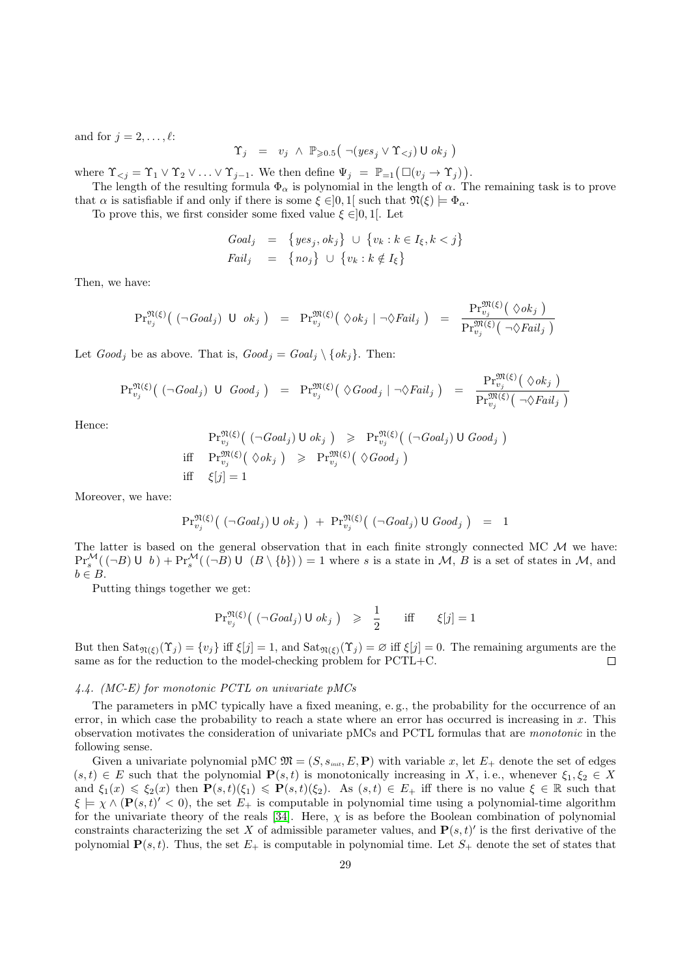and for  $j = 2, \ldots, \ell$ :

$$
\Upsilon_j \quad = \quad v_j \; \wedge \; \mathbb{P}_{\geqslant 0.5} \big( \; \neg (\mathit{yes}_j \vee \Upsilon_{
$$

where  $\Upsilon_{\leq j} = \Upsilon_1 \vee \Upsilon_2 \vee \ldots \vee \Upsilon_{j-1}$ . We then define  $\Psi_j = \mathbb{P}_{=1}(\Box(v_j \to \Upsilon_j)).$ 

The length of the resulting formula  $\Phi_{\alpha}$  is polynomial in the length of  $\alpha$ . The remaining task is to prove that  $\alpha$  is satisfiable if and only if there is some  $\xi \in ]0,1[$  such that  $\mathfrak{N}(\xi) \models \Phi_{\alpha}$ .

To prove this, we first consider some fixed value  $\xi \in ]0,1[$ . Let

$$
Goal_j = \{ yes_j, ok_j \} \cup \{ v_k : k \in I_{\xi}, k < j \}
$$
\n
$$
Tail_j = \{ no_j \} \cup \{ v_k : k \notin I_{\xi} \}
$$

Then, we have:

$$
\mathrm{Pr}^{\mathfrak{N}(\xi)}_{v_j}\big( \; (\neg \text{Goal}_j) \; \mathsf{U} \; \; \text{ok}_j \; \big) \;\; = \;\; \mathrm{Pr}^{\mathfrak{M}(\xi)}_{v_j}\big( \; \Diamond \text{ok}_j \; | \; \neg \Diamond \text{Fall}_j \; \big) \;\; = \;\; \frac{\mathrm{Pr}^{\mathfrak{M}(\xi)}_{v_j}\big( \; \Diamond \text{ok}_j \; \big)}{\mathrm{Pr}^{\mathfrak{M}(\xi)}_{v_j}\big( \; \neg \Diamond \text{Fall}_j \; \big)}
$$

Let  $Good_i$  be as above. That is,  $Good_i = Goal_i \setminus \{ok_i\}$ . Then:

$$
\mathrm{Pr}_{v_j}^{\mathfrak{N}(\xi)}\big( \; (\neg \text{Goal}_j) \; \; \mathsf{U} \; \; \text{Good}_j \; \big) \;\; = \;\; \mathrm{Pr}_{v_j}^{\mathfrak{M}(\xi)}\big( \; \Diamond \text{Good}_j \; | \; \neg \Diamond \text{Tail}_j \; \big) \;\; = \;\; \frac{\mathrm{Pr}_{v_j}^{\mathfrak{M}(\xi)}\big( \; \Diamond \text{ok}_j \; \big)}{\mathrm{Pr}_{v_j}^{\mathfrak{M}(\xi)}\big( \; \neg \Diamond \text{Tail}_j \; \big)}
$$

Hence:

$$
\Pr_{v_j}^{\mathfrak{N}(\xi)}\left( (\neg \text{Goal}_j) \cup \text{ok}_j \right) \geqslant \Pr_{v_j}^{\mathfrak{N}(\xi)}\left( (\neg \text{Goal}_j) \cup \text{Good}_j \right)
$$
\n
$$
\text{iff} \quad \Pr_{v_j}^{\mathfrak{M}(\xi)}\left( \Diamond \text{ok}_j \right) \geqslant \Pr_{v_j}^{\mathfrak{M}(\xi)}\left( \Diamond \text{Good}_j \right)
$$
\n
$$
\text{iff} \quad \xi[j] = 1
$$

Moreover, we have:

$$
\mathrm{Pr}^{\mathfrak{N}(\xi)}_{v_j}\big(\big(\neg \text{Goal}_j\big) \cup \text{ok}_j\big) + \mathrm{Pr}^{\mathfrak{N}(\xi)}_{v_j}\big(\big(\neg \text{Goal}_j\big) \cup \text{Good}_j\big) = 1
$$

The latter is based on the general observation that in each finite strongly connected MC  $\mathcal{M}$  we have:  $\Pr_s^{\mathcal{M}}((\neg B) \cup b) + \Pr_s^{\mathcal{M}}((\neg B) \cup (B \setminus \{b\})) = 1$  where s is a state in M, B is a set of states in M, and  $b \in B$ .

Putting things together we get:

$$
\Pr_{v_j}^{\mathfrak{N}(\xi)}\left( \left( \neg \text{Goal}_j \right) \cup \text{ok}_j \right) \geqslant \frac{1}{2} \quad \text{iff} \quad \xi[j] = 1
$$

But then  $\text{Sat}_{\mathfrak{N}(\xi)}(\Upsilon_j) = \{v_j\}$  iff  $\xi[j] = 1$ , and  $\text{Sat}_{\mathfrak{N}(\xi)}(\Upsilon_j) = \emptyset$  iff  $\xi[j] = 0$ . The remaining arguments are the same as for the reduction to the model-checking problem for PCTL+C.  $\Box$ 

#### <span id="page-28-0"></span>4.4. (MC-E) for monotonic PCTL on univariate pMCs

The parameters in pMC typically have a fixed meaning, e. g., the probability for the occurrence of an error, in which case the probability to reach a state where an error has occurred is increasing in  $x$ . This observation motivates the consideration of univariate pMCs and PCTL formulas that are monotonic in the following sense.

Given a univariate polynomial pMC  $\mathfrak{M} = (S, s_{\text{init}}, E, \mathbf{P})$  with variable x, let  $E_+$  denote the set of edges  $(s, t) \in E$  such that the polynomial  $\mathbf{P}(s, t)$  is monotonically increasing in X, i.e., whenever  $\xi_1, \xi_2 \in X$ and  $\xi_1(x) \leq \xi_2(x)$  then  $\mathbf{P}(s,t)(\xi_1) \leq \mathbf{P}(s,t)(\xi_2)$ . As  $(s,t) \in E_+$  iff there is no value  $\xi \in \mathbb{R}$  such that  $\xi \models \chi \wedge (\mathbf{P}(s,t)'<0)$ , the set  $E_+$  is computable in polynomial time using a polynomial-time algorithm for the univariate theory of the reals [\[34\]](#page-32-10). Here,  $\chi$  is as before the Boolean combination of polynomial constraints characterizing the set X of admissible parameter values, and  $P(s, t)'$  is the first derivative of the polynomial  $P(s, t)$ . Thus, the set  $E_+$  is computable in polynomial time. Let  $S_+$  denote the set of states that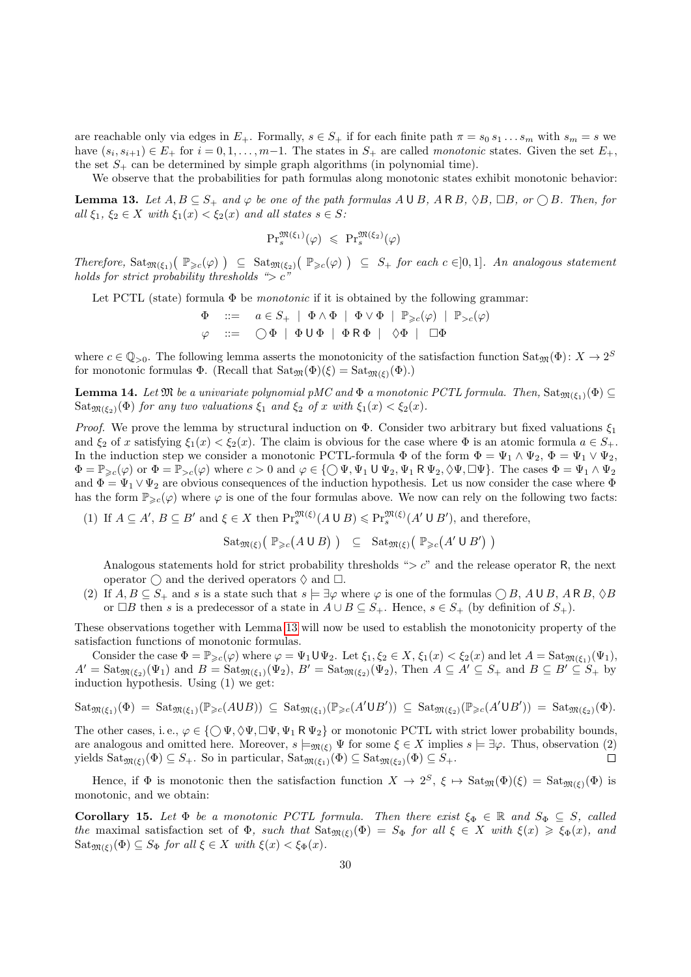are reachable only via edges in  $E_+$ . Formally,  $s \in S_+$  if for each finite path  $\pi = s_0 s_1 \dots s_m$  with  $s_m = s$  we have  $(s_i, s_{i+1}) \in E_+$  for  $i = 0, 1, \ldots, m-1$ . The states in  $S_+$  are called *monotonic* states. Given the set  $E_+$ , the set  $S_+$  can be determined by simple graph algorithms (in polynomial time).

We observe that the probabilities for path formulas along monotonic states exhibit monotonic behavior:

<span id="page-29-0"></span>**Lemma 13.** Let  $A, B \subseteq S_+$  and  $\varphi$  be one of the path formulas  $A \cup B$ ,  $A \cap B$ ,  $\Diamond B$ ,  $\Box B$ , or  $\bigcirc B$ . Then, for all  $\xi_1, \xi_2 \in X$  with  $\xi_1(x) < \xi_2(x)$  and all states  $s \in S$ :

$$
\mathrm{Pr}^{\mathfrak{M}(\xi_1)}_s(\varphi) \ \leqslant \ \mathrm{Pr}^{\mathfrak{M}(\xi_2)}_s(\varphi)
$$

Therefore,  $\text{Sat}_{\mathfrak{M}(\xi_1)}(\mathbb{P}_{\geq c}(\varphi)) \subseteq \text{Sat}_{\mathfrak{M}(\xi_2)}(\mathbb{P}_{\geq c}(\varphi)) \subseteq S_+$  for each  $c \in ]0,1]$ . An analogous statement holds for strict probability thresholds " $> c$ "

Let PCTL (state) formula  $\Phi$  be *monotonic* if it is obtained by the following grammar:

$$
\Phi \quad ::= \quad a \in S_+ \mid \Phi \land \Phi \mid \Phi \lor \Phi \mid \mathbb{P}_{\geq c}(\varphi) \mid \mathbb{P}_{>c}(\varphi)
$$
\n
$$
\varphi \quad ::= \quad \bigcirc \Phi \mid \Phi \cup \Phi \mid \Phi \mathsf{R} \Phi \mid \Diamond \Phi \mid \Box \Phi
$$

where  $c \in \mathbb{Q}_{>0}$ . The following lemma asserts the monotonicity of the satisfaction function  $\text{Sat}_{\mathfrak{M}}(\Phi) \colon X \to 2^S$ for monotonic formulas  $\Phi$ . (Recall that  $Sat_{\mathfrak{M}}(\Phi)(\xi) = Sat_{\mathfrak{M}(\xi)}(\Phi)$ .)

**Lemma 14.** Let  $\mathfrak{M}$  be a univariate polynomial pMC and  $\Phi$  a monotonic PCTL formula. Then,  $\text{Sat}_{\mathfrak{M}(\xi_1)}(\Phi) \subseteq$ Sat<sub> $\mathfrak{M}(\xi_2)(\Phi)$ </sub> for any two valuations  $\xi_1$  and  $\xi_2$  of x with  $\xi_1(x) < \xi_2(x)$ .

*Proof.* We prove the lemma by structural induction on  $\Phi$ . Consider two arbitrary but fixed valuations  $\xi_1$ and  $\xi_2$  of x satisfying  $\xi_1(x) < \xi_2(x)$ . The claim is obvious for the case where  $\Phi$  is an atomic formula  $a \in S_+$ . In the induction step we consider a monotonic PCTL-formula  $\Phi$  of the form  $\Phi = \Psi_1 \wedge \Psi_2$ ,  $\Phi = \Psi_1 \vee \Psi_2$ ,  $\Phi = \mathbb{P}_{\geq c}(\varphi)$  or  $\Phi = \mathbb{P}_{>c}(\varphi)$  where  $c > 0$  and  $\varphi \in \{\bigcirc \Psi, \Psi_1 \cup \Psi_2, \Psi_1 \mathbb{R} \Psi_2, \Diamond \Psi, \Box \Psi\}$ . The cases  $\Phi = \Psi_1 \wedge \Psi_2$ and  $\Phi = \Psi_1 \vee \Psi_2$  are obvious consequences of the induction hypothesis. Let us now consider the case where  $\Phi$ has the form  $\mathbb{P}_{\geq c}(\varphi)$  where  $\varphi$  is one of the four formulas above. We now can rely on the following two facts:

(1) If  $A \subseteq A'$ ,  $B \subseteq B'$  and  $\xi \in X$  then  $\Pr_s^{\mathfrak{M}(\xi)}(A \cup B) \leqslant \Pr_s^{\mathfrak{M}(\xi)}(A' \cup B')$ , and therefore,

$$
\mathrm{Sat}_{\mathfrak{M}(\xi)}\big(\mathbb{P}_{\geqslant c}\big(A\cup B\big)\big) \subseteq \mathrm{Sat}_{\mathfrak{M}(\xi)}\big(\mathbb{P}_{\geqslant c}\big(A'\cup B'\big)\big)
$$

Analogous statements hold for strict probability thresholds " $>c$ " and the release operator R, the next operator  $\bigcap$  and the derived operators  $\Diamond$  and  $\Box$ .

(2) If  $A, B \subseteq S_+$  and s is a state such that  $s \models \exists \varphi$  where  $\varphi$  is one of the formulas  $\bigcirc B$ ,  $A \cup B$ ,  $A \cap B$ ,  $\Diamond B$ or  $\Box B$  then s is a predecessor of a state in  $A \cup B \subseteq S_+$ . Hence,  $s \in S_+$  (by definition of  $S_+$ ).

These observations together with Lemma [13](#page-29-0) will now be used to establish the monotonicity property of the satisfaction functions of monotonic formulas.

Consider the case  $\Phi = \mathbb{P}_{\geq c}(\varphi)$  where  $\varphi = \Psi_1 \cup \Psi_2$ . Let  $\xi_1, \xi_2 \in X$ ,  $\xi_1(x) < \xi_2(x)$  and let  $A = \text{Sat}_{\mathfrak{M}(\xi_1)}(\Psi_1)$ ,  $A' = \text{Sat}_{\mathfrak{M}(\xi_2)}(\Psi_1)$  and  $B = \text{Sat}_{\mathfrak{M}(\xi_1)}(\Psi_2), B' = \text{Sat}_{\mathfrak{M}(\xi_2)}(\Psi_2)$ , Then  $A \subseteq A' \subseteq S_+$  and  $B \subseteq B' \subseteq S_+$  by induction hypothesis. Using (1) we get:

$$
\mathrm{Sat}_{\mathfrak{M}(\xi_1)}(\Phi) = \mathrm{Sat}_{\mathfrak{M}(\xi_1)}(\mathbb{P}_{\geqslant c}(A\cup B)) \subseteq \mathrm{Sat}_{\mathfrak{M}(\xi_1)}(\mathbb{P}_{\geqslant c}(A'\cup B')) \subseteq \mathrm{Sat}_{\mathfrak{M}(\xi_2)}(\mathbb{P}_{\geqslant c}(A'\cup B')) = \mathrm{Sat}_{\mathfrak{M}(\xi_2)}(\Phi).
$$

The other cases, i.e.,  $\varphi \in \{ \bigcirc \Psi, \Diamond \Psi, \Box \Psi, \Psi_1 \mathsf{R} \Psi_2 \}$  or monotonic PCTL with strict lower probability bounds, are analogous and omitted here. Moreover,  $s \models_{\mathfrak{M}(\mathcal{E})} \Psi$  for some  $\xi \in X$  implies  $s \models \exists \varphi$ . Thus, observation (2) yields  $\text{Sat}_{\mathfrak{M}(\mathcal{E})}(\Phi) \subseteq S_+$ . So in particular,  $\text{Sat}_{\mathfrak{M}(\mathcal{E}_1)}(\Phi) \subseteq \text{Sat}_{\mathfrak{M}(\mathcal{E}_2)}(\Phi) \subseteq S_+$ .  $\Box$ 

Hence, if  $\Phi$  is monotonic then the satisfaction function  $X \to 2^S$ ,  $\xi \mapsto \text{Sat}_{\mathfrak{M}}(\Phi)(\xi) = \text{Sat}_{\mathfrak{M}(\xi)}(\Phi)$  is monotonic, and we obtain:

Corollary 15. Let  $\Phi$  be a monotonic PCTL formula. Then there exist  $\xi_{\Phi} \in \mathbb{R}$  and  $S_{\Phi} \subseteq S$ , called the maximal satisfaction set of  $\Phi$ , such that  $\text{Sat}_{\mathfrak{M}(\xi)}(\Phi) = S_{\Phi}$  for all  $\xi \in X$  with  $\xi(x) \geq \xi_{\Phi}(x)$ , and  $\text{Sat}_{\mathfrak{M}(\xi)}(\Phi) \subseteq S_{\Phi}$  for all  $\xi \in X$  with  $\xi(x) < \xi_{\Phi}(x)$ .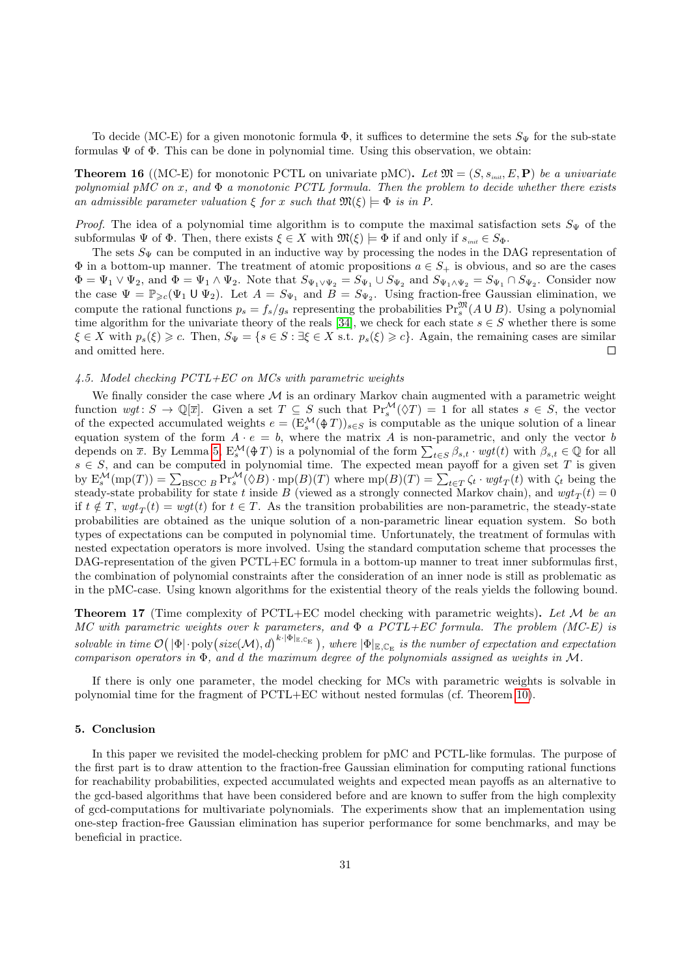To decide (MC-E) for a given monotonic formula  $\Phi$ , it suffices to determine the sets  $S_{\Psi}$  for the sub-state formulas  $\Psi$  of  $\Phi$ . This can be done in polynomial time. Using this observation, we obtain:

**Theorem 16** ((MC-E) for monotonic PCTL on univariate pMC). Let  $\mathfrak{M} = (S, s_{init}, E, \mathbf{P})$  be a univariate polynomial pMC on x, and  $\Phi$  a monotonic PCTL formula. Then the problem to decide whether there exists an admissible parameter valuation  $\xi$  for x such that  $\mathfrak{M}(\xi) \models \Phi$  is in P.

*Proof.* The idea of a polynomial time algorithm is to compute the maximal satisfaction sets  $S_{\Psi}$  of the subformulas  $\Psi$  of  $\Phi$ . Then, there exists  $\xi \in X$  with  $\mathfrak{M}(\xi) \models \Phi$  if and only if  $s_{\text{init}} \in S_{\Phi}$ .

The sets  $S_{\Psi}$  can be computed in an inductive way by processing the nodes in the DAG representation of  $\Phi$  in a bottom-up manner. The treatment of atomic propositions  $a \in S_+$  is obvious, and so are the cases  $\Phi = \Psi_1 \vee \Psi_2$ , and  $\Phi = \Psi_1 \wedge \Psi_2$ . Note that  $S_{\Psi_1 \vee \Psi_2} = S_{\Psi_1} \cup S_{\Psi_2}$  and  $S_{\Psi_1 \wedge \Psi_2} = S_{\Psi_1} \cap S_{\Psi_2}$ . Consider now the case  $\Psi = \mathbb{P}_{\geqslant c}(\Psi_1 \cup \Psi_2)$ . Let  $A = S_{\Psi_1}$  and  $B = S_{\Psi_2}$ . Using fraction-free Gaussian elimination, we compute the rational functions  $p_s = f_s/g_s$  representing the probabilities  $\Pr_s^{\mathfrak{M}}(A \cup B)$ . Using a polynomial time algorithm for the univariate theory of the reals [\[34\]](#page-32-10), we check for each state  $s \in S$  whether there is some  $\xi \in X$  with  $p_s(\xi) \geq c$ . Then,  $S_{\Psi} = \{s \in S : \exists \xi \in X \text{ s.t. } p_s(\xi) \geq c\}$ . Again, the remaining cases are similar and omitted here.  $\Box$ 

# 4.5. Model checking PCTL+EC on MCs with parametric weights

We finally consider the case where  $M$  is an ordinary Markov chain augmented with a parametric weight function  $wgt: S \to \mathbb{Q}[\overline{x}]$ . Given a set  $T \subseteq S$  such that  $\Pr_s^{\mathcal{M}}(\Diamond T) = 1$  for all states  $s \in S$ , the vector of the expected accumulated weights  $e = (E_s^{\mathcal{M}}(\text{\textcircled{*}} T))_{s \in S}$  is computable as the unique solution of a linear equation system of the form  $A \cdot e = b$ , where the matrix A is non-parametric, and only the vector b depends on  $\bar{x}$ . By Lemma [5,](#page-9-0)  $E_s^{\mathcal{M}}(\oplus T)$  is a polynomial of the form  $\sum_{t \in S} \beta_{s,t} \cdot wgt(t)$  with  $\beta_{s,t} \in \mathbb{Q}$  for all  $s \in S$ , and can be computed in polynomial time. The expected mean payoff for a given set T is given by  $E_s^{\mathcal{M}}(\text{mp}(T)) = \sum_{BSCC} P_r^{\mathcal{M}}(\Diamond B) \cdot \text{mp}(B)(T)$  where  $\text{mp}(B)(T) = \sum_{t \in T} \zeta_t \cdot wgt_T(t)$  with  $\zeta_t$  being the steady-state probability for state t inside B (viewed as a strongly connected Markov chain), and  $wgt_T(t) = 0$ if  $t \notin T$ ,  $wgt_T(t) = wgt(t)$  for  $t \in T$ . As the transition probabilities are non-parametric, the steady-state probabilities are obtained as the unique solution of a non-parametric linear equation system. So both types of expectations can be computed in polynomial time. Unfortunately, the treatment of formulas with nested expectation operators is more involved. Using the standard computation scheme that processes the DAG-representation of the given PCTL+EC formula in a bottom-up manner to treat inner subformulas first, the combination of polynomial constraints after the consideration of an inner node is still as problematic as in the pMC-case. Using known algorithms for the existential theory of the reals yields the following bound.

**Theorem 17** (Time complexity of PCTL+EC model checking with parametric weights). Let  $M$  be an MC with parametric weights over k parameters, and  $\Phi$  a PCTL+EC formula. The problem (MC-E) is solvable in time  $\mathcal{O}(|\Phi| \cdot \text{poly}(size(\mathcal{M}), d)^{k \cdot |\Phi|_{\mathbb{E}, \mathbb{C}_{\mathcal{E}}}})$ , where  $|\Phi|_{\mathbb{E}, \mathbb{C}_{\mathcal{E}}}$  is the number of expectation and expectation comparison operators in Φ, and d the maximum degree of the polynomials assigned as weights in M.

If there is only one parameter, the model checking for MCs with parametric weights is solvable in polynomial time for the fragment of PCTL+EC without nested formulas (cf. Theorem [10\)](#page-25-0).

## 5. Conclusion

In this paper we revisited the model-checking problem for pMC and PCTL-like formulas. The purpose of the first part is to draw attention to the fraction-free Gaussian elimination for computing rational functions for reachability probabilities, expected accumulated weights and expected mean payoffs as an alternative to the gcd-based algorithms that have been considered before and are known to suffer from the high complexity of gcd-computations for multivariate polynomials. The experiments show that an implementation using one-step fraction-free Gaussian elimination has superior performance for some benchmarks, and may be beneficial in practice.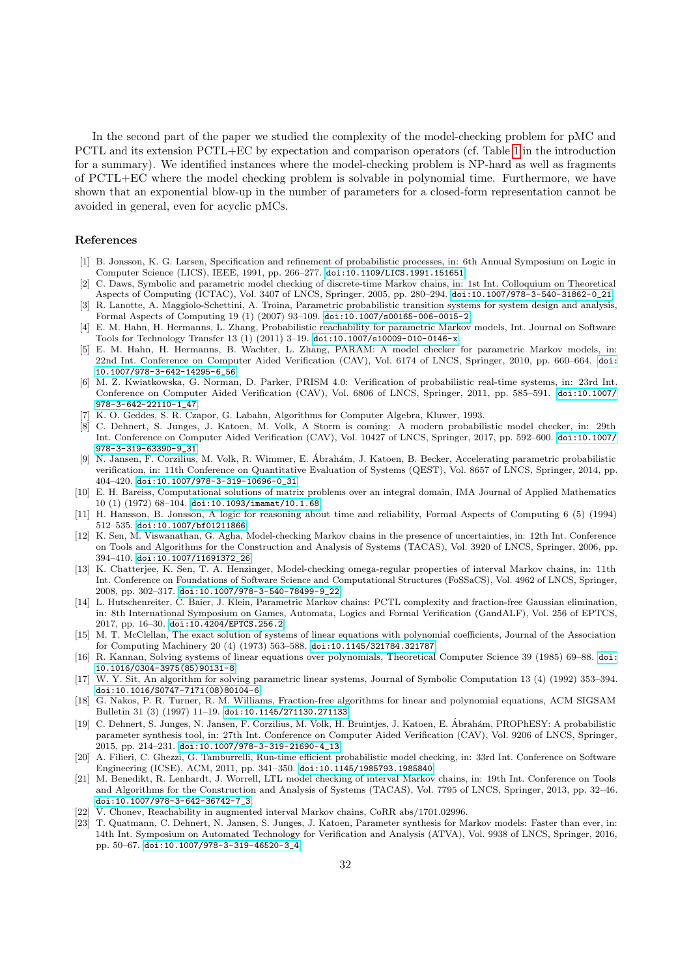In the second part of the paper we studied the complexity of the model-checking problem for pMC and PCTL and its extension PCTL+EC by expectation and comparison operators (cf. Table [1](#page-2-0) in the introduction for a summary). We identified instances where the model-checking problem is NP-hard as well as fragments of PCTL+EC where the model checking problem is solvable in polynomial time. Furthermore, we have shown that an exponential blow-up in the number of parameters for a closed-form representation cannot be avoided in general, even for acyclic pMCs.

#### References

- <span id="page-31-0"></span>[1] B. Jonsson, K. G. Larsen, Specification and refinement of probabilistic processes, in: 6th Annual Symposium on Logic in Computer Science (LICS), IEEE, 1991, pp. 266–277. [doi:10.1109/LICS.1991.151651](http://dx.doi.org/10.1109/LICS.1991.151651).
- <span id="page-31-1"></span>[2] C. Daws, Symbolic and parametric model checking of discrete-time Markov chains, in: 1st Int. Colloquium on Theoretical Aspects of Computing (ICTAC), Vol. 3407 of LNCS, Springer, 2005, pp. 280–294. [doi:10.1007/978-3-540-31862-0\\_21](http://dx.doi.org/10.1007/978-3-540-31862-0_21).
- <span id="page-31-2"></span>[3] R. Lanotte, A. Maggiolo-Schettini, A. Troina, Parametric probabilistic transition systems for system design and analysis, Formal Aspects of Computing 19 (1) (2007) 93–109. [doi:10.1007/s00165-006-0015-2](http://dx.doi.org/10.1007/s00165-006-0015-2).
- <span id="page-31-3"></span>[4] E. M. Hahn, H. Hermanns, L. Zhang, Probabilistic reachability for parametric Markov models, Int. Journal on Software Tools for Technology Transfer 13 (1) (2011) 3–19. [doi:10.1007/s10009-010-0146-x](http://dx.doi.org/10.1007/s10009-010-0146-x).
- <span id="page-31-4"></span>[5] E. M. Hahn, H. Hermanns, B. Wachter, L. Zhang, PARAM: A model checker for parametric Markov models, in: 22nd Int. Conference on Computer Aided Verification (CAV), Vol. 6174 of LNCS, Springer, 2010, pp. 660–664. [doi:](http://dx.doi.org/10.1007/978-3-642-14295-6_56) [10.1007/978-3-642-14295-6\\_56](http://dx.doi.org/10.1007/978-3-642-14295-6_56).
- <span id="page-31-5"></span>[6] M. Z. Kwiatkowska, G. Norman, D. Parker, PRISM 4.0: Verification of probabilistic real-time systems, in: 23rd Int. Conference on Computer Aided Verification (CAV), Vol. 6806 of LNCS, Springer, 2011, pp. 585–591. [doi:10.1007/](http://dx.doi.org/10.1007/978-3-642-22110-1_47) [978-3-642-22110-1\\_47](http://dx.doi.org/10.1007/978-3-642-22110-1_47).
- <span id="page-31-6"></span>[7] K. O. Geddes, S. R. Czapor, G. Labahn, Algorithms for Computer Algebra, Kluwer, 1993.
- <span id="page-31-7"></span>[8] C. Dehnert, S. Junges, J. Katoen, M. Volk, A Storm is coming: A modern probabilistic model checker, in: 29th Int. Conference on Computer Aided Verification (CAV), Vol. 10427 of LNCS, Springer, 2017, pp. 592–600. [doi:10.1007/](http://dx.doi.org/10.1007/978-3-319-63390-9_31) [978-3-319-63390-9\\_31](http://dx.doi.org/10.1007/978-3-319-63390-9_31).
- <span id="page-31-8"></span>[9] N. Jansen, F. Corzilius, M. Volk, R. Wimmer, E. Abrah´am, J. Katoen, B. Becker, Accelerating parametric probabilistic ´ verification, in: 11th Conference on Quantitative Evaluation of Systems (QEST), Vol. 8657 of LNCS, Springer, 2014, pp. 404–420. [doi:10.1007/978-3-319-10696-0\\_31](http://dx.doi.org/10.1007/978-3-319-10696-0_31).
- <span id="page-31-9"></span>[10] E. H. Bareiss, Computational solutions of matrix problems over an integral domain, IMA Journal of Applied Mathematics 10 (1) (1972) 68–104. [doi:10.1093/imamat/10.1.68](http://dx.doi.org/10.1093/imamat/10.1.68).
- <span id="page-31-10"></span>[11] H. Hansson, B. Jonsson, A logic for reasoning about time and reliability, Formal Aspects of Computing 6 (5) (1994) 512–535. [doi:10.1007/bf01211866](http://dx.doi.org/10.1007/bf01211866).
- <span id="page-31-11"></span>[12] K. Sen, M. Viswanathan, G. Agha, Model-checking Markov chains in the presence of uncertainties, in: 12th Int. Conference on Tools and Algorithms for the Construction and Analysis of Systems (TACAS), Vol. 3920 of LNCS, Springer, 2006, pp. 394–410. [doi:10.1007/11691372\\_26](http://dx.doi.org/10.1007/11691372_26).
- <span id="page-31-12"></span>[13] K. Chatterjee, K. Sen, T. A. Henzinger, Model-checking omega-regular properties of interval Markov chains, in: 11th Int. Conference on Foundations of Software Science and Computational Structures (FoSSaCS), Vol. 4962 of LNCS, Springer, 2008, pp. 302–317. [doi:10.1007/978-3-540-78499-9\\_22](http://dx.doi.org/10.1007/978-3-540-78499-9_22).
- <span id="page-31-13"></span>[14] L. Hutschenreiter, C. Baier, J. Klein, Parametric Markov chains: PCTL complexity and fraction-free Gaussian elimination, in: 8th International Symposium on Games, Automata, Logics and Formal Verification (GandALF), Vol. 256 of EPTCS, 2017, pp. 16–30. [doi:10.4204/EPTCS.256.2](http://dx.doi.org/10.4204/EPTCS.256.2).
- <span id="page-31-14"></span>[15] M. T. McClellan, The exact solution of systems of linear equations with polynomial coefficients, Journal of the Association for Computing Machinery 20 (4) (1973) 563–588. [doi:10.1145/321784.321787](http://dx.doi.org/10.1145/321784.321787).
- <span id="page-31-15"></span>[16] R. Kannan, Solving systems of linear equations over polynomials, Theoretical Computer Science 39 (1985) 69–88. [doi:](http://dx.doi.org/10.1016/0304-3975(85)90131-8) [10.1016/0304-3975\(85\)90131-8](http://dx.doi.org/10.1016/0304-3975(85)90131-8).
- <span id="page-31-16"></span>[17] W. Y. Sit, An algorithm for solving parametric linear systems, Journal of Symbolic Computation 13 (4) (1992) 353–394. [doi:10.1016/S0747-7171\(08\)80104-6](http://dx.doi.org/10.1016/S0747-7171(08)80104-6).
- <span id="page-31-17"></span>[18] G. Nakos, P. R. Turner, R. M. Williams, Fraction-free algorithms for linear and polynomial equations, ACM SIGSAM Bulletin 31 (3) (1997) 11–19. [doi:10.1145/271130.271133](http://dx.doi.org/10.1145/271130.271133).
- <span id="page-31-18"></span>[19] C. Dehnert, S. Junges, N. Jansen, F. Corzilius, M. Volk, H. Bruintjes, J. Katoen, E. Abrah´am, PROPhESY: A probabilistic ´ parameter synthesis tool, in: 27th Int. Conference on Computer Aided Verification (CAV), Vol. 9206 of LNCS, Springer, 2015, pp. 214–231. [doi:10.1007/978-3-319-21690-4\\_13](http://dx.doi.org/10.1007/978-3-319-21690-4_13).
- <span id="page-31-19"></span>[20] A. Filieri, C. Ghezzi, G. Tamburrelli, Run-time efficient probabilistic model checking, in: 33rd Int. Conference on Software Engineering (ICSE), ACM, 2011, pp. 341–350. [doi:10.1145/1985793.1985840](http://dx.doi.org/10.1145/1985793.1985840).
- <span id="page-31-20"></span>[21] M. Benedikt, R. Lenhardt, J. Worrell, LTL model checking of interval Markov chains, in: 19th Int. Conference on Tools and Algorithms for the Construction and Analysis of Systems (TACAS), Vol. 7795 of LNCS, Springer, 2013, pp. 32–46. [doi:10.1007/978-3-642-36742-7\\_3](http://dx.doi.org/10.1007/978-3-642-36742-7_3).
- <span id="page-31-21"></span>[22] V. Chonev, Reachability in augmented interval Markov chains, CoRR abs/1701.02996.
- <span id="page-31-22"></span>[23] T. Quatmann, C. Dehnert, N. Jansen, S. Junges, J. Katoen, Parameter synthesis for Markov models: Faster than ever, in: 14th Int. Symposium on Automated Technology for Verification and Analysis (ATVA), Vol. 9938 of LNCS, Springer, 2016, pp. 50–67. [doi:10.1007/978-3-319-46520-3\\_4](http://dx.doi.org/10.1007/978-3-319-46520-3_4).